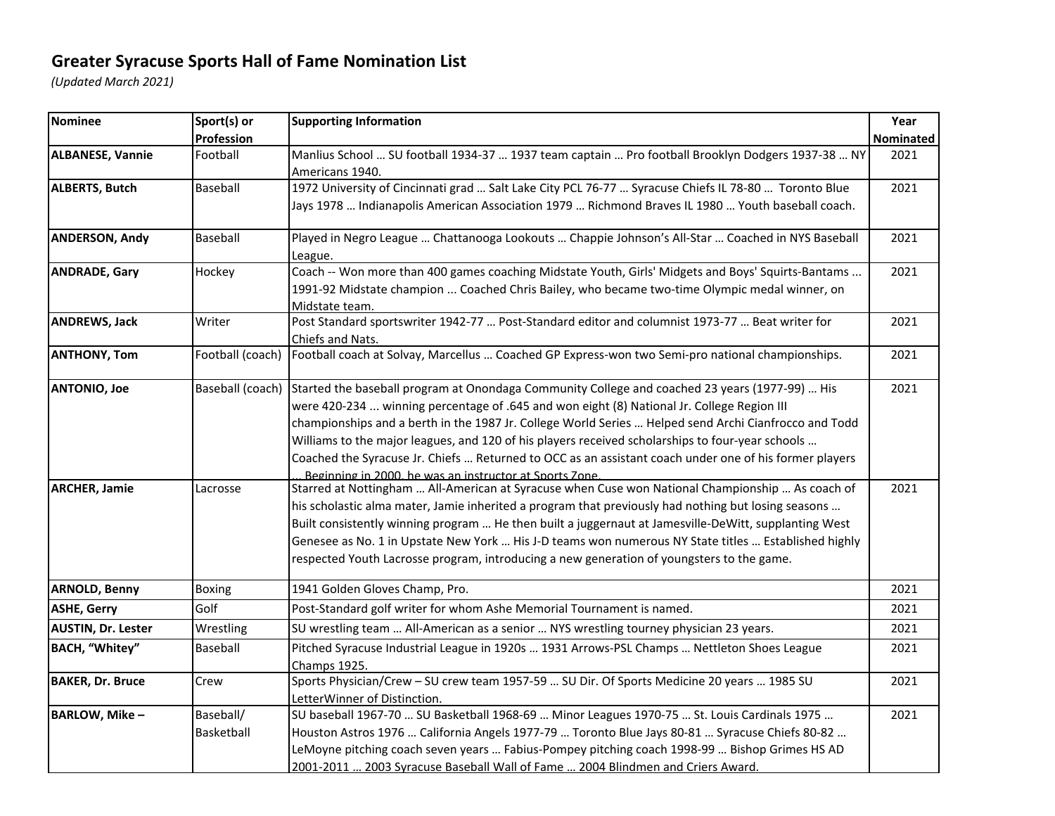## **Greater Syracuse Sports Hall of Fame Nomination List**

*(Updated March 2021)*

| Nominee                   | Sport(s) or      | <b>Supporting Information</b>                                                                                        | Year      |
|---------------------------|------------------|----------------------------------------------------------------------------------------------------------------------|-----------|
|                           | Profession       |                                                                                                                      | Nominated |
| <b>ALBANESE, Vannie</b>   | Football         | Manlius School  SU football 1934-37  1937 team captain  Pro football Brooklyn Dodgers 1937-38  NY<br>Americans 1940. | 2021      |
| <b>ALBERTS, Butch</b>     | Baseball         | 1972 University of Cincinnati grad  Salt Lake City PCL 76-77  Syracuse Chiefs IL 78-80  Toronto Blue                 | 2021      |
|                           |                  | Jays 1978  Indianapolis American Association 1979  Richmond Braves IL 1980  Youth baseball coach.                    |           |
| <b>ANDERSON, Andy</b>     | Baseball         | Played in Negro League  Chattanooga Lookouts  Chappie Johnson's All-Star  Coached in NYS Baseball<br>League.         | 2021      |
| <b>ANDRADE, Gary</b>      | Hockey           | Coach -- Won more than 400 games coaching Midstate Youth, Girls' Midgets and Boys' Squirts-Bantams                   | 2021      |
|                           |                  | 1991-92 Midstate champion  Coached Chris Bailey, who became two-time Olympic medal winner, on<br>Midstate team.      |           |
| <b>ANDREWS, Jack</b>      | Writer           | Post Standard sportswriter 1942-77  Post-Standard editor and columnist 1973-77  Beat writer for                      | 2021      |
|                           |                  | Chiefs and Nats.                                                                                                     |           |
| <b>ANTHONY, Tom</b>       | Football (coach) | Football coach at Solvay, Marcellus  Coached GP Express-won two Semi-pro national championships.                     | 2021      |
| <b>ANTONIO, Joe</b>       | Baseball (coach) | Started the baseball program at Onondaga Community College and coached 23 years (1977-99)  His                       | 2021      |
|                           |                  | were 420-234  winning percentage of .645 and won eight (8) National Jr. College Region III                           |           |
|                           |                  | championships and a berth in the 1987 Jr. College World Series  Helped send Archi Cianfrocco and Todd                |           |
|                           |                  | Williams to the major leagues, and 120 of his players received scholarships to four-year schools                     |           |
|                           |                  | Coached the Syracuse Jr. Chiefs  Returned to OCC as an assistant coach under one of his former players               |           |
|                           |                  | Beginning in 2000, he was an instructor at Sports Zone.                                                              |           |
| <b>ARCHER, Jamie</b>      | Lacrosse         | Starred at Nottingham  All-American at Syracuse when Cuse won National Championship  As coach of                     | 2021      |
|                           |                  | his scholastic alma mater, Jamie inherited a program that previously had nothing but losing seasons                  |           |
|                           |                  | Built consistently winning program  He then built a juggernaut at Jamesville-DeWitt, supplanting West                |           |
|                           |                  | Genesee as No. 1 in Upstate New York  His J-D teams won numerous NY State titles  Established highly                 |           |
|                           |                  | respected Youth Lacrosse program, introducing a new generation of youngsters to the game.                            |           |
| <b>ARNOLD, Benny</b>      | Boxing           | 1941 Golden Gloves Champ, Pro.                                                                                       | 2021      |
| <b>ASHE, Gerry</b>        | Golf             | Post-Standard golf writer for whom Ashe Memorial Tournament is named.                                                | 2021      |
| <b>AUSTIN, Dr. Lester</b> | Wrestling        | SU wrestling team  All-American as a senior  NYS wrestling tourney physician 23 years.                               | 2021      |
| BACH, "Whitey"            | Baseball         | Pitched Syracuse Industrial League in 1920s  1931 Arrows-PSL Champs  Nettleton Shoes League<br>Champs 1925.          | 2021      |
| <b>BAKER, Dr. Bruce</b>   | Crew             | Sports Physician/Crew - SU crew team 1957-59  SU Dir. Of Sports Medicine 20 years  1985 SU                           | 2021      |
|                           |                  | LetterWinner of Distinction.                                                                                         |           |
| <b>BARLOW, Mike-</b>      | Baseball/        | SU baseball 1967-70  SU Basketball 1968-69  Minor Leagues 1970-75  St. Louis Cardinals 1975                          | 2021      |
|                           | Basketball       | Houston Astros 1976  California Angels 1977-79  Toronto Blue Jays 80-81  Syracuse Chiefs 80-82                       |           |
|                           |                  | LeMoyne pitching coach seven years  Fabius-Pompey pitching coach 1998-99  Bishop Grimes HS AD                        |           |
|                           |                  | 2001-2011  2003 Syracuse Baseball Wall of Fame  2004 Blindmen and Criers Award.                                      |           |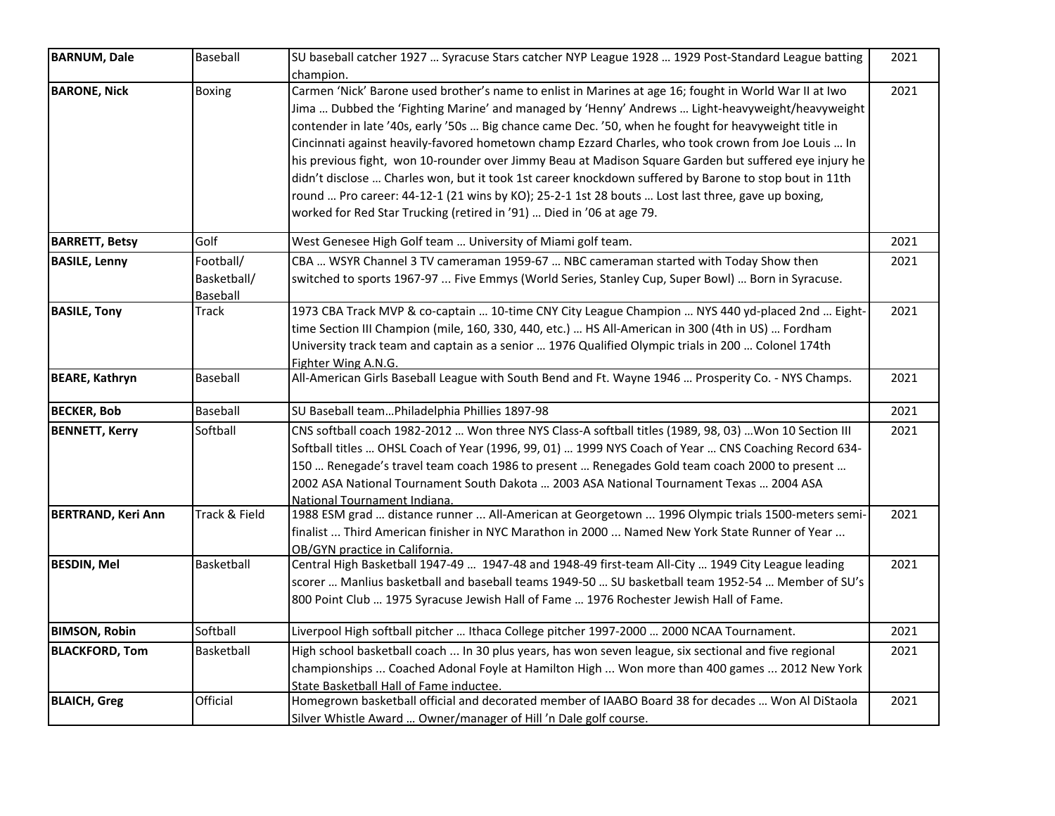| <b>BARNUM, Dale</b>       | Baseball                             | SU baseball catcher 1927  Syracuse Stars catcher NYP League 1928  1929 Post-Standard League batting                                                                                                                                                                                                                                                                                                                                                                                                                                                                                                                                                                                                                                                                                                                                       | 2021 |
|---------------------------|--------------------------------------|-------------------------------------------------------------------------------------------------------------------------------------------------------------------------------------------------------------------------------------------------------------------------------------------------------------------------------------------------------------------------------------------------------------------------------------------------------------------------------------------------------------------------------------------------------------------------------------------------------------------------------------------------------------------------------------------------------------------------------------------------------------------------------------------------------------------------------------------|------|
| <b>BARONE, Nick</b>       | <b>Boxing</b>                        | champion.<br>Carmen 'Nick' Barone used brother's name to enlist in Marines at age 16; fought in World War II at Iwo<br>Jima  Dubbed the 'Fighting Marine' and managed by 'Henny' Andrews  Light-heavyweight/heavyweight<br>contender in late '40s, early '50s  Big chance came Dec. '50, when he fought for heavyweight title in<br>Cincinnati against heavily-favored hometown champ Ezzard Charles, who took crown from Joe Louis  In<br>his previous fight, won 10-rounder over Jimmy Beau at Madison Square Garden but suffered eye injury he<br>didn't disclose  Charles won, but it took 1st career knockdown suffered by Barone to stop bout in 11th<br>round  Pro career: 44-12-1 (21 wins by KO); 25-2-1 1st 28 bouts  Lost last three, gave up boxing,<br>worked for Red Star Trucking (retired in '91)  Died in '06 at age 79. | 2021 |
| <b>BARRETT, Betsy</b>     | Golf                                 | West Genesee High Golf team  University of Miami golf team.                                                                                                                                                                                                                                                                                                                                                                                                                                                                                                                                                                                                                                                                                                                                                                               | 2021 |
| <b>BASILE, Lenny</b>      | Football/<br>Basketball/<br>Baseball | CBA  WSYR Channel 3 TV cameraman 1959-67  NBC cameraman started with Today Show then<br>switched to sports 1967-97  Five Emmys (World Series, Stanley Cup, Super Bowl)  Born in Syracuse.                                                                                                                                                                                                                                                                                                                                                                                                                                                                                                                                                                                                                                                 | 2021 |
| <b>BASILE, Tony</b>       | Track                                | 1973 CBA Track MVP & co-captain  10-time CNY City League Champion  NYS 440 yd-placed 2nd  Eight-<br>time Section III Champion (mile, 160, 330, 440, etc.)  HS All-American in 300 (4th in US)  Fordham<br>University track team and captain as a senior  1976 Qualified Olympic trials in 200  Colonel 174th<br>Fighter Wing A.N.G.                                                                                                                                                                                                                                                                                                                                                                                                                                                                                                       | 2021 |
| <b>BEARE, Kathryn</b>     | Baseball                             | All-American Girls Baseball League with South Bend and Ft. Wayne 1946  Prosperity Co. - NYS Champs.                                                                                                                                                                                                                                                                                                                                                                                                                                                                                                                                                                                                                                                                                                                                       | 2021 |
| <b>BECKER, Bob</b>        | Baseball                             | SU Baseball teamPhiladelphia Phillies 1897-98                                                                                                                                                                                                                                                                                                                                                                                                                                                                                                                                                                                                                                                                                                                                                                                             | 2021 |
| <b>BENNETT, Kerry</b>     | Softball                             | CNS softball coach 1982-2012  Won three NYS Class-A softball titles (1989, 98, 03)  Won 10 Section III<br>Softball titles  OHSL Coach of Year (1996, 99, 01)  1999 NYS Coach of Year  CNS Coaching Record 634-<br>150  Renegade's travel team coach 1986 to present  Renegades Gold team coach 2000 to present<br>2002 ASA National Tournament South Dakota  2003 ASA National Tournament Texas  2004 ASA<br>National Tournament Indiana                                                                                                                                                                                                                                                                                                                                                                                                  | 2021 |
| <b>BERTRAND, Keri Ann</b> | Track & Field                        | 1988 ESM grad  distance runner  All-American at Georgetown  1996 Olympic trials 1500-meters semi-<br>finalist  Third American finisher in NYC Marathon in 2000  Named New York State Runner of Year<br>OB/GYN practice in California.                                                                                                                                                                                                                                                                                                                                                                                                                                                                                                                                                                                                     | 2021 |
| <b>BESDIN, Mel</b>        | Basketball                           | Central High Basketball 1947-49  1947-48 and 1948-49 first-team All-City  1949 City League leading<br>scorer  Manlius basketball and baseball teams 1949-50  SU basketball team 1952-54  Member of SU's<br>800 Point Club  1975 Syracuse Jewish Hall of Fame  1976 Rochester Jewish Hall of Fame.                                                                                                                                                                                                                                                                                                                                                                                                                                                                                                                                         | 2021 |
| <b>BIMSON, Robin</b>      | Softball                             | Liverpool High softball pitcher  Ithaca College pitcher 1997-2000  2000 NCAA Tournament.                                                                                                                                                                                                                                                                                                                                                                                                                                                                                                                                                                                                                                                                                                                                                  | 2021 |
| <b>BLACKFORD, Tom</b>     | Basketball                           | High school basketball coach  In 30 plus years, has won seven league, six sectional and five regional<br>championships  Coached Adonal Foyle at Hamilton High  Won more than 400 games  2012 New York<br>State Basketball Hall of Fame inductee.                                                                                                                                                                                                                                                                                                                                                                                                                                                                                                                                                                                          | 2021 |
| <b>BLAICH, Greg</b>       | Official                             | Homegrown basketball official and decorated member of IAABO Board 38 for decades  Won Al DiStaola<br>Silver Whistle Award  Owner/manager of Hill 'n Dale golf course.                                                                                                                                                                                                                                                                                                                                                                                                                                                                                                                                                                                                                                                                     | 2021 |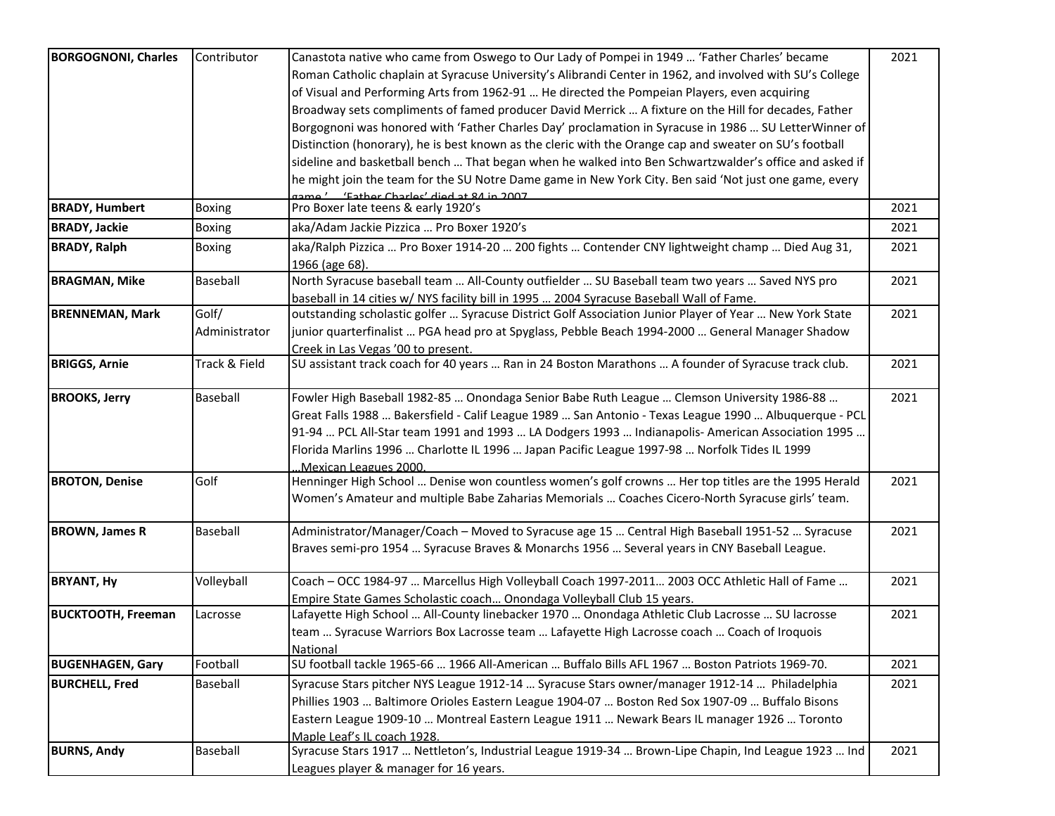| <b>BORGOGNONI, Charles</b> | Contributor   | Canastota native who came from Oswego to Our Lady of Pompei in 1949  'Father Charles' became                      | 2021 |
|----------------------------|---------------|-------------------------------------------------------------------------------------------------------------------|------|
|                            |               | Roman Catholic chaplain at Syracuse University's Alibrandi Center in 1962, and involved with SU's College         |      |
|                            |               | of Visual and Performing Arts from 1962-91  He directed the Pompeian Players, even acquiring                      |      |
|                            |               | Broadway sets compliments of famed producer David Merrick  A fixture on the Hill for decades, Father              |      |
|                            |               | Borgognoni was honored with 'Father Charles Day' proclamation in Syracuse in 1986  SU LetterWinner of             |      |
|                            |               | Distinction (honorary), he is best known as the cleric with the Orange cap and sweater on SU's football           |      |
|                            |               | sideline and basketball bench  That began when he walked into Ben Schwartzwalder's office and asked if            |      |
|                            |               | he might join the team for the SU Notre Dame game in New York City. Ben said 'Not just one game, every            |      |
|                            |               | Tame ' (Father Charles' died at 84 in 2007)                                                                       |      |
| <b>BRADY, Humbert</b>      | Boxing        | Pro Boxer late teens & early 1920's                                                                               | 2021 |
| <b>BRADY, Jackie</b>       | <b>Boxing</b> | aka/Adam Jackie Pizzica  Pro Boxer 1920's                                                                         | 2021 |
| <b>BRADY, Ralph</b>        | Boxing        | aka/Ralph Pizzica  Pro Boxer 1914-20  200 fights  Contender CNY lightweight champ  Died Aug 31,<br>1966 (age 68). | 2021 |
| <b>BRAGMAN, Mike</b>       | Baseball      | North Syracuse baseball team  All-County outfielder  SU Baseball team two years  Saved NYS pro                    | 2021 |
|                            |               | baseball in 14 cities w/ NYS facility bill in 1995  2004 Syracuse Baseball Wall of Fame.                          |      |
| <b>BRENNEMAN, Mark</b>     | Golf/         | outstanding scholastic golfer  Syracuse District Golf Association Junior Player of Year  New York State           | 2021 |
|                            | Administrator | junior quarterfinalist  PGA head pro at Spyglass, Pebble Beach 1994-2000  General Manager Shadow                  |      |
|                            |               | Creek in Las Vegas '00 to present.                                                                                |      |
| <b>BRIGGS, Arnie</b>       | Track & Field | SU assistant track coach for 40 years  Ran in 24 Boston Marathons  A founder of Syracuse track club.              | 2021 |
| <b>BROOKS, Jerry</b>       | Baseball      | Fowler High Baseball 1982-85  Onondaga Senior Babe Ruth League  Clemson University 1986-88                        | 2021 |
|                            |               | Great Falls 1988  Bakersfield - Calif League 1989  San Antonio - Texas League 1990  Albuquerque - PCL             |      |
|                            |               | 91-94  PCL All-Star team 1991 and 1993  LA Dodgers 1993  Indianapolis- American Association 1995                  |      |
|                            |               | Florida Marlins 1996  Charlotte IL 1996  Japan Pacific League 1997-98  Norfolk Tides IL 1999                      |      |
|                            |               | Mexican Leagues 2000.                                                                                             |      |
| <b>BROTON, Denise</b>      | Golf          | Henninger High School  Denise won countless women's golf crowns  Her top titles are the 1995 Herald               | 2021 |
|                            |               | Women's Amateur and multiple Babe Zaharias Memorials  Coaches Cicero-North Syracuse girls' team.                  |      |
| <b>BROWN, James R</b>      | Baseball      | Administrator/Manager/Coach - Moved to Syracuse age 15  Central High Baseball 1951-52  Syracuse                   | 2021 |
|                            |               | Braves semi-pro 1954  Syracuse Braves & Monarchs 1956  Several years in CNY Baseball League.                      |      |
| <b>BRYANT, Hy</b>          | Volleyball    | Coach - OCC 1984-97  Marcellus High Volleyball Coach 1997-2011 2003 OCC Athletic Hall of Fame                     | 2021 |
|                            |               | Empire State Games Scholastic coach Onondaga Volleyball Club 15 years.                                            |      |
| <b>BUCKTOOTH, Freeman</b>  | Lacrosse      | Lafayette High School  All-County linebacker 1970  Onondaga Athletic Club Lacrosse  SU lacrosse                   | 2021 |
|                            |               | team  Syracuse Warriors Box Lacrosse team  Lafayette High Lacrosse coach  Coach of Iroquois                       |      |
|                            |               | National                                                                                                          |      |
| <b>BUGENHAGEN, Gary</b>    | Football      | SU football tackle 1965-66  1966 All-American  Buffalo Bills AFL 1967  Boston Patriots 1969-70.                   | 2021 |
| <b>BURCHELL, Fred</b>      | Baseball      | Syracuse Stars pitcher NYS League 1912-14  Syracuse Stars owner/manager 1912-14  Philadelphia                     | 2021 |
|                            |               | Phillies 1903  Baltimore Orioles Eastern League 1904-07  Boston Red Sox 1907-09  Buffalo Bisons                   |      |
|                            |               | Eastern League 1909-10  Montreal Eastern League 1911  Newark Bears IL manager 1926  Toronto                       |      |
|                            |               | Maple Leaf's IL coach 1928.                                                                                       |      |
| <b>BURNS, Andy</b>         | Baseball      | Syracuse Stars 1917  Nettleton's, Industrial League 1919-34  Brown-Lipe Chapin, Ind League 1923  Ind              | 2021 |
|                            |               | Leagues player & manager for 16 years.                                                                            |      |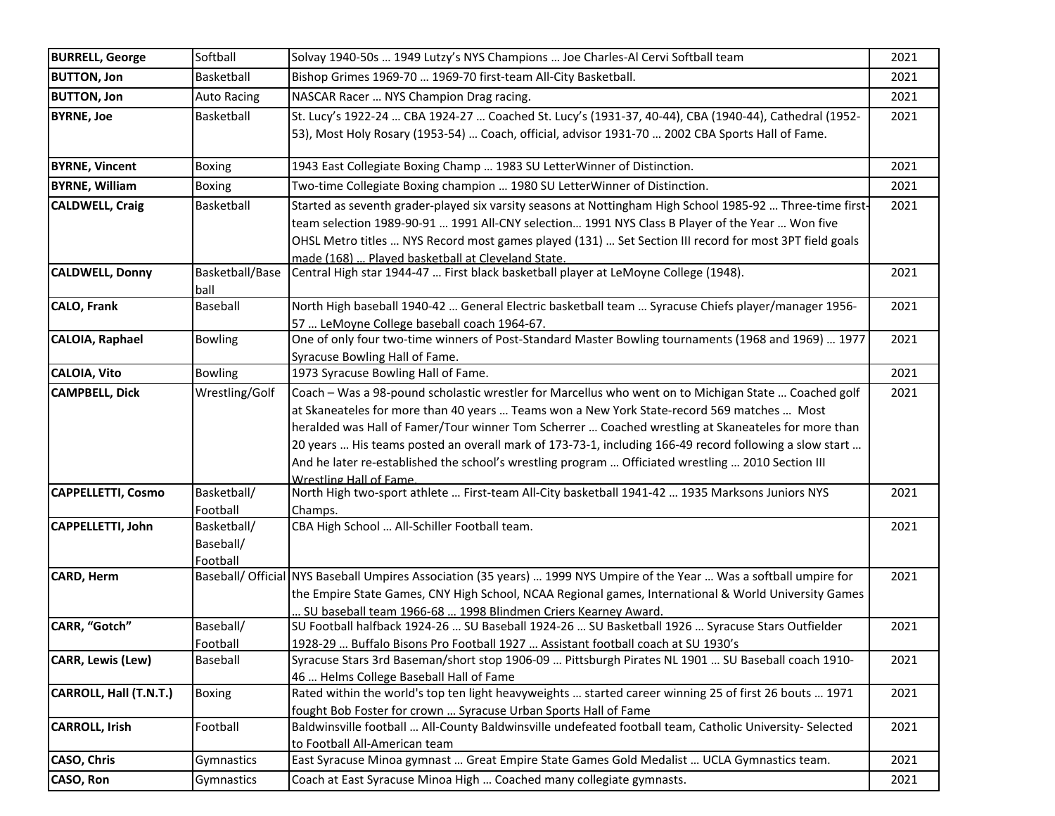| <b>BURRELL, George</b>    | Softball                             | Solvay 1940-50s  1949 Lutzy's NYS Champions  Joe Charles-Al Cervi Softball team                                                                                                                                                                                                                                                                                                                                                                                                                                                                            | 2021 |
|---------------------------|--------------------------------------|------------------------------------------------------------------------------------------------------------------------------------------------------------------------------------------------------------------------------------------------------------------------------------------------------------------------------------------------------------------------------------------------------------------------------------------------------------------------------------------------------------------------------------------------------------|------|
| <b>BUTTON, Jon</b>        | Basketball                           | Bishop Grimes 1969-70  1969-70 first-team All-City Basketball.                                                                                                                                                                                                                                                                                                                                                                                                                                                                                             | 2021 |
| <b>BUTTON, Jon</b>        | <b>Auto Racing</b>                   | NASCAR Racer  NYS Champion Drag racing.                                                                                                                                                                                                                                                                                                                                                                                                                                                                                                                    | 2021 |
| <b>BYRNE, Joe</b>         | Basketball                           | St. Lucy's 1922-24  CBA 1924-27  Coached St. Lucy's (1931-37, 40-44), CBA (1940-44), Cathedral (1952-<br>53), Most Holy Rosary (1953-54)  Coach, official, advisor 1931-70  2002 CBA Sports Hall of Fame.                                                                                                                                                                                                                                                                                                                                                  | 2021 |
| <b>BYRNE, Vincent</b>     | <b>Boxing</b>                        | 1943 East Collegiate Boxing Champ  1983 SU LetterWinner of Distinction.                                                                                                                                                                                                                                                                                                                                                                                                                                                                                    | 2021 |
| <b>BYRNE, William</b>     | <b>Boxing</b>                        | Two-time Collegiate Boxing champion  1980 SU LetterWinner of Distinction.                                                                                                                                                                                                                                                                                                                                                                                                                                                                                  | 2021 |
| <b>CALDWELL, Craig</b>    | Basketball                           | Started as seventh grader-played six varsity seasons at Nottingham High School 1985-92  Three-time first-<br>team selection 1989-90-91  1991 All-CNY selection 1991 NYS Class B Player of the Year  Won five<br>OHSL Metro titles  NYS Record most games played (131)  Set Section III record for most 3PT field goals<br>made (168)  Played basketball at Cleveland State.                                                                                                                                                                                | 2021 |
| <b>CALDWELL, Donny</b>    | Basketball/Base<br>ball              | Central High star 1944-47  First black basketball player at LeMoyne College (1948).                                                                                                                                                                                                                                                                                                                                                                                                                                                                        | 2021 |
| <b>CALO, Frank</b>        | Baseball                             | North High baseball 1940-42  General Electric basketball team  Syracuse Chiefs player/manager 1956-<br>57  LeMoyne College baseball coach 1964-67.                                                                                                                                                                                                                                                                                                                                                                                                         | 2021 |
| <b>CALOIA, Raphael</b>    | <b>Bowling</b>                       | One of only four two-time winners of Post-Standard Master Bowling tournaments (1968 and 1969)  1977<br>Syracuse Bowling Hall of Fame.                                                                                                                                                                                                                                                                                                                                                                                                                      | 2021 |
| CALOIA, Vito              | <b>Bowling</b>                       | 1973 Syracuse Bowling Hall of Fame.                                                                                                                                                                                                                                                                                                                                                                                                                                                                                                                        | 2021 |
| <b>CAMPBELL, Dick</b>     | Wrestling/Golf                       | Coach - Was a 98-pound scholastic wrestler for Marcellus who went on to Michigan State  Coached golf<br>at Skaneateles for more than 40 years  Teams won a New York State-record 569 matches  Most<br>heralded was Hall of Famer/Tour winner Tom Scherrer  Coached wrestling at Skaneateles for more than<br>20 years  His teams posted an overall mark of 173-73-1, including 166-49 record following a slow start<br>And he later re-established the school's wrestling program  Officiated wrestling  2010 Section III<br><b>Wrestling Hall of Fame</b> | 2021 |
| <b>CAPPELLETTI, Cosmo</b> | Basketball/<br>Football              | North High two-sport athlete  First-team All-City basketball 1941-42  1935 Marksons Juniors NYS<br>Champs.                                                                                                                                                                                                                                                                                                                                                                                                                                                 | 2021 |
| CAPPELLETTI, John         | Basketball/<br>Baseball/<br>Football | CBA High School  All-Schiller Football team.                                                                                                                                                                                                                                                                                                                                                                                                                                                                                                               | 2021 |
| <b>CARD, Herm</b>         |                                      | Baseball/ Official NYS Baseball Umpires Association (35 years)  1999 NYS Umpire of the Year  Was a softball umpire for<br>the Empire State Games, CNY High School, NCAA Regional games, International & World University Games<br>SU baseball team 1966-68  1998 Blindmen Criers Kearney Award.                                                                                                                                                                                                                                                            | 2021 |
| CARR, "Gotch"             | Baseball/<br>Football                | SU Football halfback 1924-26  SU Baseball 1924-26  SU Basketball 1926  Syracuse Stars Outfielder<br>1928-29  Buffalo Bisons Pro Football 1927  Assistant football coach at SU 1930's                                                                                                                                                                                                                                                                                                                                                                       | 2021 |
| <b>CARR, Lewis (Lew)</b>  | Baseball                             | Syracuse Stars 3rd Baseman/short stop 1906-09  Pittsburgh Pirates NL 1901  SU Baseball coach 1910-<br>46  Helms College Baseball Hall of Fame                                                                                                                                                                                                                                                                                                                                                                                                              | 2021 |
| CARROLL, Hall (T.N.T.)    | Boxing                               | Rated within the world's top ten light heavyweights  started career winning 25 of first 26 bouts  1971<br>fought Bob Foster for crown  Syracuse Urban Sports Hall of Fame                                                                                                                                                                                                                                                                                                                                                                                  | 2021 |
| <b>CARROLL, Irish</b>     | Football                             | Baldwinsville football  All-County Baldwinsville undefeated football team, Catholic University- Selected<br>to Football All-American team                                                                                                                                                                                                                                                                                                                                                                                                                  | 2021 |
| <b>CASO, Chris</b>        | Gymnastics                           | East Syracuse Minoa gymnast  Great Empire State Games Gold Medalist  UCLA Gymnastics team.                                                                                                                                                                                                                                                                                                                                                                                                                                                                 | 2021 |
| CASO, Ron                 | Gymnastics                           | Coach at East Syracuse Minoa High  Coached many collegiate gymnasts.                                                                                                                                                                                                                                                                                                                                                                                                                                                                                       | 2021 |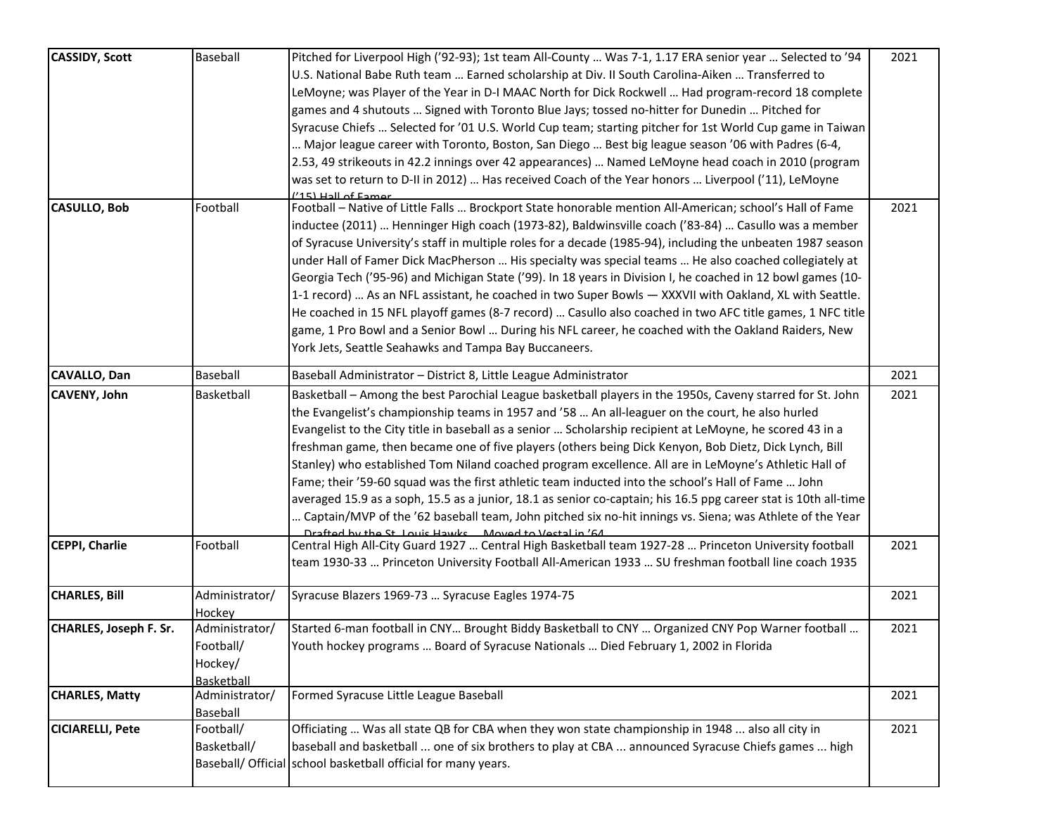| <b>CASSIDY, Scott</b>   | Baseball                                             | Pitched for Liverpool High ('92-93); 1st team All-County  Was 7-1, 1.17 ERA senior year  Selected to '94<br>U.S. National Babe Ruth team  Earned scholarship at Div. II South Carolina-Aiken  Transferred to<br>LeMoyne; was Player of the Year in D-I MAAC North for Dick Rockwell  Had program-record 18 complete<br>games and 4 shutouts  Signed with Toronto Blue Jays; tossed no-hitter for Dunedin  Pitched for<br>Syracuse Chiefs  Selected for '01 U.S. World Cup team; starting pitcher for 1st World Cup game in Taiwan<br>Major league career with Toronto, Boston, San Diego  Best big league season '06 with Padres (6-4,<br>2.53, 49 strikeouts in 42.2 innings over 42 appearances)  Named LeMoyne head coach in 2010 (program<br>was set to return to D-II in 2012)  Has received Coach of the Year honors  Liverpool ('11), LeMoyne<br>(15) Hall of Famer                                                                     | 2021 |
|-------------------------|------------------------------------------------------|------------------------------------------------------------------------------------------------------------------------------------------------------------------------------------------------------------------------------------------------------------------------------------------------------------------------------------------------------------------------------------------------------------------------------------------------------------------------------------------------------------------------------------------------------------------------------------------------------------------------------------------------------------------------------------------------------------------------------------------------------------------------------------------------------------------------------------------------------------------------------------------------------------------------------------------------|------|
| <b>CASULLO, Bob</b>     | Football                                             | Football - Native of Little Falls  Brockport State honorable mention All-American; school's Hall of Fame<br>inductee (2011)  Henninger High coach (1973-82), Baldwinsville coach ('83-84)  Casullo was a member<br>of Syracuse University's staff in multiple roles for a decade (1985-94), including the unbeaten 1987 season<br>under Hall of Famer Dick MacPherson  His specialty was special teams  He also coached collegiately at<br>Georgia Tech ('95-96) and Michigan State ('99). In 18 years in Division I, he coached in 12 bowl games (10-<br>1-1 record)  As an NFL assistant, he coached in two Super Bowls - XXXVII with Oakland, XL with Seattle.<br>He coached in 15 NFL playoff games (8-7 record)  Casullo also coached in two AFC title games, 1 NFC title<br>game, 1 Pro Bowl and a Senior Bowl  During his NFL career, he coached with the Oakland Raiders, New<br>York Jets, Seattle Seahawks and Tampa Bay Buccaneers. | 2021 |
| CAVALLO, Dan            | <b>Baseball</b>                                      | Baseball Administrator - District 8, Little League Administrator                                                                                                                                                                                                                                                                                                                                                                                                                                                                                                                                                                                                                                                                                                                                                                                                                                                                               | 2021 |
| <b>CAVENY, John</b>     | Basketball                                           | Basketball - Among the best Parochial League basketball players in the 1950s, Caveny starred for St. John<br>the Evangelist's championship teams in 1957 and '58  An all-leaguer on the court, he also hurled<br>Evangelist to the City title in baseball as a senior  Scholarship recipient at LeMoyne, he scored 43 in a<br>freshman game, then became one of five players (others being Dick Kenyon, Bob Dietz, Dick Lynch, Bill<br>Stanley) who established Tom Niland coached program excellence. All are in LeMoyne's Athletic Hall of<br>Fame; their '59-60 squad was the first athletic team inducted into the school's Hall of Fame  John<br>averaged 15.9 as a soph, 15.5 as a junior, 18.1 as senior co-captain; his 16.5 ppg career stat is 10th all-time<br>Captain/MVP of the '62 baseball team, John pitched six no-hit innings vs. Siena; was Athlete of the Year<br>Drafted by the St Louis Hawks Moved to Vestal in '64      | 2021 |
| CEPPI, Charlie          | Football                                             | Central High All-City Guard 1927  Central High Basketball team 1927-28  Princeton University football<br>team 1930-33  Princeton University Football All-American 1933  SU freshman football line coach 1935                                                                                                                                                                                                                                                                                                                                                                                                                                                                                                                                                                                                                                                                                                                                   | 2021 |
| <b>CHARLES, Bill</b>    | Administrator/<br>Hockey                             | Syracuse Blazers 1969-73  Syracuse Eagles 1974-75                                                                                                                                                                                                                                                                                                                                                                                                                                                                                                                                                                                                                                                                                                                                                                                                                                                                                              | 2021 |
| CHARLES, Joseph F. Sr.  | Administrator/<br>Football/<br>Hockey/<br>Basketball | Started 6-man football in CNY Brought Biddy Basketball to CNY  Organized CNY Pop Warner football<br>Youth hockey programs  Board of Syracuse Nationals  Died February 1, 2002 in Florida                                                                                                                                                                                                                                                                                                                                                                                                                                                                                                                                                                                                                                                                                                                                                       | 2021 |
| <b>CHARLES, Matty</b>   | Administrator/<br>Baseball                           | Formed Syracuse Little League Baseball                                                                                                                                                                                                                                                                                                                                                                                                                                                                                                                                                                                                                                                                                                                                                                                                                                                                                                         | 2021 |
| <b>CICIARELLI, Pete</b> | Football/<br>Basketball/                             | Officiating  Was all state QB for CBA when they won state championship in 1948  also all city in<br>baseball and basketball  one of six brothers to play at CBA  announced Syracuse Chiefs games  high<br>Baseball/ Official school basketball official for many years.                                                                                                                                                                                                                                                                                                                                                                                                                                                                                                                                                                                                                                                                        | 2021 |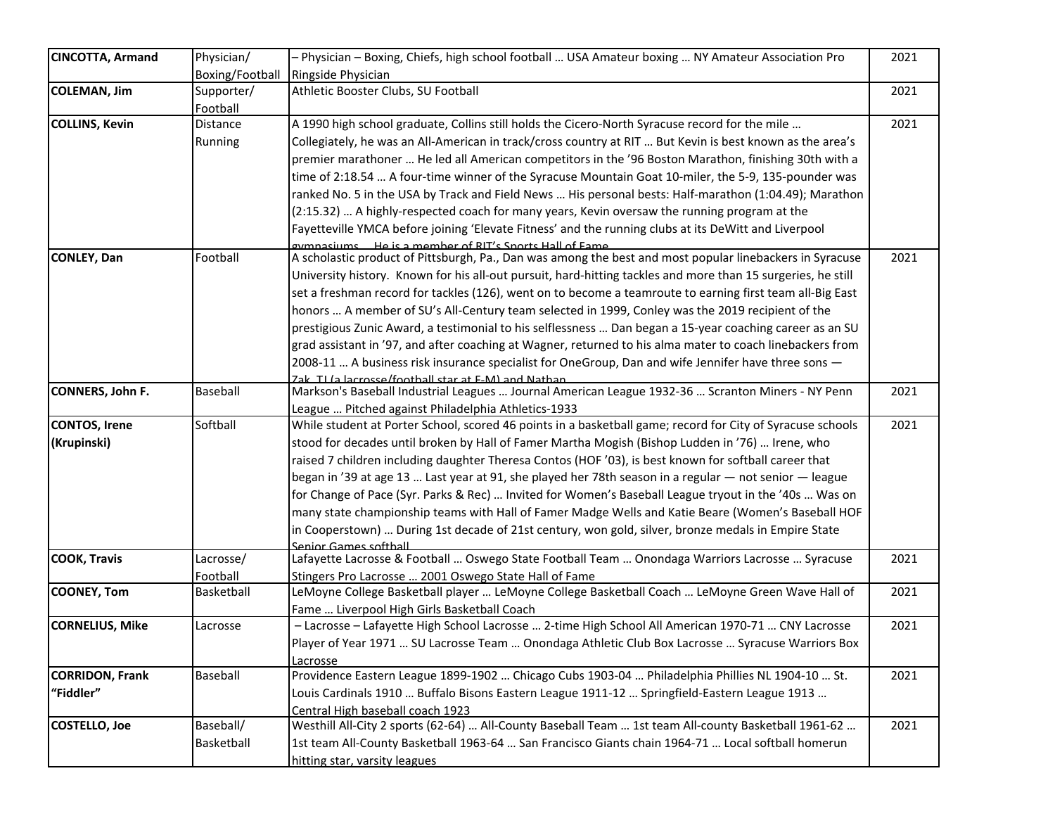| <b>CINCOTTA, Armand</b> | Physician/      | - Physician - Boxing, Chiefs, high school football  USA Amateur boxing  NY Amateur Association Pro           | 2021 |
|-------------------------|-----------------|--------------------------------------------------------------------------------------------------------------|------|
|                         | Boxing/Football | Ringside Physician                                                                                           |      |
| COLEMAN, Jim            | Supporter/      | Athletic Booster Clubs, SU Football                                                                          | 2021 |
|                         | Football        |                                                                                                              |      |
| <b>COLLINS, Kevin</b>   | Distance        | A 1990 high school graduate, Collins still holds the Cicero-North Syracuse record for the mile               | 2021 |
|                         | Running         | Collegiately, he was an All-American in track/cross country at RIT  But Kevin is best known as the area's    |      |
|                         |                 | premier marathoner  He led all American competitors in the '96 Boston Marathon, finishing 30th with a        |      |
|                         |                 | time of 2:18.54  A four-time winner of the Syracuse Mountain Goat 10-miler, the 5-9, 135-pounder was         |      |
|                         |                 | ranked No. 5 in the USA by Track and Field News  His personal bests: Half-marathon (1:04.49); Marathon       |      |
|                         |                 | (2:15.32)  A highly-respected coach for many years, Kevin oversaw the running program at the                 |      |
|                         |                 | Fayetteville YMCA before joining 'Elevate Fitness' and the running clubs at its DeWitt and Liverpool         |      |
|                         |                 | aymnasiums He is a memher of RIT's Snorts Hall of Fame                                                       |      |
| <b>CONLEY, Dan</b>      | Football        | A scholastic product of Pittsburgh, Pa., Dan was among the best and most popular linebackers in Syracuse     | 2021 |
|                         |                 | University history. Known for his all-out pursuit, hard-hitting tackles and more than 15 surgeries, he still |      |
|                         |                 | set a freshman record for tackles (126), went on to become a teamroute to earning first team all-Big East    |      |
|                         |                 | honors  A member of SU's All-Century team selected in 1999, Conley was the 2019 recipient of the             |      |
|                         |                 | prestigious Zunic Award, a testimonial to his selflessness  Dan began a 15-year coaching career as an SU     |      |
|                         |                 | grad assistant in '97, and after coaching at Wagner, returned to his alma mater to coach linebackers from    |      |
|                         |                 | 2008-11  A business risk insurance specialist for OneGroup, Dan and wife Jennifer have three sons -          |      |
|                         |                 | Zak II (a lacrosse/foothall star at F-M) and Nathan                                                          |      |
| CONNERS, John F.        | Baseball        | Markson's Baseball Industrial Leagues  Journal American League 1932-36  Scranton Miners - NY Penn            | 2021 |
|                         |                 | League  Pitched against Philadelphia Athletics-1933                                                          |      |
| <b>CONTOS, Irene</b>    | Softball        | While student at Porter School, scored 46 points in a basketball game; record for City of Syracuse schools   | 2021 |
| (Krupinski)             |                 | stood for decades until broken by Hall of Famer Martha Mogish (Bishop Ludden in '76)  Irene, who             |      |
|                         |                 | raised 7 children including daughter Theresa Contos (HOF '03), is best known for softball career that        |      |
|                         |                 | began in '39 at age 13  Last year at 91, she played her 78th season in a regular - not senior - league       |      |
|                         |                 | for Change of Pace (Syr. Parks & Rec)  Invited for Women's Baseball League tryout in the '40s  Was on        |      |
|                         |                 | many state championship teams with Hall of Famer Madge Wells and Katie Beare (Women's Baseball HOF           |      |
|                         |                 | in Cooperstown)  During 1st decade of 21st century, won gold, silver, bronze medals in Empire State          |      |
|                         |                 | Senior Games softhall                                                                                        |      |
| <b>COOK, Travis</b>     | Lacrosse/       | Lafayette Lacrosse & Football  Oswego State Football Team  Onondaga Warriors Lacrosse  Syracuse              | 2021 |
|                         | Football        | Stingers Pro Lacrosse  2001 Oswego State Hall of Fame                                                        |      |
| <b>COONEY, Tom</b>      | Basketball      | LeMoyne College Basketball player  LeMoyne College Basketball Coach  LeMoyne Green Wave Hall of              | 2021 |
|                         |                 | Fame  Liverpool High Girls Basketball Coach                                                                  |      |
| <b>CORNELIUS, Mike</b>  | Lacrosse        | - Lacrosse - Lafayette High School Lacrosse  2-time High School All American 1970-71  CNY Lacrosse           | 2021 |
|                         |                 | Player of Year 1971  SU Lacrosse Team  Onondaga Athletic Club Box Lacrosse  Syracuse Warriors Box            |      |
|                         |                 | Lacrosse                                                                                                     |      |
| <b>CORRIDON, Frank</b>  | Baseball        | Providence Eastern League 1899-1902  Chicago Cubs 1903-04  Philadelphia Phillies NL 1904-10  St.             | 2021 |
| "Fiddler"               |                 | Louis Cardinals 1910  Buffalo Bisons Eastern League 1911-12  Springfield-Eastern League 1913                 |      |
|                         |                 | Central High baseball coach 1923                                                                             |      |
| <b>COSTELLO, Joe</b>    | Baseball/       | Westhill All-City 2 sports (62-64)  All-County Baseball Team  1st team All-county Basketball 1961-62         | 2021 |
|                         | Basketball      | 1st team All-County Basketball 1963-64  San Francisco Giants chain 1964-71  Local softball homerun           |      |
|                         |                 | hitting star, varsity leagues                                                                                |      |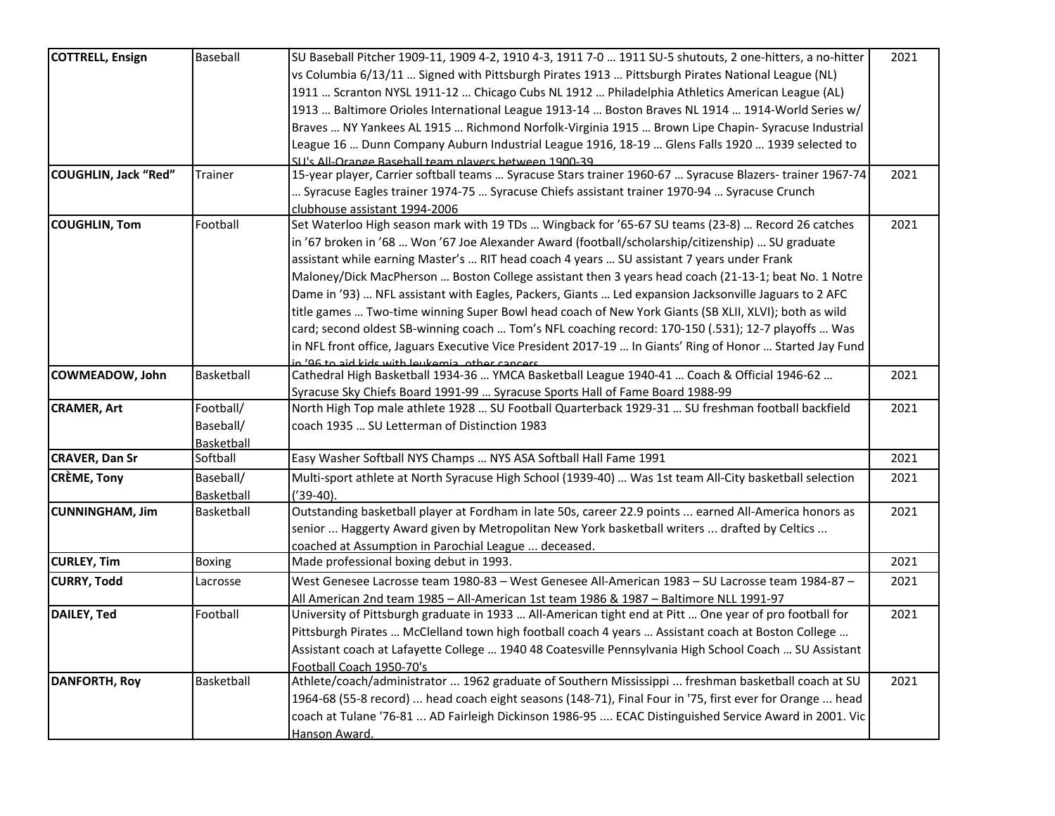| <b>COTTRELL, Ensign</b>     | Baseball      | SU Baseball Pitcher 1909-11, 1909 4-2, 1910 4-3, 1911 7-0  1911 SU-5 shutouts, 2 one-hitters, a no-hitter | 2021 |
|-----------------------------|---------------|-----------------------------------------------------------------------------------------------------------|------|
|                             |               | vs Columbia 6/13/11  Signed with Pittsburgh Pirates 1913  Pittsburgh Pirates National League (NL)         |      |
|                             |               | 1911  Scranton NYSL 1911-12  Chicago Cubs NL 1912  Philadelphia Athletics American League (AL)            |      |
|                             |               | 1913  Baltimore Orioles International League 1913-14  Boston Braves NL 1914  1914-World Series w/         |      |
|                             |               | Braves  NY Yankees AL 1915  Richmond Norfolk-Virginia 1915  Brown Lipe Chapin- Syracuse Industrial        |      |
|                             |               | League 16  Dunn Company Auburn Industrial League 1916, 18-19  Glens Falls 1920  1939 selected to          |      |
|                             |               | SU's All-Orange Baseball team players between 1900-39                                                     |      |
| <b>COUGHLIN, Jack "Red"</b> | Trainer       | 15-year player, Carrier softball teams  Syracuse Stars trainer 1960-67  Syracuse Blazers- trainer 1967-74 | 2021 |
|                             |               | Syracuse Eagles trainer 1974-75  Syracuse Chiefs assistant trainer 1970-94  Syracuse Crunch               |      |
|                             |               | clubhouse assistant 1994-2006                                                                             |      |
| <b>COUGHLIN, Tom</b>        | Football      | Set Waterloo High season mark with 19 TDs  Wingback for '65-67 SU teams (23-8)  Record 26 catches         | 2021 |
|                             |               | in '67 broken in '68  Won '67 Joe Alexander Award (football/scholarship/citizenship)  SU graduate         |      |
|                             |               | assistant while earning Master's  RIT head coach 4 years  SU assistant 7 years under Frank                |      |
|                             |               | Maloney/Dick MacPherson  Boston College assistant then 3 years head coach (21-13-1; beat No. 1 Notre      |      |
|                             |               | Dame in '93)  NFL assistant with Eagles, Packers, Giants  Led expansion Jacksonville Jaguars to 2 AFC     |      |
|                             |               | title games  Two-time winning Super Bowl head coach of New York Giants (SB XLII, XLVI); both as wild      |      |
|                             |               | card; second oldest SB-winning coach  Tom's NFL coaching record: 170-150 (.531); 12-7 playoffs  Was       |      |
|                             |               | in NFL front office, Jaguars Executive Vice President 2017-19  In Giants' Ring of Honor  Started Jay Fund |      |
|                             |               | n '96 to aid kids with leukemis, other cancers                                                            |      |
| <b>COWMEADOW, John</b>      | Basketball    | Cathedral High Basketball 1934-36  YMCA Basketball League 1940-41  Coach & Official 1946-62               | 2021 |
|                             |               | Syracuse Sky Chiefs Board 1991-99  Syracuse Sports Hall of Fame Board 1988-99                             |      |
| <b>CRAMER, Art</b>          | Football/     | North High Top male athlete 1928  SU Football Quarterback 1929-31  SU freshman football backfield         | 2021 |
|                             | Baseball/     | coach 1935  SU Letterman of Distinction 1983                                                              |      |
|                             | Basketball    |                                                                                                           |      |
| <b>CRAVER, Dan Sr</b>       | Softball      | Easy Washer Softball NYS Champs  NYS ASA Softball Hall Fame 1991                                          | 2021 |
| <b>CRÈME, Tony</b>          | Baseball/     | Multi-sport athlete at North Syracuse High School (1939-40)  Was 1st team All-City basketball selection   | 2021 |
|                             | Basketball    | $('39-40).$                                                                                               |      |
| <b>CUNNINGHAM, Jim</b>      | Basketball    | Outstanding basketball player at Fordham in late 50s, career 22.9 points  earned All-America honors as    | 2021 |
|                             |               | senior  Haggerty Award given by Metropolitan New York basketball writers  drafted by Celtics              |      |
|                             |               | coached at Assumption in Parochial League  deceased.                                                      |      |
| <b>CURLEY, Tim</b>          | <b>Boxing</b> | Made professional boxing debut in 1993.                                                                   | 2021 |
| <b>CURRY, Todd</b>          | Lacrosse      | West Genesee Lacrosse team 1980-83 - West Genesee All-American 1983 - SU Lacrosse team 1984-87 -          | 2021 |
|                             |               | All American 2nd team 1985 - All-American 1st team 1986 & 1987 - Baltimore NLL 1991-97                    |      |
| DAILEY, Ted                 | Football      | University of Pittsburgh graduate in 1933  All-American tight end at Pitt  One year of pro football for   | 2021 |
|                             |               | Pittsburgh Pirates  McClelland town high football coach 4 years  Assistant coach at Boston College        |      |
|                             |               | Assistant coach at Lafayette College  1940 48 Coatesville Pennsylvania High School Coach  SU Assistant    |      |
|                             |               | Football Coach 1950-70's                                                                                  |      |
| <b>DANFORTH, Roy</b>        | Basketball    | Athlete/coach/administrator  1962 graduate of Southern Mississippi  freshman basketball coach at SU       | 2021 |
|                             |               | 1964-68 (55-8 record)  head coach eight seasons (148-71), Final Four in '75, first ever for Orange  head  |      |
|                             |               | coach at Tulane '76-81  AD Fairleigh Dickinson 1986-95  ECAC Distinguished Service Award in 2001. Vic     |      |
|                             |               | Hanson Award.                                                                                             |      |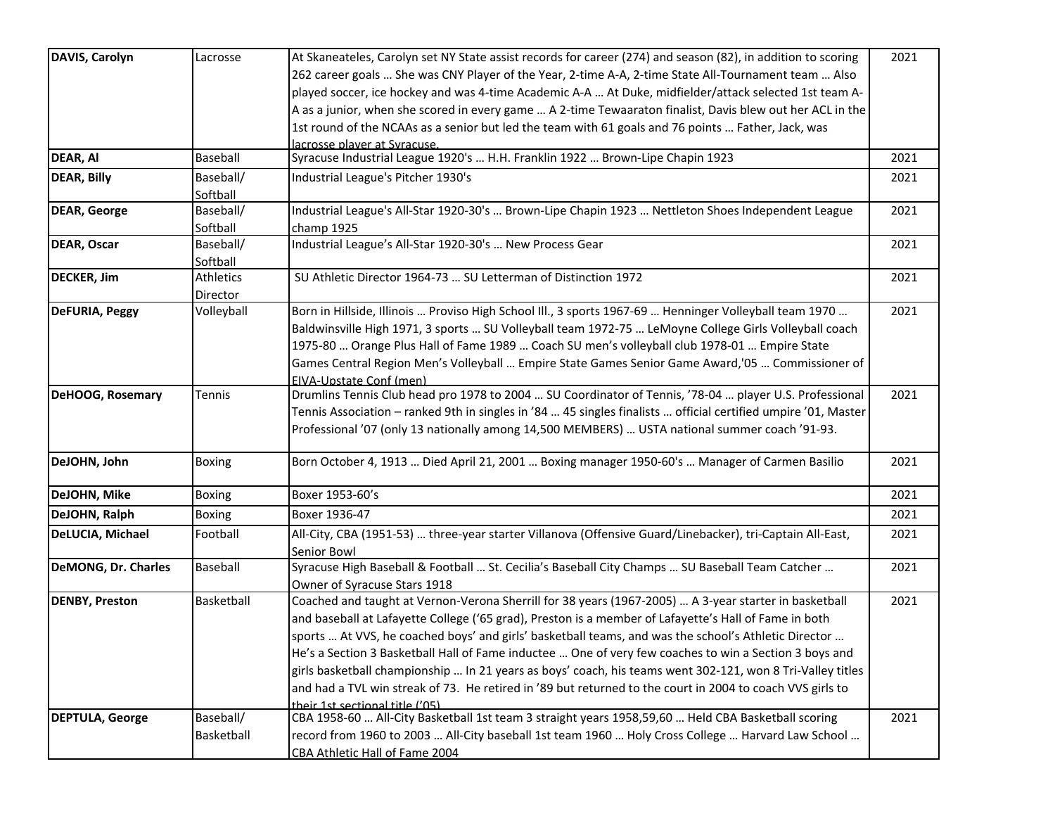| DAVIS, Carolyn             | Lacrosse      | At Skaneateles, Carolyn set NY State assist records for career (274) and season (82), in addition to scoring   | 2021 |
|----------------------------|---------------|----------------------------------------------------------------------------------------------------------------|------|
|                            |               | 262 career goals  She was CNY Player of the Year, 2-time A-A, 2-time State All-Tournament team  Also           |      |
|                            |               | played soccer, ice hockey and was 4-time Academic A-A  At Duke, midfielder/attack selected 1st team A-         |      |
|                            |               | A as a junior, when she scored in every game  A 2-time Tewaaraton finalist, Davis blew out her ACL in the      |      |
|                            |               | 1st round of the NCAAs as a senior but led the team with 61 goals and 76 points  Father, Jack, was             |      |
|                            |               | lacrosse player at Syracuse.                                                                                   |      |
| DEAR, AI                   | Baseball      | Syracuse Industrial League 1920's  H.H. Franklin 1922  Brown-Lipe Chapin 1923                                  | 2021 |
| <b>DEAR, Billy</b>         | Baseball/     | Industrial League's Pitcher 1930's                                                                             | 2021 |
|                            | Softball      |                                                                                                                |      |
| <b>DEAR, George</b>        | Baseball/     | Industrial League's All-Star 1920-30's  Brown-Lipe Chapin 1923  Nettleton Shoes Independent League             | 2021 |
|                            | Softball      | champ 1925                                                                                                     |      |
| <b>DEAR, Oscar</b>         | Baseball/     | Industrial League's All-Star 1920-30's  New Process Gear                                                       | 2021 |
|                            | Softball      |                                                                                                                |      |
| <b>DECKER, Jim</b>         | Athletics     | SU Athletic Director 1964-73  SU Letterman of Distinction 1972                                                 | 2021 |
|                            | Director      |                                                                                                                |      |
| <b>DeFURIA, Peggy</b>      | Volleyball    | Born in Hillside, Illinois  Proviso High School III., 3 sports 1967-69  Henninger Volleyball team 1970         | 2021 |
|                            |               | Baldwinsville High 1971, 3 sports  SU Volleyball team 1972-75  LeMoyne College Girls Volleyball coach          |      |
|                            |               | 1975-80  Orange Plus Hall of Fame 1989  Coach SU men's volleyball club 1978-01  Empire State                   |      |
|                            |               | Games Central Region Men's Volleyball  Empire State Games Senior Game Award, '05  Commissioner of              |      |
|                            |               | EIVA-Upstate Conf (men)                                                                                        |      |
| <b>DeHOOG, Rosemary</b>    | Tennis        | Drumlins Tennis Club head pro 1978 to 2004  SU Coordinator of Tennis, '78-04  player U.S. Professional         | 2021 |
|                            |               | Tennis Association - ranked 9th in singles in '84  45 singles finalists  official certified umpire '01, Master |      |
|                            |               | Professional '07 (only 13 nationally among 14,500 MEMBERS)  USTA national summer coach '91-93.                 |      |
| DeJOHN, John               | Boxing        | Born October 4, 1913  Died April 21, 2001  Boxing manager 1950-60's  Manager of Carmen Basilio                 | 2021 |
| DeJOHN, Mike               | Boxing        | Boxer 1953-60's                                                                                                | 2021 |
|                            |               |                                                                                                                |      |
| DeJOHN, Ralph              | <b>Boxing</b> | Boxer 1936-47                                                                                                  | 2021 |
| DeLUCIA, Michael           | Football      | All-City, CBA (1951-53)  three-year starter Villanova (Offensive Guard/Linebacker), tri-Captain All-East,      | 2021 |
|                            |               | Senior Bowl                                                                                                    |      |
| <b>DeMONG, Dr. Charles</b> | Baseball      | Syracuse High Baseball & Football  St. Cecilia's Baseball City Champs  SU Baseball Team Catcher                | 2021 |
|                            |               | Owner of Syracuse Stars 1918                                                                                   |      |
| <b>DENBY, Preston</b>      | Basketball    | Coached and taught at Vernon-Verona Sherrill for 38 years (1967-2005)  A 3-year starter in basketball          | 2021 |
|                            |               | and baseball at Lafayette College ('65 grad), Preston is a member of Lafayette's Hall of Fame in both          |      |
|                            |               | sports  At VVS, he coached boys' and girls' basketball teams, and was the school's Athletic Director           |      |
|                            |               | He's a Section 3 Basketball Hall of Fame inductee  One of very few coaches to win a Section 3 boys and         |      |
|                            |               | girls basketball championship  In 21 years as boys' coach, his teams went 302-121, won 8 Tri-Valley titles     |      |
|                            |               | and had a TVL win streak of 73. He retired in '89 but returned to the court in 2004 to coach VVS girls to      |      |
|                            |               | their 1st sectional title ('05)                                                                                |      |
| <b>DEPTULA, George</b>     | Baseball/     | CBA 1958-60  All-City Basketball 1st team 3 straight years 1958,59,60  Held CBA Basketball scoring             | 2021 |
|                            | Basketball    | mecord from 1960 to 2003  All-City baseball 1st team 1960  Holy Cross College  Harvard Law School              |      |
|                            |               | CBA Athletic Hall of Fame 2004                                                                                 |      |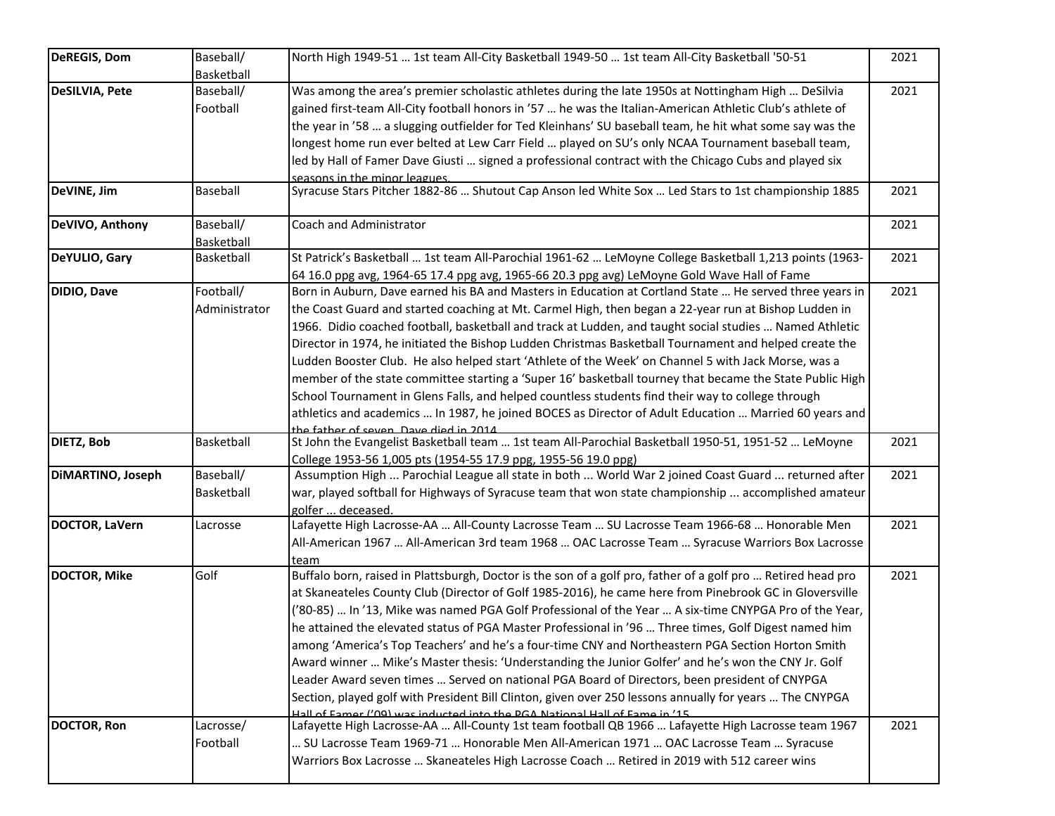| <b>DeREGIS, Dom</b>   | Baseball/<br>Basketball    | North High 1949-51  1st team All-City Basketball 1949-50  1st team All-City Basketball '50-51                                                                                                                                                                                                                                                                                                                                                                                                                                                                                                                                                                                                                                                                                                                                                                                                                                                    | 2021 |
|-----------------------|----------------------------|--------------------------------------------------------------------------------------------------------------------------------------------------------------------------------------------------------------------------------------------------------------------------------------------------------------------------------------------------------------------------------------------------------------------------------------------------------------------------------------------------------------------------------------------------------------------------------------------------------------------------------------------------------------------------------------------------------------------------------------------------------------------------------------------------------------------------------------------------------------------------------------------------------------------------------------------------|------|
| <b>DeSILVIA, Pete</b> | Baseball/<br>Football      | Was among the area's premier scholastic athletes during the late 1950s at Nottingham High  DeSilvia<br>gained first-team All-City football honors in '57  he was the Italian-American Athletic Club's athlete of<br>the year in '58  a slugging outfielder for Ted Kleinhans' SU baseball team, he hit what some say was the<br>longest home run ever belted at Lew Carr Field  played on SU's only NCAA Tournament baseball team,<br>led by Hall of Famer Dave Giusti  signed a professional contract with the Chicago Cubs and played six<br>seasons in the minor leagues.                                                                                                                                                                                                                                                                                                                                                                     | 2021 |
| DeVINE, Jim           | Baseball                   | Syracuse Stars Pitcher 1882-86  Shutout Cap Anson led White Sox  Led Stars to 1st championship 1885                                                                                                                                                                                                                                                                                                                                                                                                                                                                                                                                                                                                                                                                                                                                                                                                                                              | 2021 |
| DeVIVO, Anthony       | Baseball/<br>Basketball    | Coach and Administrator                                                                                                                                                                                                                                                                                                                                                                                                                                                                                                                                                                                                                                                                                                                                                                                                                                                                                                                          | 2021 |
| DeYULIO, Gary         | Basketball                 | St Patrick's Basketball  1st team All-Parochial 1961-62  LeMoyne College Basketball 1,213 points (1963-<br>64 16.0 ppg avg, 1964-65 17.4 ppg avg, 1965-66 20.3 ppg avg) LeMoyne Gold Wave Hall of Fame                                                                                                                                                                                                                                                                                                                                                                                                                                                                                                                                                                                                                                                                                                                                           | 2021 |
| DIDIO, Dave           | Football/<br>Administrator | Born in Auburn, Dave earned his BA and Masters in Education at Cortland State  He served three years in<br>the Coast Guard and started coaching at Mt. Carmel High, then began a 22-year run at Bishop Ludden in<br>1966. Didio coached football, basketball and track at Ludden, and taught social studies  Named Athletic<br>Director in 1974, he initiated the Bishop Ludden Christmas Basketball Tournament and helped create the<br>Ludden Booster Club. He also helped start 'Athlete of the Week' on Channel 5 with Jack Morse, was a<br>member of the state committee starting a 'Super 16' basketball tourney that became the State Public High<br>School Tournament in Glens Falls, and helped countless students find their way to college through<br>athletics and academics  In 1987, he joined BOCES as Director of Adult Education  Married 60 years and<br>he father of seven Dave died in 2014                                  | 2021 |
| <b>DIETZ, Bob</b>     | Basketball                 | St John the Evangelist Basketball team  1st team All-Parochial Basketball 1950-51, 1951-52  LeMoyne<br>College 1953-56 1,005 pts (1954-55 17.9 ppg, 1955-56 19.0 ppg)                                                                                                                                                                                                                                                                                                                                                                                                                                                                                                                                                                                                                                                                                                                                                                            | 2021 |
| DIMARTINO, Joseph     | Baseball/<br>Basketball    | Assumption High  Parochial League all state in both  World War 2 joined Coast Guard  returned after<br>war, played softball for Highways of Syracuse team that won state championship  accomplished amateur<br>golfer  deceased.                                                                                                                                                                                                                                                                                                                                                                                                                                                                                                                                                                                                                                                                                                                 | 2021 |
| <b>DOCTOR, LaVern</b> | Lacrosse                   | Lafayette High Lacrosse-AA  All-County Lacrosse Team  SU Lacrosse Team 1966-68  Honorable Men<br>All-American 1967  All-American 3rd team 1968  OAC Lacrosse Team  Syracuse Warriors Box Lacrosse<br>team                                                                                                                                                                                                                                                                                                                                                                                                                                                                                                                                                                                                                                                                                                                                        | 2021 |
| <b>DOCTOR, Mike</b>   | Golf                       | Buffalo born, raised in Plattsburgh, Doctor is the son of a golf pro, father of a golf pro  Retired head pro<br>at Skaneateles County Club (Director of Golf 1985-2016), he came here from Pinebrook GC in Gloversville<br>('80-85)  In '13, Mike was named PGA Golf Professional of the Year  A six-time CNYPGA Pro of the Year,<br>he attained the elevated status of PGA Master Professional in '96  Three times, Golf Digest named him<br>among 'America's Top Teachers' and he's a four-time CNY and Northeastern PGA Section Horton Smith<br>Award winner  Mike's Master thesis: 'Understanding the Junior Golfer' and he's won the CNY Jr. Golf<br>Leader Award seven times  Served on national PGA Board of Directors, been president of CNYPGA<br>Section, played golf with President Bill Clinton, given over 250 lessons annually for years  The CNYPGA<br>Hall of Eamer ('09) was inducted into the PGA National Hall of Eame in '15 | 2021 |
| <b>DOCTOR, Ron</b>    | Lacrosse/<br>Football      | Lafayette High Lacrosse-AA  All-County 1st team football QB 1966  Lafayette High Lacrosse team 1967<br>SU Lacrosse Team 1969-71  Honorable Men All-American 1971  OAC Lacrosse Team  Syracuse<br>Warriors Box Lacrosse  Skaneateles High Lacrosse Coach  Retired in 2019 with 512 career wins                                                                                                                                                                                                                                                                                                                                                                                                                                                                                                                                                                                                                                                    | 2021 |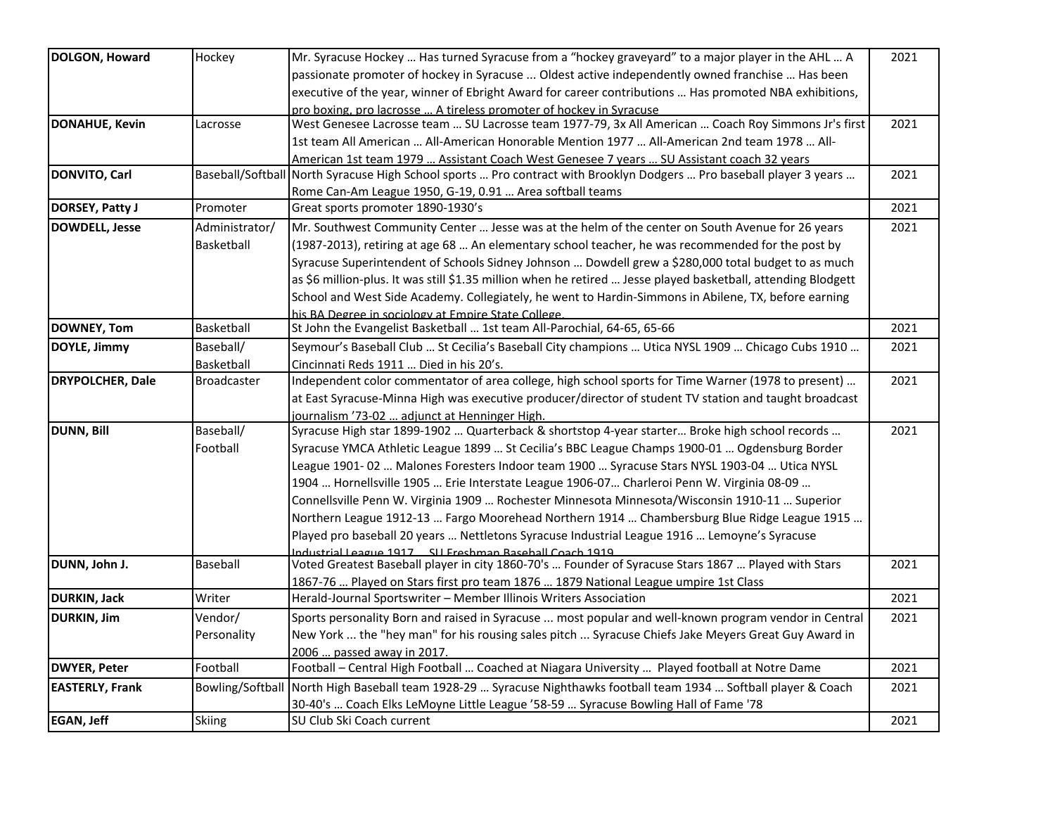| DOLGON, Howard          | Hockey             | Mr. Syracuse Hockey  Has turned Syracuse from a "hockey graveyard" to a major player in the AHL  A                             | 2021 |
|-------------------------|--------------------|--------------------------------------------------------------------------------------------------------------------------------|------|
|                         |                    | passionate promoter of hockey in Syracuse  Oldest active independently owned franchise  Has been                               |      |
|                         |                    | executive of the year, winner of Ebright Award for career contributions  Has promoted NBA exhibitions,                         |      |
|                         |                    | pro boxing, pro lacrosse  A tireless promoter of hockey in Syracuse                                                            |      |
| <b>DONAHUE, Kevin</b>   | Lacrosse           | West Genesee Lacrosse team  SU Lacrosse team 1977-79, 3x All American  Coach Roy Simmons Jr's first                            | 2021 |
|                         |                    | 1st team All American  All-American Honorable Mention 1977  All-American 2nd team 1978  All-                                   |      |
|                         |                    | American 1st team 1979  Assistant Coach West Genesee 7 years  SU Assistant coach 32 years                                      |      |
| <b>DONVITO, Carl</b>    |                    | Baseball/Softball North Syracuse High School sports  Pro contract with Brooklyn Dodgers  Pro baseball player 3 years           | 2021 |
|                         |                    | Rome Can-Am League 1950, G-19, 0.91  Area softball teams                                                                       |      |
| DORSEY, Patty J         | Promoter           | Great sports promoter 1890-1930's                                                                                              | 2021 |
| DOWDELL, Jesse          | Administrator/     | Mr. Southwest Community Center  Jesse was at the helm of the center on South Avenue for 26 years                               | 2021 |
|                         | Basketball         | (1987-2013), retiring at age 68  An elementary school teacher, he was recommended for the post by                              |      |
|                         |                    | Syracuse Superintendent of Schools Sidney Johnson  Dowdell grew a \$280,000 total budget to as much                            |      |
|                         |                    | as \$6 million-plus. It was still \$1.35 million when he retired  Jesse played basketball, attending Blodgett                  |      |
|                         |                    |                                                                                                                                |      |
|                         |                    | School and West Side Academy. Collegiately, he went to Hardin-Simmons in Abilene, TX, before earning                           |      |
| DOWNEY, Tom             | Basketball         | his BA Degree in sociology at Empire State College.<br>St John the Evangelist Basketball  1st team All-Parochial, 64-65, 65-66 | 2021 |
|                         |                    |                                                                                                                                |      |
| DOYLE, Jimmy            | Baseball/          | Seymour's Baseball Club  St Cecilia's Baseball City champions  Utica NYSL 1909  Chicago Cubs 1910                              | 2021 |
|                         | Basketball         | Cincinnati Reds 1911  Died in his 20's.                                                                                        |      |
| <b>DRYPOLCHER, Dale</b> | <b>Broadcaster</b> | Independent color commentator of area college, high school sports for Time Warner (1978 to present)                            | 2021 |
|                         |                    | at East Syracuse-Minna High was executive producer/director of student TV station and taught broadcast                         |      |
|                         |                    | journalism '73-02  adjunct at Henninger High.                                                                                  |      |
| <b>DUNN, Bill</b>       | Baseball/          | Syracuse High star 1899-1902  Quarterback & shortstop 4-year starter Broke high school records                                 | 2021 |
|                         | Football           | Syracuse YMCA Athletic League 1899  St Cecilia's BBC League Champs 1900-01  Ogdensburg Border                                  |      |
|                         |                    | League 1901-02  Malones Foresters Indoor team 1900  Syracuse Stars NYSL 1903-04  Utica NYSL                                    |      |
|                         |                    | 1904  Hornellsville 1905  Erie Interstate League 1906-07  Charleroi Penn W. Virginia 08-09                                     |      |
|                         |                    | Connellsville Penn W. Virginia 1909  Rochester Minnesota Minnesota/Wisconsin 1910-11  Superior                                 |      |
|                         |                    | Northern League 1912-13  Fargo Moorehead Northern 1914  Chambersburg Blue Ridge League 1915                                    |      |
|                         |                    | Played pro baseball 20 years  Nettletons Syracuse Industrial League 1916  Lemoyne's Syracuse                                   |      |
|                         |                    | ndustrial League 1917 SII Freshman Raseball Coach 1919                                                                         |      |
| DUNN, John J.           | Baseball           | Voted Greatest Baseball player in city 1860-70's  Founder of Syracuse Stars 1867  Played with Stars                            | 2021 |
|                         |                    | 1867-76  Played on Stars first pro team 1876  1879 National League umpire 1st Class                                            |      |
| <b>DURKIN, Jack</b>     | Writer             | Herald-Journal Sportswriter - Member Illinois Writers Association                                                              | 2021 |
| <b>DURKIN, Jim</b>      | Vendor/            | Sports personality Born and raised in Syracuse  most popular and well-known program vendor in Central                          | 2021 |
|                         | Personality        | New York  the "hey man" for his rousing sales pitch  Syracuse Chiefs Jake Meyers Great Guy Award in                            |      |
|                         |                    | 2006  passed away in 2017.                                                                                                     |      |
| <b>DWYER, Peter</b>     | Football           | Football - Central High Football  Coached at Niagara University  Played football at Notre Dame                                 | 2021 |
| <b>EASTERLY, Frank</b>  |                    | Bowling/Softball North High Baseball team 1928-29  Syracuse Nighthawks football team 1934  Softball player & Coach             | 2021 |
|                         |                    | 30-40's  Coach Elks LeMoyne Little League '58-59  Syracuse Bowling Hall of Fame '78                                            |      |
| <b>EGAN, Jeff</b>       | <b>Skiing</b>      | SU Club Ski Coach current                                                                                                      | 2021 |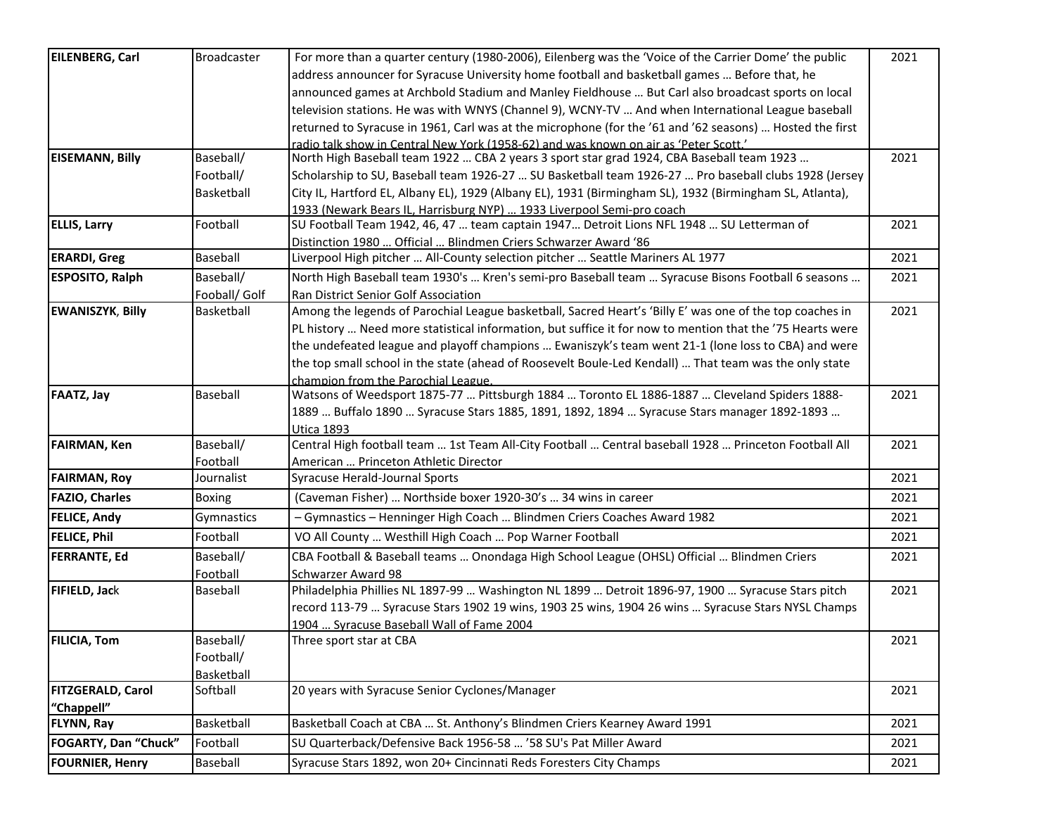| <b>EILENBERG, Carl</b>   | <b>Broadcaster</b> | For more than a quarter century (1980-2006), Eilenberg was the 'Voice of the Carrier Dome' the public     | 2021 |
|--------------------------|--------------------|-----------------------------------------------------------------------------------------------------------|------|
|                          |                    | address announcer for Syracuse University home football and basketball games  Before that, he             |      |
|                          |                    | announced games at Archbold Stadium and Manley Fieldhouse  But Carl also broadcast sports on local        |      |
|                          |                    | television stations. He was with WNYS (Channel 9), WCNY-TV  And when International League baseball        |      |
|                          |                    | returned to Syracuse in 1961, Carl was at the microphone (for the '61 and '62 seasons)  Hosted the first  |      |
|                          |                    | radio talk show in Central New York (1958-62) and was known on air as 'Peter Scott.'                      |      |
| <b>EISEMANN, Billy</b>   | Baseball/          | North High Baseball team 1922  CBA 2 years 3 sport star grad 1924, CBA Baseball team 1923                 | 2021 |
|                          | Football/          | Scholarship to SU, Baseball team 1926-27  SU Basketball team 1926-27  Pro baseball clubs 1928 (Jersey     |      |
|                          | Basketball         | City IL, Hartford EL, Albany EL), 1929 (Albany EL), 1931 (Birmingham SL), 1932 (Birmingham SL, Atlanta),  |      |
|                          |                    | 1933 (Newark Bears IL, Harrisburg NYP)  1933 Liverpool Semi-pro coach                                     |      |
| <b>ELLIS, Larry</b>      | Football           | SU Football Team 1942, 46, 47  team captain 1947 Detroit Lions NFL 1948  SU Letterman of                  | 2021 |
|                          |                    | Distinction 1980  Official  Blindmen Criers Schwarzer Award '86                                           |      |
| <b>ERARDI, Greg</b>      | Baseball           | Liverpool High pitcher  All-County selection pitcher  Seattle Mariners AL 1977                            | 2021 |
| <b>ESPOSITO, Ralph</b>   | Baseball/          | North High Baseball team 1930's  Kren's semi-pro Baseball team  Syracuse Bisons Football 6 seasons        | 2021 |
|                          | Fooball/ Golf      | Ran District Senior Golf Association                                                                      |      |
| <b>EWANISZYK, Billy</b>  | Basketball         | Among the legends of Parochial League basketball, Sacred Heart's 'Billy E' was one of the top coaches in  | 2021 |
|                          |                    | PL history  Need more statistical information, but suffice it for now to mention that the '75 Hearts were |      |
|                          |                    | the undefeated league and playoff champions  Ewaniszyk's team went 21-1 (lone loss to CBA) and were       |      |
|                          |                    | the top small school in the state (ahead of Roosevelt Boule-Led Kendall)  That team was the only state    |      |
|                          |                    | champion from the Parochial League.                                                                       |      |
| <b>FAATZ, Jay</b>        | <b>Baseball</b>    | Watsons of Weedsport 1875-77  Pittsburgh 1884  Toronto EL 1886-1887  Cleveland Spiders 1888-              | 2021 |
|                          |                    | 1889  Buffalo 1890  Syracuse Stars 1885, 1891, 1892, 1894  Syracuse Stars manager 1892-1893               |      |
|                          |                    | <b>Utica 1893</b>                                                                                         |      |
| <b>FAIRMAN, Ken</b>      | Baseball/          | Central High football team  1st Team All-City Football  Central baseball 1928  Princeton Football All     | 2021 |
|                          | Football           | American  Princeton Athletic Director                                                                     |      |
| <b>FAIRMAN, Roy</b>      | Journalist         | Syracuse Herald-Journal Sports                                                                            | 2021 |
| <b>FAZIO, Charles</b>    | Boxing             | (Caveman Fisher)  Northside boxer 1920-30's  34 wins in career                                            | 2021 |
| <b>FELICE, Andy</b>      | Gymnastics         | - Gymnastics - Henninger High Coach  Blindmen Criers Coaches Award 1982                                   | 2021 |
| <b>FELICE, Phil</b>      | Football           | VO All County  Westhill High Coach  Pop Warner Football                                                   | 2021 |
| <b>FERRANTE, Ed</b>      | Baseball/          | CBA Football & Baseball teams  Onondaga High School League (OHSL) Official  Blindmen Criers               | 2021 |
|                          | Football           | Schwarzer Award 98                                                                                        |      |
| FIFIELD, Jack            | Baseball           | Philadelphia Phillies NL 1897-99  Washington NL 1899  Detroit 1896-97, 1900  Syracuse Stars pitch         | 2021 |
|                          |                    | record 113-79  Syracuse Stars 1902 19 wins, 1903 25 wins, 1904 26 wins  Syracuse Stars NYSL Champs        |      |
|                          |                    | 1904  Syracuse Baseball Wall of Fame 2004                                                                 |      |
| <b>FILICIA, Tom</b>      | Baseball/          | Three sport star at CBA                                                                                   | 2021 |
|                          | Football/          |                                                                                                           |      |
|                          | Basketball         |                                                                                                           |      |
| <b>FITZGERALD, Carol</b> | Softball           | 20 years with Syracuse Senior Cyclones/Manager                                                            | 2021 |
| "Chappell"               |                    |                                                                                                           |      |
| <b>FLYNN, Ray</b>        | Basketball         | Basketball Coach at CBA  St. Anthony's Blindmen Criers Kearney Award 1991                                 | 2021 |
| FOGARTY, Dan "Chuck"     | Football           | SU Quarterback/Defensive Back 1956-58  '58 SU's Pat Miller Award                                          | 2021 |
| <b>FOURNIER, Henry</b>   | Baseball           | Syracuse Stars 1892, won 20+ Cincinnati Reds Foresters City Champs                                        | 2021 |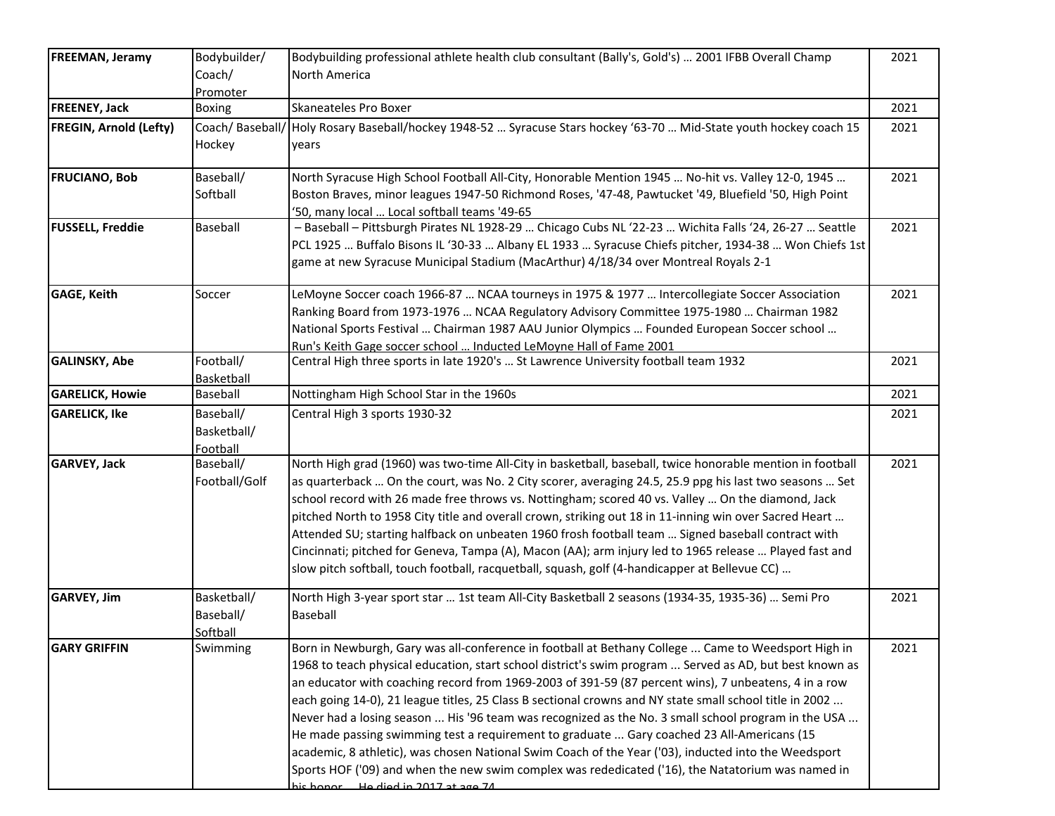| <b>FREEMAN, Jeramy</b>        | Bodybuilder/<br>Coach/<br>Promoter   | Bodybuilding professional athlete health club consultant (Bally's, Gold's)  2001 IFBB Overall Champ<br>North America                                                                                                                                                                                                                                                                                                                                                                                                                                                                                                                                                                                                                                                                                                                                                                        | 2021 |
|-------------------------------|--------------------------------------|---------------------------------------------------------------------------------------------------------------------------------------------------------------------------------------------------------------------------------------------------------------------------------------------------------------------------------------------------------------------------------------------------------------------------------------------------------------------------------------------------------------------------------------------------------------------------------------------------------------------------------------------------------------------------------------------------------------------------------------------------------------------------------------------------------------------------------------------------------------------------------------------|------|
| <b>FREENEY, Jack</b>          | Boxing                               | Skaneateles Pro Boxer                                                                                                                                                                                                                                                                                                                                                                                                                                                                                                                                                                                                                                                                                                                                                                                                                                                                       | 2021 |
| <b>FREGIN, Arnold (Lefty)</b> | Coach/ Baseball/<br>Hockey           | Holy Rosary Baseball/hockey 1948-52  Syracuse Stars hockey '63-70  Mid-State youth hockey coach 15<br>years                                                                                                                                                                                                                                                                                                                                                                                                                                                                                                                                                                                                                                                                                                                                                                                 | 2021 |
| <b>FRUCIANO, Bob</b>          | Baseball/<br>Softball                | North Syracuse High School Football All-City, Honorable Mention 1945  No-hit vs. Valley 12-0, 1945<br>Boston Braves, minor leagues 1947-50 Richmond Roses, '47-48, Pawtucket '49, Bluefield '50, High Point<br>'50, many local  Local softball teams '49-65                                                                                                                                                                                                                                                                                                                                                                                                                                                                                                                                                                                                                                 | 2021 |
| <b>FUSSELL, Freddie</b>       | Baseball                             | - Baseball - Pittsburgh Pirates NL 1928-29  Chicago Cubs NL '22-23  Wichita Falls '24, 26-27  Seattle<br>PCL 1925  Buffalo Bisons IL '30-33  Albany EL 1933  Syracuse Chiefs pitcher, 1934-38  Won Chiefs 1st<br>game at new Syracuse Municipal Stadium (MacArthur) 4/18/34 over Montreal Royals 2-1                                                                                                                                                                                                                                                                                                                                                                                                                                                                                                                                                                                        | 2021 |
| <b>GAGE, Keith</b>            | Soccer                               | LeMoyne Soccer coach 1966-87  NCAA tourneys in 1975 & 1977  Intercollegiate Soccer Association<br>Ranking Board from 1973-1976  NCAA Regulatory Advisory Committee 1975-1980  Chairman 1982<br>Mational Sports Festival  Chairman 1987 AAU Junior Olympics  Founded European Soccer school<br>Run's Keith Gage soccer school  Inducted LeMoyne Hall of Fame 2001                                                                                                                                                                                                                                                                                                                                                                                                                                                                                                                            | 2021 |
| <b>GALINSKY, Abe</b>          | Football/<br>Basketball              | Central High three sports in late 1920's  St Lawrence University football team 1932                                                                                                                                                                                                                                                                                                                                                                                                                                                                                                                                                                                                                                                                                                                                                                                                         | 2021 |
| <b>GARELICK, Howie</b>        | Baseball                             | Nottingham High School Star in the 1960s                                                                                                                                                                                                                                                                                                                                                                                                                                                                                                                                                                                                                                                                                                                                                                                                                                                    | 2021 |
| <b>GARELICK, Ike</b>          | Baseball/<br>Basketball/<br>Football | Central High 3 sports 1930-32                                                                                                                                                                                                                                                                                                                                                                                                                                                                                                                                                                                                                                                                                                                                                                                                                                                               | 2021 |
| <b>GARVEY, Jack</b>           | Baseball/<br>Football/Golf           | North High grad (1960) was two-time All-City in basketball, baseball, twice honorable mention in football<br>as quarterback  On the court, was No. 2 City scorer, averaging 24.5, 25.9 ppg his last two seasons  Set<br>school record with 26 made free throws vs. Nottingham; scored 40 vs. Valley  On the diamond, Jack<br>pitched North to 1958 City title and overall crown, striking out 18 in 11-inning win over Sacred Heart<br>Attended SU; starting halfback on unbeaten 1960 frosh football team  Signed baseball contract with<br>Cincinnati; pitched for Geneva, Tampa (A), Macon (AA); arm injury led to 1965 release  Played fast and<br>slow pitch softball, touch football, racquetball, squash, golf (4-handicapper at Bellevue CC)                                                                                                                                        | 2021 |
| <b>GARVEY, Jim</b>            | Basketball/<br>Baseball/<br>Softball | North High 3-year sport star  1st team All-City Basketball 2 seasons (1934-35, 1935-36)  Semi Pro<br>Baseball                                                                                                                                                                                                                                                                                                                                                                                                                                                                                                                                                                                                                                                                                                                                                                               | 2021 |
| <b>GARY GRIFFIN</b>           | Swimming                             | Born in Newburgh, Gary was all-conference in football at Bethany College  Came to Weedsport High in<br>1968 to teach physical education, start school district's swim program  Served as AD, but best known as<br>an educator with coaching record from 1969-2003 of 391-59 (87 percent wins), 7 unbeatens, 4 in a row<br>each going 14-0), 21 league titles, 25 Class B sectional crowns and NY state small school title in 2002<br>Never had a losing season  His '96 team was recognized as the No. 3 small school program in the USA<br>He made passing swimming test a requirement to graduate  Gary coached 23 All-Americans (15<br>academic, 8 athletic), was chosen National Swim Coach of the Year ('03), inducted into the Weedsport<br>Sports HOF ('09) and when the new swim complex was rededicated ('16), the Natatorium was named in<br>his honor  He died in 2017 at age 74 | 2021 |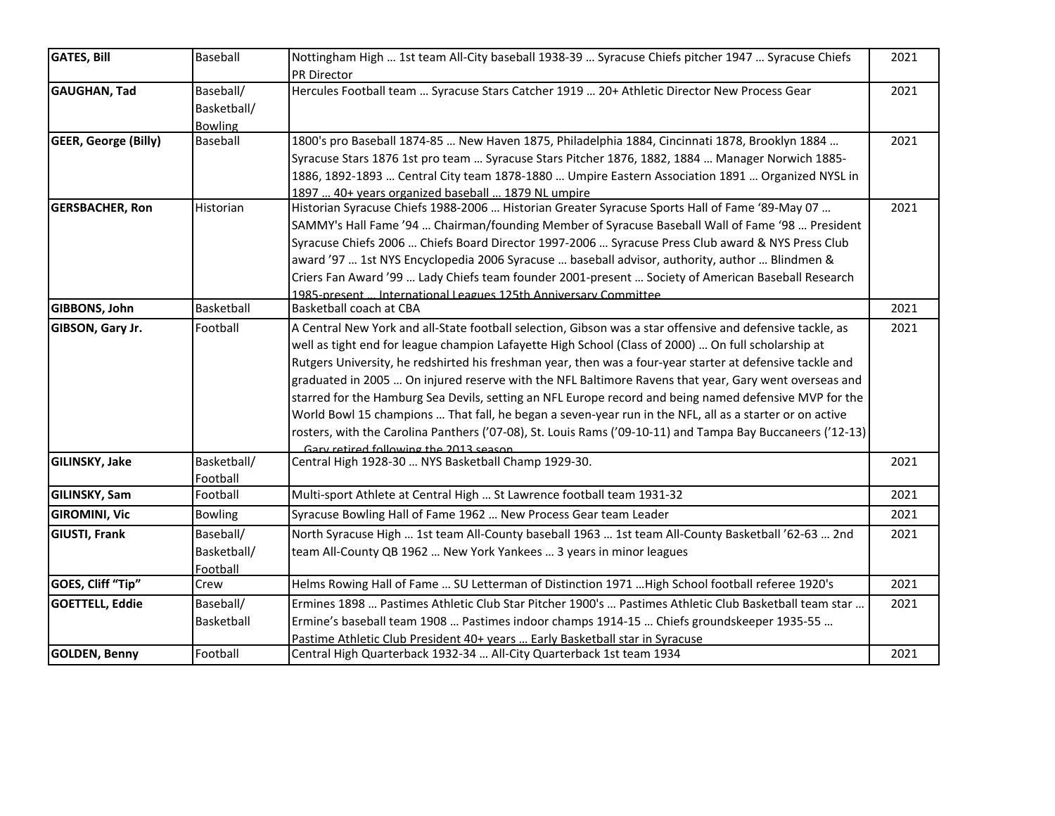| <b>GATES, Bill</b>          | Baseball       | Nottingham High  1st team All-City baseball 1938-39  Syracuse Chiefs pitcher 1947  Syracuse Chiefs         | 2021 |
|-----------------------------|----------------|------------------------------------------------------------------------------------------------------------|------|
|                             |                | PR Director                                                                                                |      |
| GAUGHAN, Tad                | Baseball/      | Hercules Football team  Syracuse Stars Catcher 1919  20+ Athletic Director New Process Gear                | 2021 |
|                             | Basketball/    |                                                                                                            |      |
|                             | <b>Bowling</b> |                                                                                                            |      |
| <b>GEER, George (Billy)</b> | Baseball       | 1800's pro Baseball 1874-85  New Haven 1875, Philadelphia 1884, Cincinnati 1878, Brooklyn 1884             | 2021 |
|                             |                | Syracuse Stars 1876 1st pro team  Syracuse Stars Pitcher 1876, 1882, 1884  Manager Norwich 1885-           |      |
|                             |                | 1886, 1892-1893  Central City team 1878-1880  Umpire Eastern Association 1891  Organized NYSL in           |      |
|                             |                | 1897  40+ years organized baseball  1879 NL umpire                                                         |      |
| <b>GERSBACHER, Ron</b>      | Historian      | Historian Syracuse Chiefs 1988-2006  Historian Greater Syracuse Sports Hall of Fame '89-May 07             | 2021 |
|                             |                | SAMMY's Hall Fame '94  Chairman/founding Member of Syracuse Baseball Wall of Fame '98  President           |      |
|                             |                | Syracuse Chiefs 2006  Chiefs Board Director 1997-2006  Syracuse Press Club award & NYS Press Club          |      |
|                             |                | award '97  1st NYS Encyclopedia 2006 Syracuse  baseball advisor, authority, author  Blindmen &             |      |
|                             |                | Criers Fan Award '99  Lady Chiefs team founder 2001-present  Society of American Baseball Research         |      |
|                             |                | 1985-present  International Leagues 125th Anniversary Committee                                            |      |
| GIBBONS, John               | Basketball     | Basketball coach at CBA                                                                                    | 2021 |
| GIBSON, Gary Jr.            | Football       | A Central New York and all-State football selection, Gibson was a star offensive and defensive tackle, as  | 2021 |
|                             |                | well as tight end for league champion Lafayette High School (Class of 2000)  On full scholarship at        |      |
|                             |                | Rutgers University, he redshirted his freshman year, then was a four-year starter at defensive tackle and  |      |
|                             |                | graduated in 2005  On injured reserve with the NFL Baltimore Ravens that year, Gary went overseas and      |      |
|                             |                | starred for the Hamburg Sea Devils, setting an NFL Europe record and being named defensive MVP for the     |      |
|                             |                | World Bowl 15 champions  That fall, he began a seven-year run in the NFL, all as a starter or on active    |      |
|                             |                | rosters, with the Carolina Panthers ('07-08), St. Louis Rams ('09-10-11) and Tampa Bay Buccaneers ('12-13) |      |
|                             |                | Gary retired following the 2013 season                                                                     |      |
| <b>GILINSKY, Jake</b>       | Basketball/    | Central High 1928-30  NYS Basketball Champ 1929-30.                                                        | 2021 |
|                             | Football       |                                                                                                            |      |
| <b>GILINSKY, Sam</b>        | Football       | Multi-sport Athlete at Central High  St Lawrence football team 1931-32                                     | 2021 |
| <b>GIROMINI, Vic</b>        | <b>Bowling</b> | Syracuse Bowling Hall of Fame 1962  New Process Gear team Leader                                           | 2021 |
| <b>GIUSTI, Frank</b>        | Baseball/      | North Syracuse High  1st team All-County baseball 1963  1st team All-County Basketball '62-63  2nd         | 2021 |
|                             | Basketball/    | team All-County QB 1962  New York Yankees  3 years in minor leagues                                        |      |
|                             | Football       |                                                                                                            |      |
| GOES, Cliff "Tip"           | Crew           | Helms Rowing Hall of Fame  SU Letterman of Distinction 1971  High School football referee 1920's           | 2021 |
| <b>GOETTELL, Eddie</b>      | Baseball/      | Ermines 1898  Pastimes Athletic Club Star Pitcher 1900's  Pastimes Athletic Club Basketball team star      | 2021 |
|                             | Basketball     | Ermine's baseball team 1908  Pastimes indoor champs 1914-15  Chiefs groundskeeper 1935-55                  |      |
|                             |                | Pastime Athletic Club President 40+ years  Early Basketball star in Syracuse                               |      |
| <b>GOLDEN, Benny</b>        | Football       | Central High Quarterback 1932-34  All-City Quarterback 1st team 1934                                       | 2021 |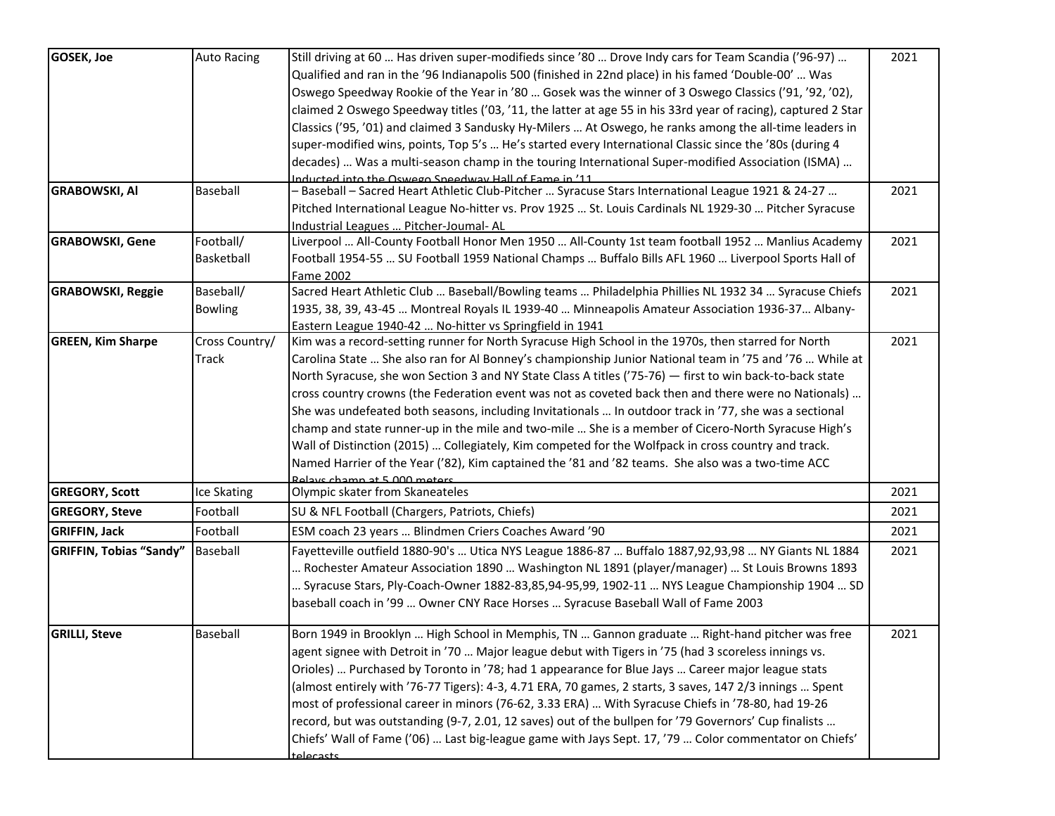| <b>GOSEK, Joe</b>              | <b>Auto Racing</b> | Still driving at 60  Has driven super-modifieds since '80  Drove Indy cars for Team Scandia ('96-97)                              | 2021 |
|--------------------------------|--------------------|-----------------------------------------------------------------------------------------------------------------------------------|------|
|                                |                    | Qualified and ran in the '96 Indianapolis 500 (finished in 22nd place) in his famed 'Double-00'  Was                              |      |
|                                |                    | Oswego Speedway Rookie of the Year in '80  Gosek was the winner of 3 Oswego Classics ('91, '92, '02),                             |      |
|                                |                    | claimed 2 Oswego Speedway titles ('03, '11, the latter at age 55 in his 33rd year of racing), captured 2 Star                     |      |
|                                |                    | Classics ('95, '01) and claimed 3 Sandusky Hy-Milers  At Oswego, he ranks among the all-time leaders in                           |      |
|                                |                    | super-modified wins, points, Top 5's  He's started every International Classic since the '80s (during 4                           |      |
|                                |                    | decades)  Was a multi-season champ in the touring International Super-modified Association (ISMA)                                 |      |
|                                |                    | Inducted into the Oswego Sneedway Hall of Fame in '11                                                                             |      |
| <b>GRABOWSKI, AI</b>           | Baseball           | Baseball - Sacred Heart Athletic Club-Pitcher  Syracuse Stars International League 1921 & 24-27                                   | 2021 |
|                                |                    | Pitched International League No-hitter vs. Prov 1925  St. Louis Cardinals NL 1929-30  Pitcher Syracuse                            |      |
|                                |                    | Industrial Leagues  Pitcher-Joumal-AL                                                                                             |      |
| <b>GRABOWSKI, Gene</b>         | Football/          | Liverpool  All-County Football Honor Men 1950  All-County 1st team football 1952  Manlius Academy                                 | 2021 |
|                                | Basketball         | Football 1954-55  SU Football 1959 National Champs  Buffalo Bills AFL 1960  Liverpool Sports Hall of                              |      |
|                                |                    | Fame 2002                                                                                                                         |      |
| <b>GRABOWSKI, Reggie</b>       | Baseball/          | Sacred Heart Athletic Club  Baseball/Bowling teams  Philadelphia Phillies NL 1932 34  Syracuse Chiefs                             | 2021 |
|                                | <b>Bowling</b>     | 1935, 38, 39, 43-45  Montreal Royals IL 1939-40  Minneapolis Amateur Association 1936-37  Albany-                                 |      |
|                                |                    | Eastern League 1940-42  No-hitter vs Springfield in 1941                                                                          |      |
| <b>GREEN, Kim Sharpe</b>       | Cross Country/     | Kim was a record-setting runner for North Syracuse High School in the 1970s, then starred for North                               | 2021 |
|                                | Track              | Carolina State  She also ran for Al Bonney's championship Junior National team in '75 and '76  While at                           |      |
|                                |                    | North Syracuse, she won Section 3 and NY State Class A titles ('75-76) - first to win back-to-back state                          |      |
|                                |                    | cross country crowns (the Federation event was not as coveted back then and there were no Nationals)                              |      |
|                                |                    | She was undefeated both seasons, including Invitationals  In outdoor track in '77, she was a sectional                            |      |
|                                |                    | champ and state runner-up in the mile and two-mile  She is a member of Cicero-North Syracuse High's                               |      |
|                                |                    |                                                                                                                                   |      |
|                                |                    | Wall of Distinction (2015)  Collegiately, Kim competed for the Wolfpack in cross country and track.                               |      |
|                                |                    | Named Harrier of the Year ('82), Kim captained the '81 and '82 teams. She also was a two-time ACC<br>Relays chamn at 5,000 meters |      |
| <b>GREGORY, Scott</b>          | Ice Skating        | Olympic skater from Skaneateles                                                                                                   | 2021 |
| <b>GREGORY, Steve</b>          | Football           | SU & NFL Football (Chargers, Patriots, Chiefs)                                                                                    | 2021 |
| <b>GRIFFIN, Jack</b>           | Football           | ESM coach 23 years  Blindmen Criers Coaches Award '90                                                                             | 2021 |
| <b>GRIFFIN, Tobias "Sandy"</b> | Baseball           | Fayetteville outfield 1880-90's  Utica NYS League 1886-87  Buffalo 1887,92,93,98  NY Giants NL 1884                               | 2021 |
|                                |                    | Rochester Amateur Association 1890  Washington NL 1891 (player/manager)  St Louis Browns 1893                                     |      |
|                                |                    | Syracuse Stars, Ply-Coach-Owner 1882-83,85,94-95,99, 1902-11  NYS League Championship 1904  SD                                    |      |
|                                |                    | baseball coach in '99  Owner CNY Race Horses  Syracuse Baseball Wall of Fame 2003                                                 |      |
|                                |                    |                                                                                                                                   |      |
| <b>GRILLI, Steve</b>           | Baseball           | Born 1949 in Brooklyn  High School in Memphis, TN  Gannon graduate  Right-hand pitcher was free                                   | 2021 |
|                                |                    | agent signee with Detroit in '70  Major league debut with Tigers in '75 (had 3 scoreless innings vs.                              |      |
|                                |                    | Orioles)  Purchased by Toronto in '78; had 1 appearance for Blue Jays  Career major league stats                                  |      |
|                                |                    | (almost entirely with '76-77 Tigers): 4-3, 4.71 ERA, 70 games, 2 starts, 3 saves, 147 2/3 innings  Spent                          |      |
|                                |                    | most of professional career in minors (76-62, 3.33 ERA)  With Syracuse Chiefs in '78-80, had 19-26                                |      |
|                                |                    | record, but was outstanding (9-7, 2.01, 12 saves) out of the bullpen for '79 Governors' Cup finalists                             |      |
|                                |                    | Chiefs' Wall of Fame ('06)  Last big-league game with Jays Sept. 17, '79  Color commentator on Chiefs'                            |      |
|                                |                    | telecasts                                                                                                                         |      |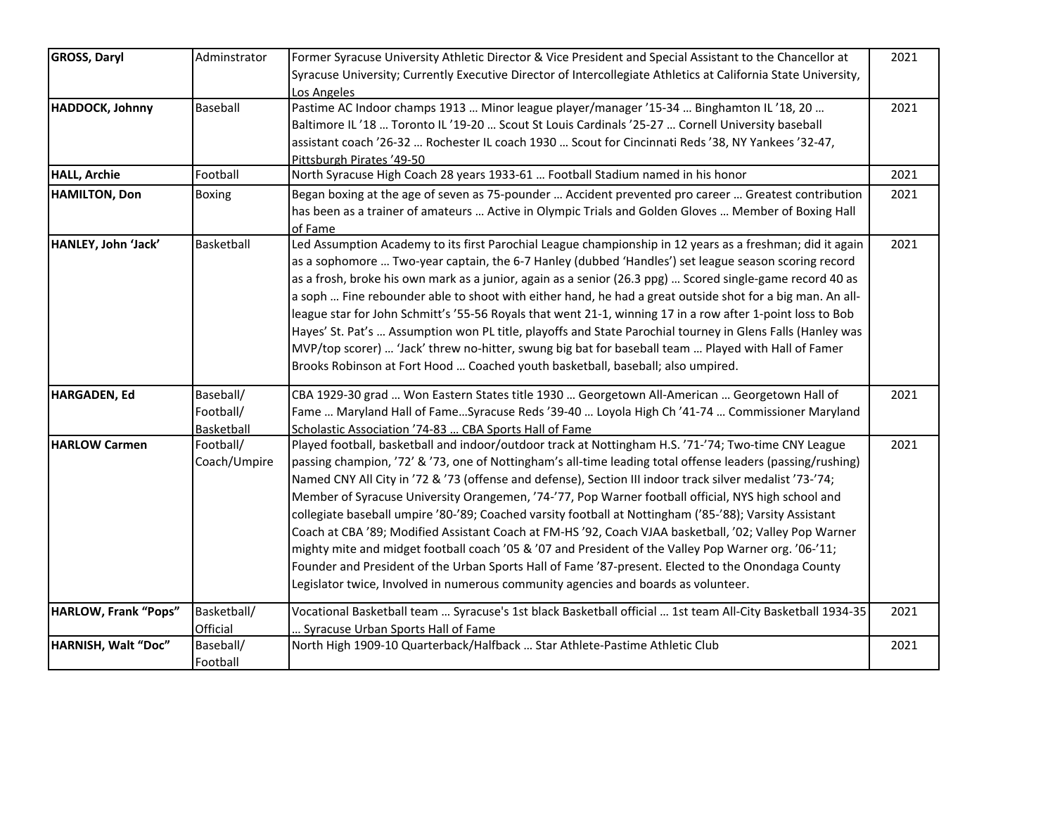| <b>GROSS, Daryl</b>         | Adminstrator | Former Syracuse University Athletic Director & Vice President and Special Assistant to the Chancellor at       | 2021 |
|-----------------------------|--------------|----------------------------------------------------------------------------------------------------------------|------|
|                             |              | Syracuse University; Currently Executive Director of Intercollegiate Athletics at California State University, |      |
|                             |              | Los Angeles                                                                                                    |      |
| HADDOCK, Johnny             | Baseball     | Pastime AC Indoor champs 1913  Minor league player/manager '15-34  Binghamton IL '18, 20                       | 2021 |
|                             |              | Baltimore IL '18  Toronto IL '19-20  Scout St Louis Cardinals '25-27  Cornell University baseball              |      |
|                             |              | assistant coach '26-32  Rochester IL coach 1930  Scout for Cincinnati Reds '38, NY Yankees '32-47,             |      |
|                             |              | Pittsburgh Pirates '49-50                                                                                      |      |
| <b>HALL, Archie</b>         | Football     | North Syracuse High Coach 28 years 1933-61  Football Stadium named in his honor                                | 2021 |
| <b>HAMILTON, Don</b>        | Boxing       | Began boxing at the age of seven as 75-pounder  Accident prevented pro career  Greatest contribution           | 2021 |
|                             |              | has been as a trainer of amateurs  Active in Olympic Trials and Golden Gloves  Member of Boxing Hall           |      |
|                             |              | of Fame                                                                                                        |      |
| HANLEY, John 'Jack'         | Basketball   | Led Assumption Academy to its first Parochial League championship in 12 years as a freshman; did it again      | 2021 |
|                             |              | as a sophomore  Two-year captain, the 6-7 Hanley (dubbed 'Handles') set league season scoring record           |      |
|                             |              | as a frosh, broke his own mark as a junior, again as a senior (26.3 ppg)  Scored single-game record 40 as      |      |
|                             |              | a soph  Fine rebounder able to shoot with either hand, he had a great outside shot for a big man. An all-      |      |
|                             |              | league star for John Schmitt's '55-56 Royals that went 21-1, winning 17 in a row after 1-point loss to Bob     |      |
|                             |              | Hayes' St. Pat's  Assumption won PL title, playoffs and State Parochial tourney in Glens Falls (Hanley was     |      |
|                             |              | MVP/top scorer)  'Jack' threw no-hitter, swung big bat for baseball team  Played with Hall of Famer            |      |
|                             |              | Brooks Robinson at Fort Hood  Coached youth basketball, baseball; also umpired.                                |      |
| <b>HARGADEN, Ed</b>         | Baseball/    | CBA 1929-30 grad  Won Eastern States title 1930  Georgetown All-American  Georgetown Hall of                   | 2021 |
|                             | Football/    | Fame  Maryland Hall of FameSyracuse Reds '39-40  Loyola High Ch '41-74  Commissioner Maryland                  |      |
|                             | Basketball   | Scholastic Association '74-83  CBA Sports Hall of Fame                                                         |      |
| <b>HARLOW Carmen</b>        | Football/    | Played football, basketball and indoor/outdoor track at Nottingham H.S. '71-'74; Two-time CNY League           | 2021 |
|                             | Coach/Umpire | passing champion, '72' & '73, one of Nottingham's all-time leading total offense leaders (passing/rushing)     |      |
|                             |              | Named CNY All City in '72 & '73 (offense and defense), Section III indoor track silver medalist '73-'74;       |      |
|                             |              | Member of Syracuse University Orangemen, '74-'77, Pop Warner football official, NYS high school and            |      |
|                             |              | collegiate baseball umpire '80-'89; Coached varsity football at Nottingham ('85-'88); Varsity Assistant        |      |
|                             |              | Coach at CBA '89; Modified Assistant Coach at FM-HS '92, Coach VJAA basketball, '02; Valley Pop Warner         |      |
|                             |              | mighty mite and midget football coach '05 & '07 and President of the Valley Pop Warner org. '06-'11;           |      |
|                             |              | Founder and President of the Urban Sports Hall of Fame '87-present. Elected to the Onondaga County             |      |
|                             |              | Legislator twice, Involved in numerous community agencies and boards as volunteer.                             |      |
| <b>HARLOW, Frank "Pops"</b> | Basketball/  | Vocational Basketball team  Syracuse's 1st black Basketball official  1st team All-City Basketball 1934-35     | 2021 |
|                             | Official     | Syracuse Urban Sports Hall of Fame                                                                             |      |
| HARNISH, Walt "Doc"         | Baseball/    | North High 1909-10 Quarterback/Halfback  Star Athlete-Pastime Athletic Club                                    | 2021 |
|                             | Football     |                                                                                                                |      |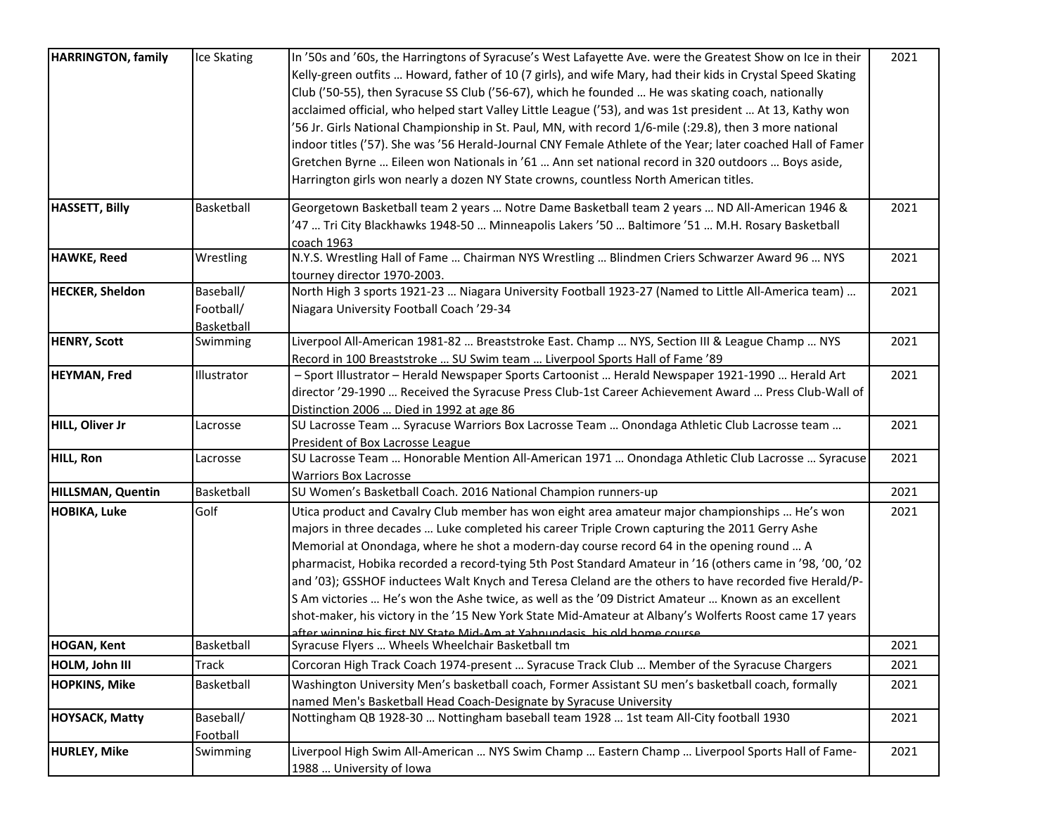| <b>HARRINGTON, family</b> | Ice Skating | In '50s and '60s, the Harringtons of Syracuse's West Lafayette Ave. were the Greatest Show on Ice in their  | 2021 |
|---------------------------|-------------|-------------------------------------------------------------------------------------------------------------|------|
|                           |             | Kelly-green outfits  Howard, father of 10 (7 girls), and wife Mary, had their kids in Crystal Speed Skating |      |
|                           |             | Club ('50-55), then Syracuse SS Club ('56-67), which he founded  He was skating coach, nationally           |      |
|                           |             | acclaimed official, who helped start Valley Little League ('53), and was 1st president  At 13, Kathy won    |      |
|                           |             | 56 Jr. Girls National Championship in St. Paul, MN, with record 1/6-mile (:29.8), then 3 more national      |      |
|                           |             | indoor titles ('57). She was '56 Herald-Journal CNY Female Athlete of the Year; later coached Hall of Famer |      |
|                           |             |                                                                                                             |      |
|                           |             | Gretchen Byrne  Eileen won Nationals in '61  Ann set national record in 320 outdoors  Boys aside,           |      |
|                           |             | Harrington girls won nearly a dozen NY State crowns, countless North American titles.                       |      |
| <b>HASSETT, Billy</b>     | Basketball  | Georgetown Basketball team 2 years  Notre Dame Basketball team 2 years  ND All-American 1946 &              | 2021 |
|                           |             | 47  Tri City Blackhawks 1948-50  Minneapolis Lakers '50  Baltimore '51  M.H. Rosary Basketball'             |      |
|                           |             | coach 1963                                                                                                  |      |
| <b>HAWKE, Reed</b>        | Wrestling   | N.Y.S. Wrestling Hall of Fame  Chairman NYS Wrestling  Blindmen Criers Schwarzer Award 96  NYS              | 2021 |
|                           |             | tourney director 1970-2003.                                                                                 |      |
| <b>HECKER, Sheldon</b>    | Baseball/   | North High 3 sports 1921-23  Niagara University Football 1923-27 (Named to Little All-America team)         | 2021 |
|                           | Football/   | Niagara University Football Coach '29-34                                                                    |      |
|                           | Basketball  |                                                                                                             |      |
| <b>HENRY, Scott</b>       | Swimming    | Liverpool All-American 1981-82  Breaststroke East. Champ  NYS, Section III & League Champ  NYS              | 2021 |
|                           |             | Record in 100 Breaststroke  SU Swim team  Liverpool Sports Hall of Fame '89                                 |      |
| <b>HEYMAN, Fred</b>       | Illustrator | - Sport Illustrator - Herald Newspaper Sports Cartoonist  Herald Newspaper 1921-1990  Herald Art            | 2021 |
|                           |             | director '29-1990  Received the Syracuse Press Club-1st Career Achievement Award  Press Club-Wall of        |      |
|                           |             | Distinction 2006  Died in 1992 at age 86                                                                    |      |
| HILL, Oliver Jr           | Lacrosse    | SU Lacrosse Team  Syracuse Warriors Box Lacrosse Team  Onondaga Athletic Club Lacrosse team                 | 2021 |
|                           |             | President of Box Lacrosse League                                                                            |      |
| <b>HILL, Ron</b>          | Lacrosse    | SU Lacrosse Team  Honorable Mention All-American 1971  Onondaga Athletic Club Lacrosse  Syracuse            | 2021 |
|                           |             | <b>Warriors Box Lacrosse</b>                                                                                |      |
| HILLSMAN, Quentin         | Basketball  | SU Women's Basketball Coach. 2016 National Champion runners-up                                              | 2021 |
| <b>HOBIKA, Luke</b>       | Golf        | Utica product and Cavalry Club member has won eight area amateur major championships  He's won              | 2021 |
|                           |             | majors in three decades  Luke completed his career Triple Crown capturing the 2011 Gerry Ashe               |      |
|                           |             | Memorial at Onondaga, where he shot a modern-day course record 64 in the opening round  A                   |      |
|                           |             | pharmacist, Hobika recorded a record-tying 5th Post Standard Amateur in '16 (others came in '98, '00, '02   |      |
|                           |             | and '03); GSSHOF inductees Walt Knych and Teresa Cleland are the others to have recorded five Herald/P-     |      |
|                           |             | S Am victories  He's won the Ashe twice, as well as the '09 District Amateur  Known as an excellent         |      |
|                           |             | shot-maker, his victory in the '15 New York State Mid-Amateur at Albany's Wolferts Roost came 17 years      |      |
|                           |             | after winning his first NY State Mid-Am at Yahnundasis, his old home course                                 |      |
| <b>HOGAN, Kent</b>        | Basketball  | Syracuse Flyers  Wheels Wheelchair Basketball tm                                                            | 2021 |
| HOLM, John III            | Track       | Corcoran High Track Coach 1974-present  Syracuse Track Club  Member of the Syracuse Chargers                | 2021 |
| <b>HOPKINS, Mike</b>      | Basketball  | Washington University Men's basketball coach, Former Assistant SU men's basketball coach, formally          | 2021 |
|                           |             | named Men's Basketball Head Coach-Designate by Syracuse University                                          |      |
| <b>HOYSACK, Matty</b>     | Baseball/   | Nottingham QB 1928-30  Nottingham baseball team 1928  1st team All-City football 1930                       | 2021 |
|                           | Football    |                                                                                                             |      |
| <b>HURLEY, Mike</b>       | Swimming    | -Liverpool High Swim All-American  NYS Swim Champ  Eastern Champ  Liverpool Sports Hall of Fame             | 2021 |
|                           |             | 1988  University of Iowa                                                                                    |      |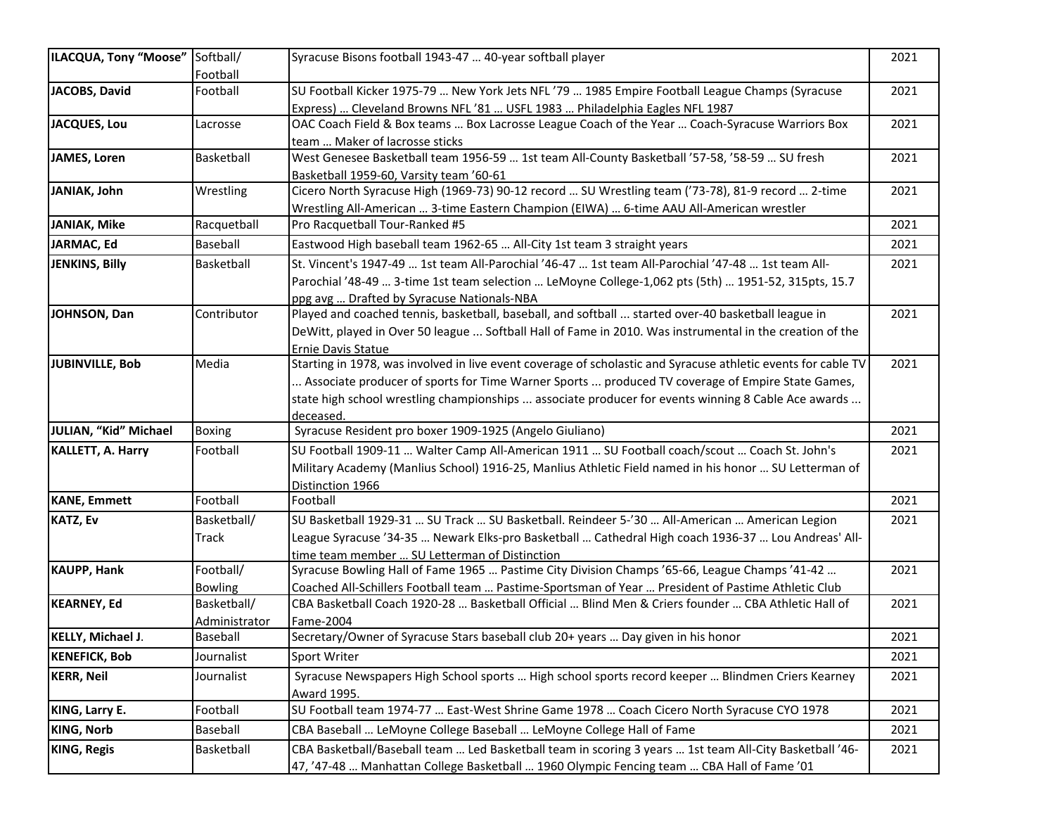| ILACQUA, Tony "Moose" Softball/ |                | Syracuse Bisons football 1943-47  40-year softball player                                                                                                                     | 2021 |
|---------------------------------|----------------|-------------------------------------------------------------------------------------------------------------------------------------------------------------------------------|------|
|                                 | Football       |                                                                                                                                                                               |      |
| JACOBS, David                   | Football       | SU Football Kicker 1975-79  New York Jets NFL '79  1985 Empire Football League Champs (Syracuse<br>Express)  Cleveland Browns NFL'81  USFL 1983  Philadelphia Eagles NFL 1987 | 2021 |
| <b>JACQUES, Lou</b>             | Lacrosse       | OAC Coach Field & Box teams  Box Lacrosse League Coach of the Year  Coach-Syracuse Warriors Box                                                                               | 2021 |
|                                 |                | team  Maker of lacrosse sticks                                                                                                                                                |      |
| <b>JAMES, Loren</b>             | Basketball     | West Genesee Basketball team 1956-59  1st team All-County Basketball '57-58, '58-59  SU fresh                                                                                 | 2021 |
|                                 |                | Basketball 1959-60, Varsity team '60-61                                                                                                                                       |      |
| JANIAK, John                    | Wrestling      | Cicero North Syracuse High (1969-73) 90-12 record  SU Wrestling team ('73-78), 81-9 record  2-time                                                                            | 2021 |
|                                 |                | Wrestling All-American  3-time Eastern Champion (EIWA)  6-time AAU All-American wrestler                                                                                      |      |
| <b>JANIAK, Mike</b>             | Racquetball    | Pro Racquetball Tour-Ranked #5                                                                                                                                                | 2021 |
| JARMAC, Ed                      | Baseball       | Eastwood High baseball team 1962-65  All-City 1st team 3 straight years                                                                                                       | 2021 |
| <b>JENKINS, Billy</b>           | Basketball     | St. Vincent's 1947-49  1st team All-Parochial '46-47  1st team All-Parochial '47-48  1st team All-                                                                            | 2021 |
|                                 |                | Parochial '48-49  3-time 1st team selection  LeMoyne College-1,062 pts (5th)  1951-52, 315pts, 15.7                                                                           |      |
|                                 |                | ppg avg  Drafted by Syracuse Nationals-NBA                                                                                                                                    |      |
| JOHNSON, Dan                    | Contributor    | Played and coached tennis, basketball, baseball, and softball  started over-40 basketball league in                                                                           | 2021 |
|                                 |                | DeWitt, played in Over 50 league  Softball Hall of Fame in 2010. Was instrumental in the creation of the                                                                      |      |
|                                 |                | <b>Ernie Davis Statue</b>                                                                                                                                                     |      |
| JUBINVILLE, Bob                 | Media          | Starting in 1978, was involved in live event coverage of scholastic and Syracuse athletic events for cable TV                                                                 | 2021 |
|                                 |                | Associate producer of sports for Time Warner Sports  produced TV coverage of Empire State Games,                                                                              |      |
|                                 |                | state high school wrestling championships  associate producer for events winning 8 Cable Ace awards                                                                           |      |
|                                 |                | deceased.                                                                                                                                                                     |      |
| JULIAN, "Kid" Michael           | <b>Boxing</b>  | Syracuse Resident pro boxer 1909-1925 (Angelo Giuliano)                                                                                                                       | 2021 |
| <b>KALLETT, A. Harry</b>        | Football       | SU Football 1909-11  Walter Camp All-American 1911  SU Football coach/scout  Coach St. John's                                                                                 | 2021 |
|                                 |                | Military Academy (Manlius School) 1916-25, Manlius Athletic Field named in his honor  SU Letterman of                                                                         |      |
|                                 |                | Distinction 1966                                                                                                                                                              |      |
| <b>KANE, Emmett</b>             | Football       | Football                                                                                                                                                                      | 2021 |
| <b>KATZ, Ev</b>                 | Basketball/    | SU Basketball 1929-31  SU Track  SU Basketball. Reindeer 5-'30  All-American  American Legion                                                                                 | 2021 |
|                                 | <b>Track</b>   | League Syracuse '34-35  Newark Elks-pro Basketball  Cathedral High coach 1936-37  Lou Andreas' All-                                                                           |      |
|                                 |                | time team member  SU Letterman of Distinction                                                                                                                                 |      |
| <b>KAUPP, Hank</b>              | Football/      | Syracuse Bowling Hall of Fame 1965  Pastime City Division Champs '65-66, League Champs '41-42                                                                                 | 2021 |
|                                 | <b>Bowling</b> | Coached All-Schillers Football team  Pastime-Sportsman of Year  President of Pastime Athletic Club                                                                            |      |
| <b>KEARNEY, Ed</b>              | Basketball/    | CBA Basketball Coach 1920-28  Basketball Official  Blind Men & Criers founder  CBA Athletic Hall of                                                                           | 2021 |
|                                 | Administrator  | Fame-2004                                                                                                                                                                     |      |
| <b>KELLY, Michael J.</b>        | Baseball       | Secretary/Owner of Syracuse Stars baseball club 20+ years  Day given in his honor                                                                                             | 2021 |
| <b>KENEFICK, Bob</b>            | Journalist     | Sport Writer                                                                                                                                                                  | 2021 |
| <b>KERR, Neil</b>               | Journalist     | Syracuse Newspapers High School sports  High school sports record keeper  Blindmen Criers Kearney                                                                             | 2021 |
|                                 |                | Award 1995.                                                                                                                                                                   |      |
| KING, Larry E.                  | Football       | SU Football team 1974-77  East-West Shrine Game 1978  Coach Cicero North Syracuse CYO 1978                                                                                    | 2021 |
| <b>KING, Norb</b>               | Baseball       | CBA Baseball  LeMoyne College Baseball  LeMoyne College Hall of Fame                                                                                                          | 2021 |
| <b>KING, Regis</b>              | Basketball     | CBA Basketball/Baseball team  Led Basketball team in scoring 3 years  1st team All-City Basketball '46-                                                                       | 2021 |
|                                 |                | 47, '47-48  Manhattan College Basketball  1960 Olympic Fencing team  CBA Hall of Fame '01                                                                                     |      |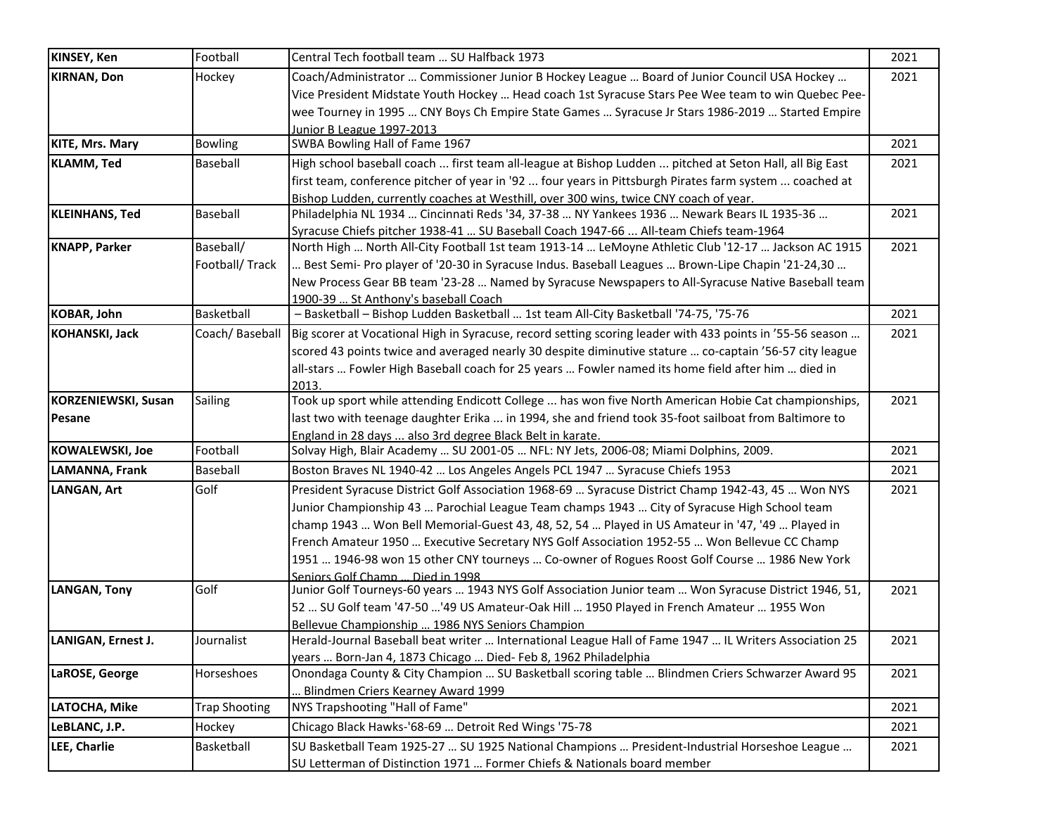| <b>KINSEY, Ken</b>     | Football             | Central Tech football team  SU Halfback 1973                                                              | 2021 |
|------------------------|----------------------|-----------------------------------------------------------------------------------------------------------|------|
| <b>KIRNAN, Don</b>     | Hockey               | Coach/Administrator  Commissioner Junior B Hockey League  Board of Junior Council USA Hockey              | 2021 |
|                        |                      | Vice President Midstate Youth Hockey  Head coach 1st Syracuse Stars Pee Wee team to win Quebec Pee-       |      |
|                        |                      | wee Tourney in 1995  CNY Boys Ch Empire State Games  Syracuse Jr Stars 1986-2019  Started Empire          |      |
|                        |                      | Junior B League 1997-2013                                                                                 |      |
| <b>KITE, Mrs. Mary</b> | <b>Bowling</b>       | SWBA Bowling Hall of Fame 1967                                                                            | 2021 |
| <b>KLAMM, Ted</b>      | Baseball             | High school baseball coach  first team all-league at Bishop Ludden  pitched at Seton Hall, all Big East   | 2021 |
|                        |                      | first team, conference pitcher of year in '92  four years in Pittsburgh Pirates farm system  coached at   |      |
|                        |                      | Bishop Ludden, currently coaches at Westhill, over 300 wins, twice CNY coach of year.                     |      |
| <b>KLEINHANS, Ted</b>  | <b>Baseball</b>      | Philadelphia NL 1934  Cincinnati Reds '34, 37-38  NY Yankees 1936  Newark Bears IL 1935-36                | 2021 |
|                        |                      | Syracuse Chiefs pitcher 1938-41  SU Baseball Coach 1947-66  All-team Chiefs team-1964                     |      |
| <b>KNAPP, Parker</b>   | Baseball/            | North High  North All-City Football 1st team 1913-14  LeMoyne Athletic Club '12-17  Jackson AC 1915       | 2021 |
|                        | Football/Track       | Best Semi- Pro player of '20-30 in Syracuse Indus. Baseball Leagues  Brown-Lipe Chapin '21-24,30          |      |
|                        |                      | New Process Gear BB team '23-28  Named by Syracuse Newspapers to All-Syracuse Native Baseball team        |      |
|                        |                      | 1900-39  St Anthony's baseball Coach                                                                      |      |
| KOBAR, John            | Basketball           | - Basketball - Bishop Ludden Basketball  1st team All-City Basketball '74-75, '75-76                      | 2021 |
| <b>KOHANSKI, Jack</b>  | Coach/Baseball       | Big scorer at Vocational High in Syracuse, record setting scoring leader with 433 points in '55-56 season | 2021 |
|                        |                      | scored 43 points twice and averaged nearly 30 despite diminutive stature  co-captain '56-57 city league   |      |
|                        |                      | all-stars  Fowler High Baseball coach for 25 years  Fowler named its home field after him  died in        |      |
|                        |                      | 2013.                                                                                                     |      |
| KORZENIEWSKI, Susan    | <b>Sailing</b>       | Took up sport while attending Endicott College  has won five North American Hobie Cat championships,      | 2021 |
| Pesane                 |                      | last two with teenage daughter Erika  in 1994, she and friend took 35-foot sailboat from Baltimore to     |      |
|                        |                      | England in 28 days  also 3rd degree Black Belt in karate.                                                 |      |
| KOWALEWSKI, Joe        | Football             | Solvay High, Blair Academy  SU 2001-05  NFL: NY Jets, 2006-08; Miami Dolphins, 2009.                      | 2021 |
| LAMANNA, Frank         | <b>Baseball</b>      | Boston Braves NL 1940-42  Los Angeles Angels PCL 1947  Syracuse Chiefs 1953                               | 2021 |
| <b>LANGAN, Art</b>     | Golf                 | President Syracuse District Golf Association 1968-69  Syracuse District Champ 1942-43, 45  Won NYS        | 2021 |
|                        |                      | Junior Championship 43  Parochial League Team champs 1943  City of Syracuse High School team              |      |
|                        |                      | champ 1943  Won Bell Memorial-Guest 43, 48, 52, 54  Played in US Amateur in '47, '49  Played in           |      |
|                        |                      | French Amateur 1950  Executive Secretary NYS Golf Association 1952-55  Won Bellevue CC Champ              |      |
|                        |                      | 1951  1946-98 won 15 other CNY tourneys  Co-owner of Rogues Roost Golf Course  1986 New York              |      |
|                        |                      | Seniors Golf Champ  Died in 1998                                                                          |      |
| LANGAN, Tony           | Golf                 | Junior Golf Tourneys-60 years  1943 NYS Golf Association Junior team  Won Syracuse District 1946, 51,     | 2021 |
|                        |                      | 52  SU Golf team '47-50 '49 US Amateur-Oak Hill  1950 Played in French Amateur  1955 Won                  |      |
|                        |                      | Bellevue Championship  1986 NYS Seniors Champion                                                          |      |
| LANIGAN, Ernest J.     | Journalist           | Herald-Journal Baseball beat writer  International League Hall of Fame 1947  IL Writers Association 25    | 2021 |
|                        |                      | years  Born-Jan 4, 1873 Chicago  Died- Feb 8, 1962 Philadelphia                                           |      |
| LaROSE, George         | Horseshoes           | Onondaga County & City Champion  SU Basketball scoring table  Blindmen Criers Schwarzer Award 95          | 2021 |
|                        |                      | Blindmen Criers Kearney Award 1999                                                                        |      |
| LATOCHA, Mike          | <b>Trap Shooting</b> | NYS Trapshooting "Hall of Fame"                                                                           | 2021 |
| LeBLANC, J.P.          | Hockey               | Chicago Black Hawks-'68-69  Detroit Red Wings '75-78                                                      | 2021 |
| LEE, Charlie           | Basketball           | SU Basketball Team 1925-27  SU 1925 National Champions  President-Industrial Horseshoe League             | 2021 |
|                        |                      | SU Letterman of Distinction 1971  Former Chiefs & Nationals board member                                  |      |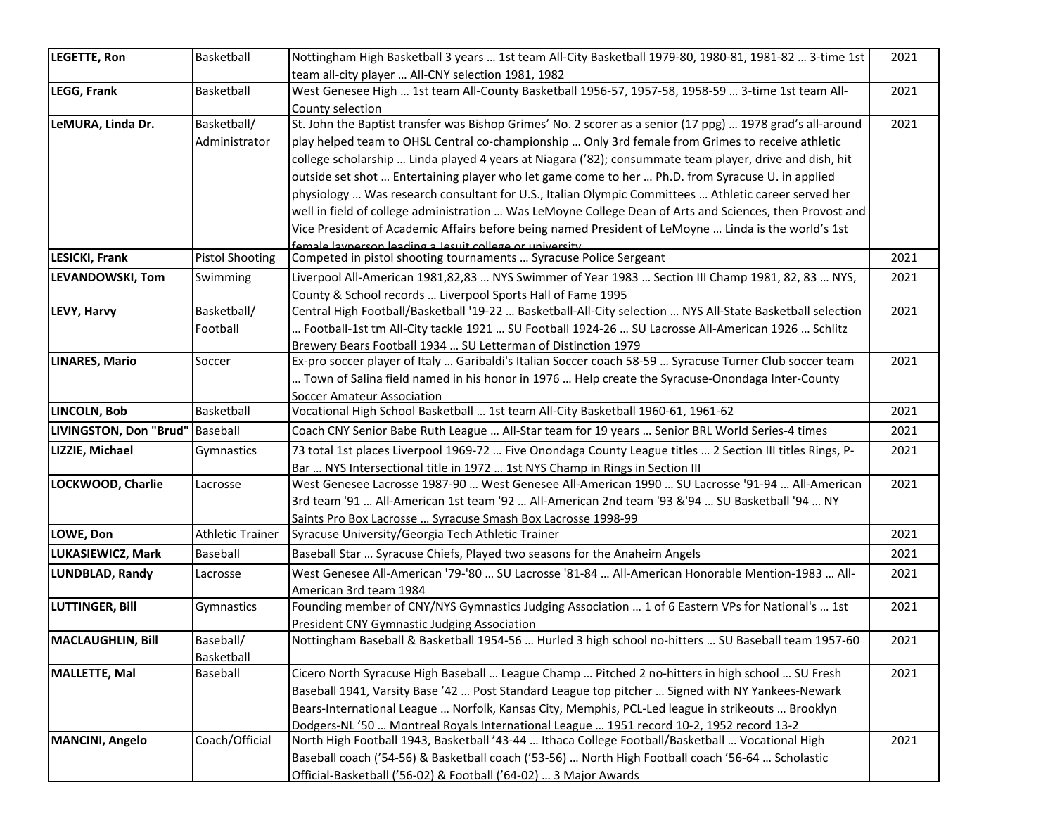| LEGETTE, Ron                      | Basketball              | Nottingham High Basketball 3 years  1st team All-City Basketball 1979-80, 1980-81, 1981-82  3-time 1st     | 2021 |
|-----------------------------------|-------------------------|------------------------------------------------------------------------------------------------------------|------|
|                                   |                         | team all-city player  All-CNY selection 1981, 1982                                                         |      |
| LEGG, Frank                       | Basketball              | West Genesee High  1st team All-County Basketball 1956-57, 1957-58, 1958-59  3-time 1st team All-          | 2021 |
|                                   |                         | County selection                                                                                           |      |
| LeMURA, Linda Dr.                 | Basketball/             | St. John the Baptist transfer was Bishop Grimes' No. 2 scorer as a senior (17 ppg)  1978 grad's all-around | 2021 |
|                                   | Administrator           | play helped team to OHSL Central co-championship  Only 3rd female from Grimes to receive athletic          |      |
|                                   |                         | college scholarship  Linda played 4 years at Niagara ('82); consummate team player, drive and dish, hit    |      |
|                                   |                         | outside set shot  Entertaining player who let game come to her  Ph.D. from Syracuse U. in applied          |      |
|                                   |                         | physiology  Was research consultant for U.S., Italian Olympic Committees  Athletic career served her       |      |
|                                   |                         | well in field of college administration  Was LeMoyne College Dean of Arts and Sciences, then Provost and   |      |
|                                   |                         | Vice President of Academic Affairs before being named President of LeMoyne  Linda is the world's 1st       |      |
|                                   |                         | female lavnerson leading a lesuit college or university                                                    |      |
| LESICKI, Frank                    | <b>Pistol Shooting</b>  | Competed in pistol shooting tournaments  Syracuse Police Sergeant                                          | 2021 |
| LEVANDOWSKI, Tom                  | Swimming                | Liverpool All-American 1981,82,83  NYS Swimmer of Year 1983  Section III Champ 1981, 82, 83  NYS,          | 2021 |
|                                   |                         | County & School records  Liverpool Sports Hall of Fame 1995                                                |      |
| LEVY, Harvy                       | Basketball/             | Central High Football/Basketball '19-22  Basketball-All-City selection  NYS All-State Basketball selection | 2021 |
|                                   | Football                | Football-1st tm All-City tackle 1921  SU Football 1924-26  SU Lacrosse All-American 1926  Schlitz          |      |
|                                   |                         | Brewery Bears Football 1934  SU Letterman of Distinction 1979                                              |      |
| <b>LINARES, Mario</b>             | Soccer                  | Ex-pro soccer player of Italy  Garibaldi's Italian Soccer coach 58-59  Syracuse Turner Club soccer team    | 2021 |
|                                   |                         | Town of Salina field named in his honor in 1976  Help create the Syracuse-Onondaga Inter-County            |      |
|                                   |                         | <b>Soccer Amateur Association</b>                                                                          |      |
| LINCOLN, Bob                      | Basketball              | Vocational High School Basketball  1st team All-City Basketball 1960-61, 1961-62                           | 2021 |
| LIVINGSTON, Don "Brud"   Baseball |                         | Coach CNY Senior Babe Ruth League  All-Star team for 19 years  Senior BRL World Series-4 times             | 2021 |
| LIZZIE, Michael                   | Gymnastics              | 73 total 1st places Liverpool 1969-72  Five Onondaga County League titles  2 Section III titles Rings, P-  | 2021 |
|                                   |                         | Bar  NYS Intersectional title in 1972  1st NYS Champ in Rings in Section III                               |      |
| LOCKWOOD, Charlie                 | Lacrosse                | West Genesee Lacrosse 1987-90  West Genesee All-American 1990  SU Lacrosse '91-94  All-American            | 2021 |
|                                   |                         | 3rd team '91  All-American 1st team '92  All-American 2nd team '93 & '94  SU Basketball '94  NY            |      |
|                                   |                         | Saints Pro Box Lacrosse  Syracuse Smash Box Lacrosse 1998-99                                               |      |
| LOWE, Don                         | <b>Athletic Trainer</b> | Syracuse University/Georgia Tech Athletic Trainer                                                          | 2021 |
| LUKASIEWICZ, Mark                 | Baseball                | Baseball Star  Syracuse Chiefs, Played two seasons for the Anaheim Angels                                  | 2021 |
| LUNDBLAD, Randy                   | Lacrosse                | West Genesee All-American '79-'80  SU Lacrosse '81-84  All-American Honorable Mention-1983  All-           | 2021 |
|                                   |                         | American 3rd team 1984                                                                                     |      |
| LUTTINGER, Bill                   | Gymnastics              | Founding member of CNY/NYS Gymnastics Judging Association  1 of 6 Eastern VPs for National's  1st          | 2021 |
|                                   |                         | President CNY Gymnastic Judging Association                                                                |      |
| MACLAUGHLIN, Bill                 | Baseball/               | Nottingham Baseball & Basketball 1954-56  Hurled 3 high school no-hitters  SU Baseball team 1957-60        | 2021 |
|                                   | Basketball              |                                                                                                            |      |
| MALLETTE, Mal                     | Baseball                | Cicero North Syracuse High Baseball  League Champ  Pitched 2 no-hitters in high school  SU Fresh           | 2021 |
|                                   |                         | Baseball 1941, Varsity Base '42  Post Standard League top pitcher  Signed with NY Yankees-Newark           |      |
|                                   |                         | Bears-International League  Norfolk, Kansas City, Memphis, PCL-Led league in strikeouts  Brooklyn          |      |
|                                   |                         | Dodgers-NL '50  Montreal Royals International League  1951 record 10-2, 1952 record 13-2                   |      |
| MANCINI, Angelo                   | Coach/Official          | North High Football 1943, Basketball '43-44  Ithaca College Football/Basketball  Vocational High           | 2021 |
|                                   |                         | Baseball coach ('54-56) & Basketball coach ('53-56)  North High Football coach '56-64  Scholastic          |      |
|                                   |                         | Official-Basketball ('56-02) & Football ('64-02)  3 Major Awards                                           |      |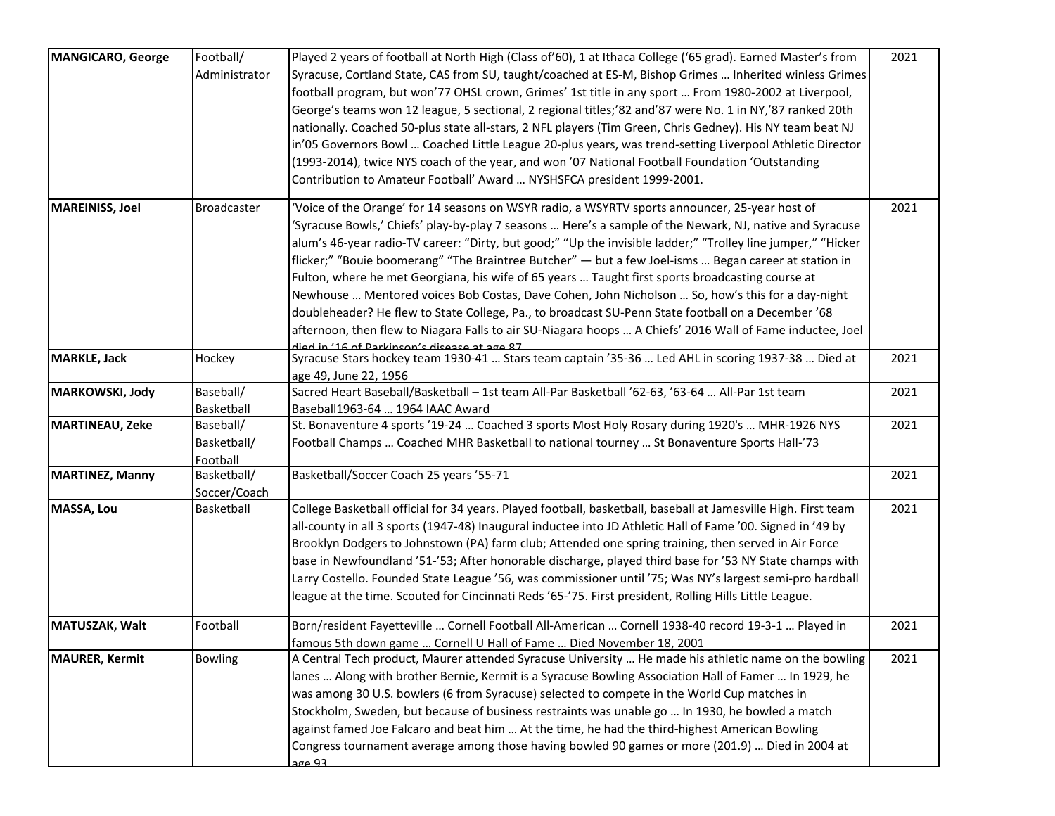| MANGICARO, George      | Football/          | Played 2 years of football at North High (Class of'60), 1 at Ithaca College ('65 grad). Earned Master's from                                              | 2021 |
|------------------------|--------------------|-----------------------------------------------------------------------------------------------------------------------------------------------------------|------|
|                        | Administrator      | Syracuse, Cortland State, CAS from SU, taught/coached at ES-M, Bishop Grimes  Inherited winless Grimes                                                    |      |
|                        |                    | football program, but won'77 OHSL crown, Grimes' 1st title in any sport  From 1980-2002 at Liverpool,                                                     |      |
|                        |                    | George's teams won 12 league, 5 sectional, 2 regional titles;'82 and'87 were No. 1 in NY,'87 ranked 20th                                                  |      |
|                        |                    | nationally. Coached 50-plus state all-stars, 2 NFL players (Tim Green, Chris Gedney). His NY team beat NJ                                                 |      |
|                        |                    | in'05 Governors Bowl  Coached Little League 20-plus years, was trend-setting Liverpool Athletic Director                                                  |      |
|                        |                    | (1993-2014), twice NYS coach of the year, and won '07 National Football Foundation 'Outstanding                                                           |      |
|                        |                    | Contribution to Amateur Football' Award  NYSHSFCA president 1999-2001.                                                                                    |      |
| <b>MAREINISS, Joel</b> | <b>Broadcaster</b> | Voice of the Orange' for 14 seasons on WSYR radio, a WSYRTV sports announcer, 25-year host of                                                             | 2021 |
|                        |                    | 'Syracuse Bowls,' Chiefs' play-by-play 7 seasons  Here's a sample of the Newark, NJ, native and Syracuse                                                  |      |
|                        |                    | alum's 46-year radio-TV career: "Dirty, but good;" "Up the invisible ladder;" "Trolley line jumper," "Hicker                                              |      |
|                        |                    | flicker;" "Bouie boomerang" "The Braintree Butcher" - but a few Joel-isms  Began career at station in                                                     |      |
|                        |                    |                                                                                                                                                           |      |
|                        |                    | Fulton, where he met Georgiana, his wife of 65 years  Taught first sports broadcasting course at                                                          |      |
|                        |                    | Newhouse  Mentored voices Bob Costas, Dave Cohen, John Nicholson  So, how's this for a day-night                                                          |      |
|                        |                    | doubleheader? He flew to State College, Pa., to broadcast SU-Penn State football on a December '68                                                        |      |
|                        |                    | afternoon, then flew to Niagara Falls to air SU-Niagara hoops  A Chiefs' 2016 Wall of Fame inductee, Joel                                                 |      |
| <b>MARKLE, Jack</b>    | Hockey             | TR ape te aseasib a'rusail ar a al 1 an Al' ai haik<br>Syracuse Stars hockey team 1930-41  Stars team captain '35-36  Led AHL in scoring 1937-38  Died at | 2021 |
|                        |                    | age 49, June 22, 1956                                                                                                                                     |      |
| MARKOWSKI, Jody        | Baseball/          | Sacred Heart Baseball/Basketball - 1st team All-Par Basketball '62-63, '63-64  All-Par 1st team                                                           | 2021 |
|                        | Basketball         | Baseball1963-64  1964 IAAC Award                                                                                                                          |      |
| <b>MARTINEAU, Zeke</b> | Baseball/          | St. Bonaventure 4 sports '19-24  Coached 3 sports Most Holy Rosary during 1920's  MHR-1926 NYS                                                            | 2021 |
|                        | Basketball/        | Football Champs  Coached MHR Basketball to national tourney  St Bonaventure Sports Hall-'73                                                               |      |
|                        | Football           |                                                                                                                                                           |      |
| <b>MARTINEZ, Manny</b> | Basketball/        | Basketball/Soccer Coach 25 years '55-71                                                                                                                   | 2021 |
|                        | Soccer/Coach       |                                                                                                                                                           |      |
| <b>MASSA, Lou</b>      | Basketball         | College Basketball official for 34 years. Played football, basketball, baseball at Jamesville High. First team                                            | 2021 |
|                        |                    | all-county in all 3 sports (1947-48) Inaugural inductee into JD Athletic Hall of Fame '00. Signed in '49 by                                               |      |
|                        |                    | Brooklyn Dodgers to Johnstown (PA) farm club; Attended one spring training, then served in Air Force                                                      |      |
|                        |                    | base in Newfoundland '51-'53; After honorable discharge, played third base for '53 NY State champs with                                                   |      |
|                        |                    | Larry Costello. Founded State League '56, was commissioner until '75; Was NY's largest semi-pro hardball                                                  |      |
|                        |                    | league at the time. Scouted for Cincinnati Reds '65-'75. First president, Rolling Hills Little League.                                                    |      |
| MATUSZAK, Walt         | Football           | Born/resident Fayetteville  Cornell Football All-American  Cornell 1938-40 record 19-3-1  Played in                                                       | 2021 |
|                        |                    | famous 5th down game  Cornell U Hall of Fame  Died November 18, 2001                                                                                      |      |
| <b>MAURER, Kermit</b>  | <b>Bowling</b>     | A Central Tech product, Maurer attended Syracuse University  He made his athletic name on the bowling                                                     | 2021 |
|                        |                    | lanes  Along with brother Bernie, Kermit is a Syracuse Bowling Association Hall of Famer  In 1929, he                                                     |      |
|                        |                    | was among 30 U.S. bowlers (6 from Syracuse) selected to compete in the World Cup matches in                                                               |      |
|                        |                    | Stockholm, Sweden, but because of business restraints was unable go  In 1930, he bowled a match                                                           |      |
|                        |                    | against famed Joe Falcaro and beat him  At the time, he had the third-highest American Bowling                                                            |      |
|                        |                    | Congress tournament average among those having bowled 90 games or more (201.9)  Died in 2004 at                                                           |      |
|                        |                    | 20 Aga                                                                                                                                                    |      |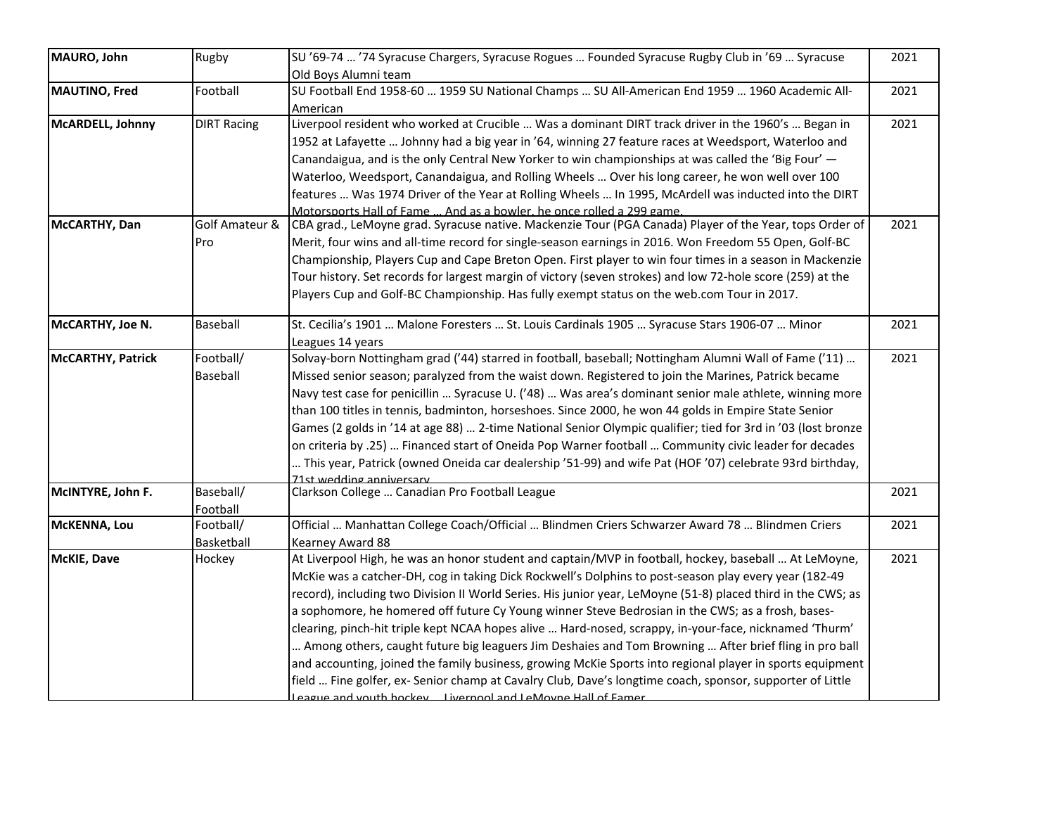| MAURO, John              | Rugby              | SU '69-74  '74 Syracuse Chargers, Syracuse Rogues  Founded Syracuse Rugby Club in '69  Syracuse                        | 2021 |
|--------------------------|--------------------|------------------------------------------------------------------------------------------------------------------------|------|
| MAUTINO, Fred            | Football           | Old Boys Alumni team<br>SU Football End 1958-60  1959 SU National Champs  SU All-American End 1959  1960 Academic All- | 2021 |
|                          |                    | American                                                                                                               |      |
| McARDELL, Johnny         | <b>DIRT Racing</b> | Liverpool resident who worked at Crucible  Was a dominant DIRT track driver in the 1960's  Began in                    | 2021 |
|                          |                    | 1952 at Lafayette  Johnny had a big year in '64, winning 27 feature races at Weedsport, Waterloo and                   |      |
|                          |                    | Canandaigua, and is the only Central New Yorker to win championships at was called the 'Big Four' -                    |      |
|                          |                    | Waterloo, Weedsport, Canandaigua, and Rolling Wheels  Over his long career, he won well over 100                       |      |
|                          |                    | features  Was 1974 Driver of the Year at Rolling Wheels  In 1995, McArdell was inducted into the DIRT                  |      |
|                          |                    | Motorsports Hall of Fame  And as a bowler, he once rolled a 299 game.                                                  |      |
| McCARTHY, Dan            | Golf Amateur &     | CBA grad., LeMoyne grad. Syracuse native. Mackenzie Tour (PGA Canada) Player of the Year, tops Order of                | 2021 |
|                          | Pro                | Merit, four wins and all-time record for single-season earnings in 2016. Won Freedom 55 Open, Golf-BC                  |      |
|                          |                    | Championship, Players Cup and Cape Breton Open. First player to win four times in a season in Mackenzie                |      |
|                          |                    | Tour history. Set records for largest margin of victory (seven strokes) and low 72-hole score (259) at the             |      |
|                          |                    | Players Cup and Golf-BC Championship. Has fully exempt status on the web.com Tour in 2017.                             |      |
|                          |                    |                                                                                                                        |      |
| McCARTHY, Joe N.         | Baseball           | St. Cecilia's 1901  Malone Foresters  St. Louis Cardinals 1905  Syracuse Stars 1906-07  Minor                          | 2021 |
|                          |                    | Leagues 14 years                                                                                                       |      |
| <b>McCARTHY, Patrick</b> | Football/          | Solvay-born Nottingham grad ('44) starred in football, baseball; Nottingham Alumni Wall of Fame ('11)                  | 2021 |
|                          | Baseball           | Missed senior season; paralyzed from the waist down. Registered to join the Marines, Patrick became                    |      |
|                          |                    | Navy test case for penicillin  Syracuse U. ('48)  Was area's dominant senior male athlete, winning more                |      |
|                          |                    | than 100 titles in tennis, badminton, horseshoes. Since 2000, he won 44 golds in Empire State Senior                   |      |
|                          |                    | Games (2 golds in '14 at age 88)  2-time National Senior Olympic qualifier; tied for 3rd in '03 (lost bronze           |      |
|                          |                    | on criteria by .25)  Financed start of Oneida Pop Warner football  Community civic leader for decades                  |      |
|                          |                    | This year, Patrick (owned Oneida car dealership '51-99) and wife Pat (HOF '07) celebrate 93rd birthday,                |      |
|                          |                    | 71st wedding anniversary                                                                                               |      |
| McINTYRE, John F.        | Baseball/          | Clarkson College  Canadian Pro Football League                                                                         | 2021 |
|                          | Football           |                                                                                                                        |      |
| McKENNA, Lou             | Football/          | Official  Manhattan College Coach/Official  Blindmen Criers Schwarzer Award 78  Blindmen Criers                        | 2021 |
|                          | Basketball         | Kearney Award 88                                                                                                       |      |
| McKIE, Dave              | Hockey             | At Liverpool High, he was an honor student and captain/MVP in football, hockey, baseball  At LeMoyne,                  | 2021 |
|                          |                    | McKie was a catcher-DH, cog in taking Dick Rockwell's Dolphins to post-season play every year (182-49                  |      |
|                          |                    | record), including two Division II World Series. His junior year, LeMoyne (51-8) placed third in the CWS; as           |      |
|                          |                    | a sophomore, he homered off future Cy Young winner Steve Bedrosian in the CWS; as a frosh, bases-                      |      |
|                          |                    | clearing, pinch-hit triple kept NCAA hopes alive  Hard-nosed, scrappy, in-your-face, nicknamed 'Thurm'                 |      |
|                          |                    | Among others, caught future big leaguers Jim Deshaies and Tom Browning  After brief fling in pro ball                  |      |
|                          |                    | and accounting, joined the family business, growing McKie Sports into regional player in sports equipment              |      |
|                          |                    | field  Fine golfer, ex-Senior champ at Cavalry Club, Dave's longtime coach, sponsor, supporter of Little               |      |
|                          |                    | agging and wouth hockey livernool and LeMoyne Hall of Famer                                                            |      |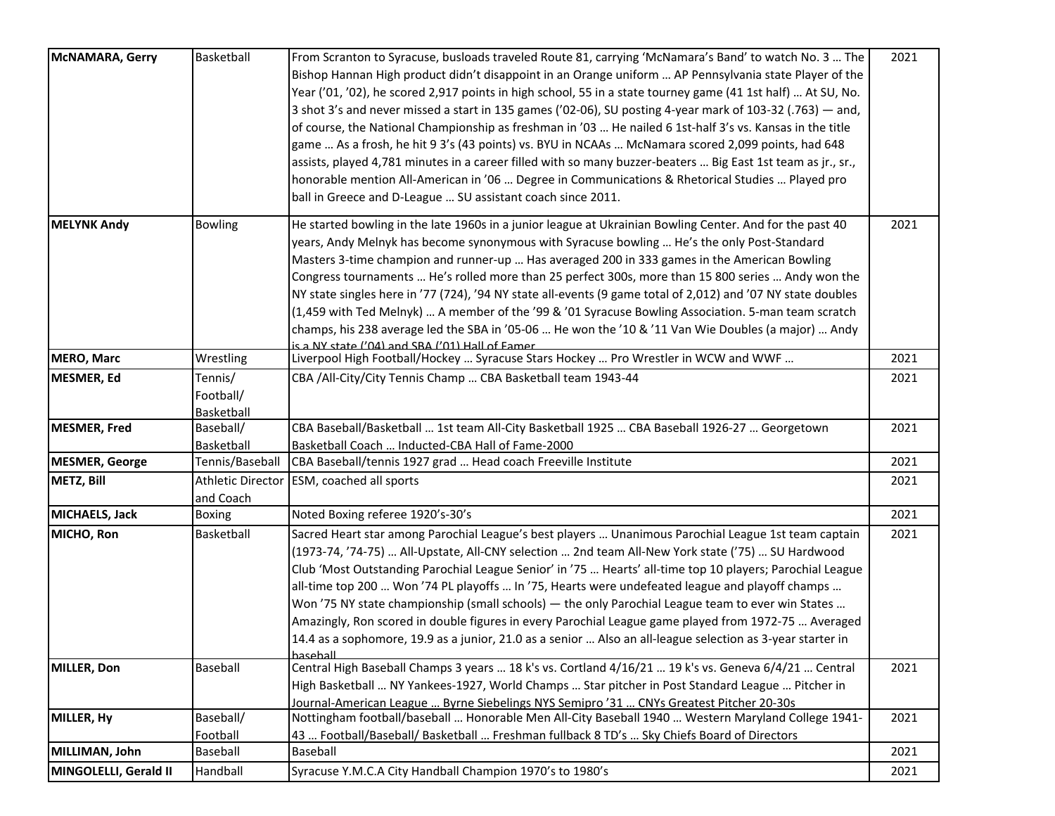| <b>McNAMARA, Gerry</b> | Basketball               | From Scranton to Syracuse, busloads traveled Route 81, carrying 'McNamara's Band' to watch No. 3  The        | 2021 |
|------------------------|--------------------------|--------------------------------------------------------------------------------------------------------------|------|
|                        |                          | Bishop Hannan High product didn't disappoint in an Orange uniform  AP Pennsylvania state Player of the       |      |
|                        |                          | Year ('01, '02), he scored 2,917 points in high school, 55 in a state tourney game (41 1st half)  At SU, No. |      |
|                        |                          | 3 shot 3's and never missed a start in 135 games ('02-06), SU posting 4-year mark of 103-32 (.763) — and,    |      |
|                        |                          | of course, the National Championship as freshman in '03  He nailed 6 1st-half 3's vs. Kansas in the title    |      |
|                        |                          |                                                                                                              |      |
|                        |                          | game  As a frosh, he hit 9 3's (43 points) vs. BYU in NCAAs  McNamara scored 2,099 points, had 648           |      |
|                        |                          | assists, played 4,781 minutes in a career filled with so many buzzer-beaters  Big East 1st team as jr., sr., |      |
|                        |                          | honorable mention All-American in '06  Degree in Communications & Rhetorical Studies  Played pro             |      |
|                        |                          | ball in Greece and D-League  SU assistant coach since 2011.                                                  |      |
| <b>MELYNK Andy</b>     | <b>Bowling</b>           | He started bowling in the late 1960s in a junior league at Ukrainian Bowling Center. And for the past 40     | 2021 |
|                        |                          | years, Andy Melnyk has become synonymous with Syracuse bowling  He's the only Post-Standard                  |      |
|                        |                          | Masters 3-time champion and runner-up  Has averaged 200 in 333 games in the American Bowling                 |      |
|                        |                          | Congress tournaments  He's rolled more than 25 perfect 300s, more than 15 800 series  Andy won the           |      |
|                        |                          | NY state singles here in '77 (724), '94 NY state all-events (9 game total of 2,012) and '07 NY state doubles |      |
|                        |                          | (1,459 with Ted Melnyk)  A member of the '99 & '01 Syracuse Bowling Association. 5-man team scratch          |      |
|                        |                          | champs, his 238 average led the SBA in '05-06  He won the '10 & '11 Van Wie Doubles (a major)  Andy          |      |
|                        |                          | is a NY state ('04) and SRA ('01) Hall of Famer                                                              |      |
| <b>MERO, Marc</b>      | Wrestling                | Liverpool High Football/Hockey  Syracuse Stars Hockey  Pro Wrestler in WCW and WWF                           | 2021 |
| <b>MESMER, Ed</b>      | Tennis/                  | CBA /All-City/City Tennis Champ  CBA Basketball team 1943-44                                                 | 2021 |
|                        | Football/                |                                                                                                              |      |
|                        | Basketball               |                                                                                                              |      |
| <b>MESMER, Fred</b>    | Baseball/                | CBA Baseball/Basketball  1st team All-City Basketball 1925  CBA Baseball 1926-27  Georgetown                 | 2021 |
|                        | Basketball               | Basketball Coach  Inducted-CBA Hall of Fame-2000                                                             |      |
| <b>MESMER, George</b>  | Tennis/Baseball          | CBA Baseball/tennis 1927 grad  Head coach Freeville Institute                                                | 2021 |
| METZ, Bill             | <b>Athletic Director</b> | ESM, coached all sports                                                                                      | 2021 |
|                        | and Coach                |                                                                                                              |      |
| <b>MICHAELS, Jack</b>  | <b>Boxing</b>            | Noted Boxing referee 1920's-30's                                                                             | 2021 |
| MICHO, Ron             | Basketball               | Sacred Heart star among Parochial League's best players  Unanimous Parochial League 1st team captain         | 2021 |
|                        |                          | (1973-74, '74-75)  All-Upstate, All-CNY selection  2nd team All-New York state ('75)  SU Hardwood            |      |
|                        |                          | Club 'Most Outstanding Parochial League Senior' in '75  Hearts' all-time top 10 players; Parochial League    |      |
|                        |                          | all-time top 200  Won '74 PL playoffs  In '75, Hearts were undefeated league and playoff champs              |      |
|                        |                          | Won '75 NY state championship (small schools) - the only Parochial League team to ever win States            |      |
|                        |                          | Amazingly, Ron scored in double figures in every Parochial League game played from 1972-75  Averaged         |      |
|                        |                          | 14.4 as a sophomore, 19.9 as a junior, 21.0 as a senior  Also an all-league selection as 3-year starter in   |      |
|                        |                          | haseball                                                                                                     |      |
| MILLER, Don            | <b>Baseball</b>          | Central High Baseball Champs 3 years  18 k's vs. Cortland 4/16/21  19 k's vs. Geneva 6/4/21  Central         | 2021 |
|                        |                          | High Basketball  NY Yankees-1927, World Champs  Star pitcher in Post Standard League  Pitcher in             |      |
|                        |                          | Journal-American League  Byrne Siebelings NYS Semipro '31  CNYs Greatest Pitcher 20-30s                      |      |
| MILLER, Hy             | Baseball/                | Nottingham football/baseball  Honorable Men All-City Baseball 1940  Western Maryland College 1941-           | 2021 |
|                        | Football                 | 43  Football/Baseball/ Basketball  Freshman fullback 8 TD's  Sky Chiefs Board of Directors                   |      |
| MILLIMAN, John         | Baseball                 | Baseball                                                                                                     | 2021 |
| MINGOLELLI, Gerald II  | Handball                 | Syracuse Y.M.C.A City Handball Champion 1970's to 1980's                                                     | 2021 |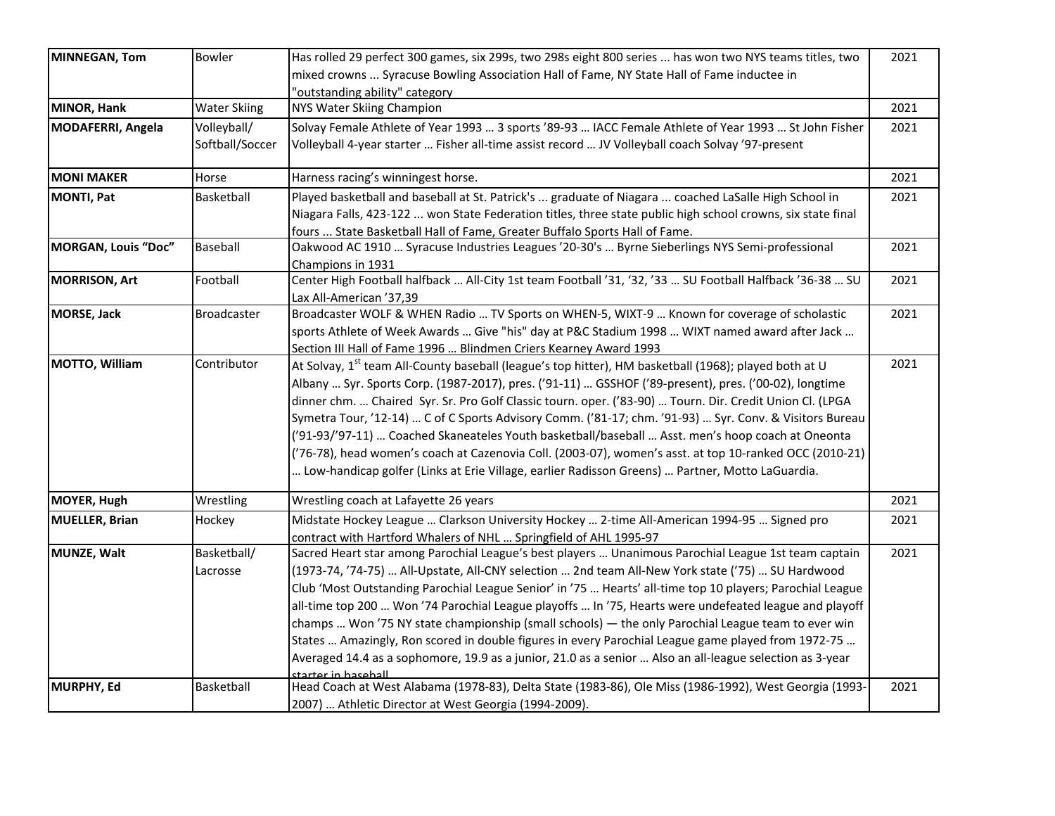| <b>MINNEGAN, Tom</b>     | Bowler              | Has rolled 29 perfect 300 games, six 299s, two 298s eight 800 series  has won two NYS teams titles, two           | 2021 |
|--------------------------|---------------------|-------------------------------------------------------------------------------------------------------------------|------|
|                          |                     | mixed crowns  Syracuse Bowling Association Hall of Fame, NY State Hall of Fame inductee in                        |      |
|                          |                     | "outstanding ability" category                                                                                    |      |
| MINOR, Hank              | <b>Water Skiing</b> | NYS Water Skiing Champion                                                                                         | 2021 |
| <b>MODAFERRI, Angela</b> | Volleyball/         | Solvay Female Athlete of Year 1993  3 sports '89-93  IACC Female Athlete of Year 1993  St John Fisher             | 2021 |
|                          | Softball/Soccer     | Volleyball 4-year starter  Fisher all-time assist record  JV Volleyball coach Solvay '97-present                  |      |
| <b>MONI MAKER</b>        | Horse               | Harness racing's winningest horse.                                                                                | 2021 |
| <b>MONTI, Pat</b>        | Basketball          | Played basketball and baseball at St. Patrick's  graduate of Niagara  coached LaSalle High School in              | 2021 |
|                          |                     | Niagara Falls, 423-122  won State Federation titles, three state public high school crowns, six state final       |      |
|                          |                     | fours  State Basketball Hall of Fame, Greater Buffalo Sports Hall of Fame.                                        |      |
| MORGAN, Louis "Doc"      | Baseball            | Oakwood AC 1910  Syracuse Industries Leagues '20-30's  Byrne Sieberlings NYS Semi-professional                    | 2021 |
|                          |                     | Champions in 1931                                                                                                 |      |
| <b>MORRISON, Art</b>     | Football            | Center High Football halfback  All-City 1st team Football '31, '32, '33  SU Football Halfback '36-38  SU          | 2021 |
|                          |                     | Lax All-American '37,39                                                                                           |      |
| <b>MORSE, Jack</b>       | <b>Broadcaster</b>  | Broadcaster WOLF & WHEN Radio  TV Sports on WHEN-5, WIXT-9  Known for coverage of scholastic                      | 2021 |
|                          |                     | sports Athlete of Week Awards  Give "his" day at P&C Stadium 1998  WIXT named award after Jack                    |      |
|                          |                     | Section III Hall of Fame 1996  Blindmen Criers Kearney Award 1993                                                 |      |
| MOTTO, William           | Contributor         | At Solvay, 1 <sup>st</sup> team All-County baseball (league's top hitter), HM basketball (1968); played both at U | 2021 |
|                          |                     | Albany  Syr. Sports Corp. (1987-2017), pres. ('91-11)  GSSHOF ('89-present), pres. ('00-02), longtime             |      |
|                          |                     | dinner chm.  Chaired Syr. Sr. Pro Golf Classic tourn. oper. ('83-90)  Tourn. Dir. Credit Union Cl. (LPGA          |      |
|                          |                     | Symetra Tour, '12-14)  C of C Sports Advisory Comm. ('81-17; chm. '91-93)  Syr. Conv. & Visitors Bureau           |      |
|                          |                     | ('91-93/'97-11)  Coached Skaneateles Youth basketball/baseball  Asst. men's hoop coach at Oneonta                 |      |
|                          |                     | ('76-78), head women's coach at Cazenovia Coll. (2003-07), women's asst. at top 10-ranked OCC (2010-21)           |      |
|                          |                     | Low-handicap golfer (Links at Erie Village, earlier Radisson Greens)  Partner, Motto LaGuardia.                   |      |
| <b>MOYER, Hugh</b>       | Wrestling           | Wrestling coach at Lafayette 26 years                                                                             | 2021 |
| <b>MUELLER, Brian</b>    | Hockey              | Midstate Hockey League  Clarkson University Hockey  2-time All-American 1994-95  Signed pro                       | 2021 |
|                          |                     | contract with Hartford Whalers of NHL  Springfield of AHL 1995-97                                                 |      |
| MUNZE, Walt              | Basketball/         | Sacred Heart star among Parochial League's best players  Unanimous Parochial League 1st team captain              | 2021 |
|                          | Lacrosse            | (1973-74, '74-75)  All-Upstate, All-CNY selection  2nd team All-New York state ('75)  SU Hardwood                 |      |
|                          |                     | Club 'Most Outstanding Parochial League Senior' in '75  Hearts' all-time top 10 players; Parochial League         |      |
|                          |                     | all-time top 200  Won '74 Parochial League playoffs  In '75, Hearts were undefeated league and playoff            |      |
|                          |                     | champs  Won '75 NY state championship (small schools) — the only Parochial League team to ever win                |      |
|                          |                     | States  Amazingly, Ron scored in double figures in every Parochial League game played from 1972-75                |      |
|                          |                     | Averaged 14.4 as a sophomore, 19.9 as a junior, 21.0 as a senior  Also an all-league selection as 3-year          |      |
|                          |                     | starter in hasehall                                                                                               |      |
| MURPHY, Ed               | Basketball          | Head Coach at West Alabama (1978-83), Delta State (1983-86), Ole Miss (1986-1992), West Georgia (1993-            | 2021 |
|                          |                     | 2007)  Athletic Director at West Georgia (1994-2009).                                                             |      |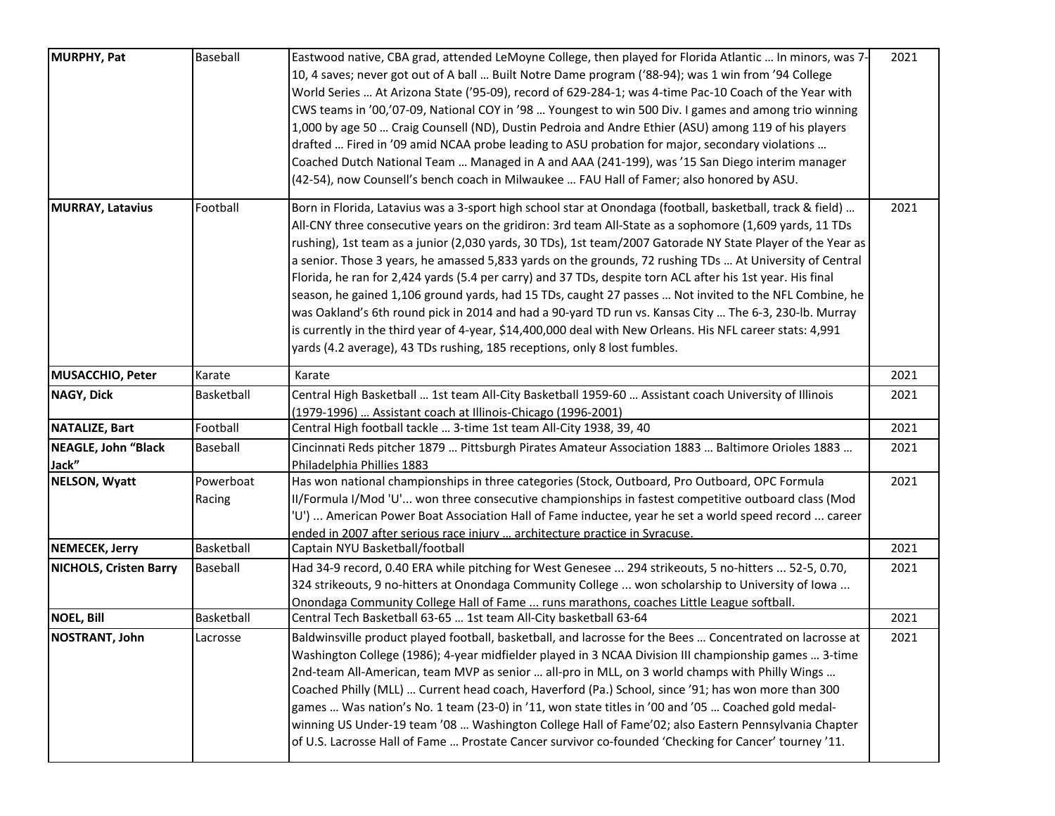| MURPHY, Pat                   | Baseball            | Eastwood native, CBA grad, attended LeMoyne College, then played for Florida Atlantic  In minors, was 7-<br>10, 4 saves; never got out of A ball  Built Notre Dame program ('88-94); was 1 win from '94 College<br>World Series  At Arizona State ('95-09), record of 629-284-1; was 4-time Pac-10 Coach of the Year with<br>CWS teams in '00,'07-09, National COY in '98  Youngest to win 500 Div. I games and among trio winning<br>1,000 by age 50  Craig Counsell (ND), Dustin Pedroia and Andre Ethier (ASU) among 119 of his players<br>drafted  Fired in '09 amid NCAA probe leading to ASU probation for major, secondary violations<br>Coached Dutch National Team  Managed in A and AAA (241-199), was '15 San Diego interim manager<br>(42-54), now Counsell's bench coach in Milwaukee  FAU Hall of Famer; also honored by ASU.                                                                                                                                  | 2021 |
|-------------------------------|---------------------|------------------------------------------------------------------------------------------------------------------------------------------------------------------------------------------------------------------------------------------------------------------------------------------------------------------------------------------------------------------------------------------------------------------------------------------------------------------------------------------------------------------------------------------------------------------------------------------------------------------------------------------------------------------------------------------------------------------------------------------------------------------------------------------------------------------------------------------------------------------------------------------------------------------------------------------------------------------------------|------|
| <b>MURRAY, Latavius</b>       | Football            | Born in Florida, Latavius was a 3-sport high school star at Onondaga (football, basketball, track & field)<br>All-CNY three consecutive years on the gridiron: 3rd team All-State as a sophomore (1,609 yards, 11 TDs<br>rushing), 1st team as a junior (2,030 yards, 30 TDs), 1st team/2007 Gatorade NY State Player of the Year as<br>a senior. Those 3 years, he amassed 5,833 yards on the grounds, 72 rushing TDs  At University of Central<br>Florida, he ran for 2,424 yards (5.4 per carry) and 37 TDs, despite torn ACL after his 1st year. His final<br>season, he gained 1,106 ground yards, had 15 TDs, caught 27 passes  Not invited to the NFL Combine, he<br>was Oakland's 6th round pick in 2014 and had a 90-yard TD run vs. Kansas City  The 6-3, 230-lb. Murray<br>is currently in the third year of 4-year, \$14,400,000 deal with New Orleans. His NFL career stats: 4,991<br>yards (4.2 average), 43 TDs rushing, 185 receptions, only 8 lost fumbles. | 2021 |
| MUSACCHIO, Peter              | Karate              | Karate                                                                                                                                                                                                                                                                                                                                                                                                                                                                                                                                                                                                                                                                                                                                                                                                                                                                                                                                                                       | 2021 |
| <b>NAGY, Dick</b>             | Basketball          | Central High Basketball  1st team All-City Basketball 1959-60  Assistant coach University of Illinois<br>(1979-1996)  Assistant coach at Illinois-Chicago (1996-2001)                                                                                                                                                                                                                                                                                                                                                                                                                                                                                                                                                                                                                                                                                                                                                                                                        | 2021 |
| <b>NATALIZE, Bart</b>         | Football            | Central High football tackle  3-time 1st team All-City 1938, 39, 40                                                                                                                                                                                                                                                                                                                                                                                                                                                                                                                                                                                                                                                                                                                                                                                                                                                                                                          | 2021 |
| NEAGLE, John "Black<br>Jack"  | Baseball            | Cincinnati Reds pitcher 1879  Pittsburgh Pirates Amateur Association 1883  Baltimore Orioles 1883<br>Philadelphia Phillies 1883                                                                                                                                                                                                                                                                                                                                                                                                                                                                                                                                                                                                                                                                                                                                                                                                                                              | 2021 |
| <b>NELSON, Wyatt</b>          | Powerboat<br>Racing | Has won national championships in three categories (Stock, Outboard, Pro Outboard, OPC Formula<br>II/Formula I/Mod 'U' won three consecutive championships in fastest competitive outboard class (Mod<br>'U')  American Power Boat Association Hall of Fame inductee, year he set a world speed record  career<br>ended in 2007 after serious race injury  architecture practice in Syracuse.                                                                                                                                                                                                                                                                                                                                                                                                                                                                                                                                                                                | 2021 |
| NEMECEK, Jerry                | Basketball          | Captain NYU Basketball/football                                                                                                                                                                                                                                                                                                                                                                                                                                                                                                                                                                                                                                                                                                                                                                                                                                                                                                                                              | 2021 |
| <b>NICHOLS, Cristen Barry</b> | Baseball            | Had 34-9 record, 0.40 ERA while pitching for West Genesee  294 strikeouts, 5 no-hitters  52-5, 0.70,<br>324 strikeouts, 9 no-hitters at Onondaga Community College  won scholarship to University of Iowa<br>Onondaga Community College Hall of Fame  runs marathons, coaches Little League softball.                                                                                                                                                                                                                                                                                                                                                                                                                                                                                                                                                                                                                                                                        | 2021 |
| <b>NOEL, Bill</b>             | Basketball          | Central Tech Basketball 63-65  1st team All-City basketball 63-64                                                                                                                                                                                                                                                                                                                                                                                                                                                                                                                                                                                                                                                                                                                                                                                                                                                                                                            | 2021 |
| NOSTRANT, John                | Lacrosse            | Baldwinsville product played football, basketball, and lacrosse for the Bees  Concentrated on lacrosse at<br>Washington College (1986); 4-year midfielder played in 3 NCAA Division III championship games  3-time<br>2nd-team All-American, team MVP as senior  all-pro in MLL, on 3 world champs with Philly Wings<br>Coached Philly (MLL)  Current head coach, Haverford (Pa.) School, since '91; has won more than 300<br>games  Was nation's No. 1 team (23-0) in '11, won state titles in '00 and '05  Coached gold medal-<br>winning US Under-19 team '08  Washington College Hall of Fame'02; also Eastern Pennsylvania Chapter<br>of U.S. Lacrosse Hall of Fame  Prostate Cancer survivor co-founded 'Checking for Cancer' tourney '11.                                                                                                                                                                                                                             | 2021 |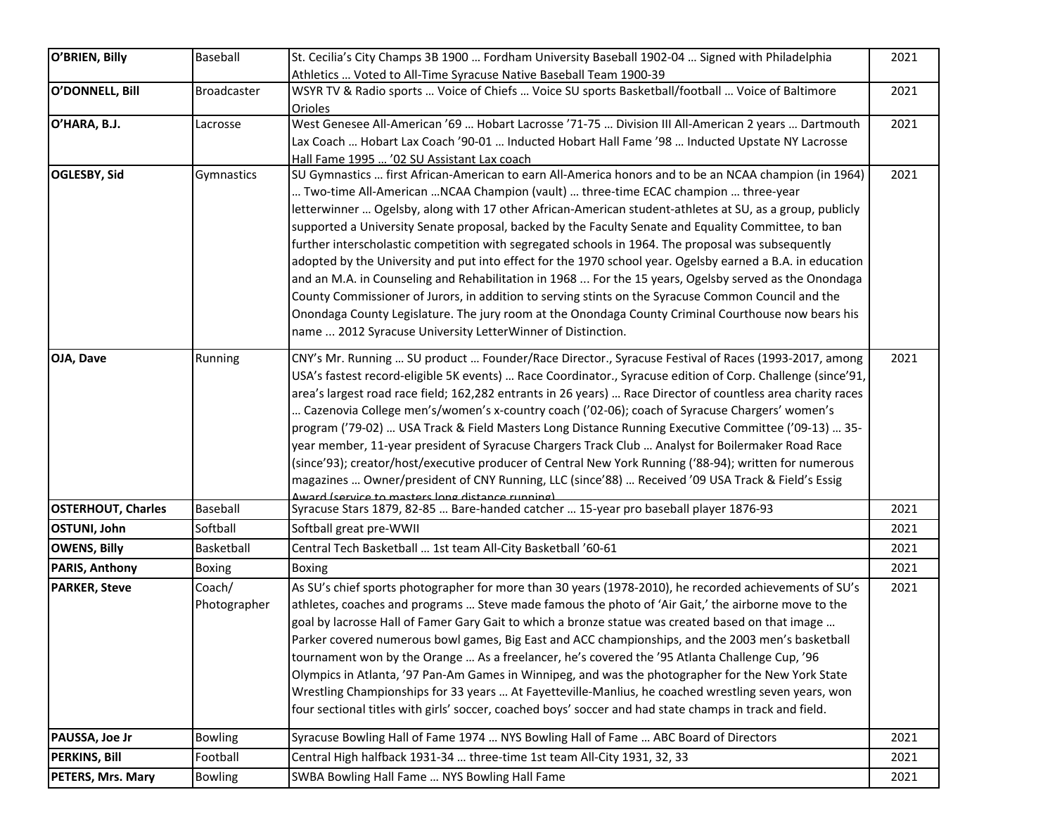| O'BRIEN, Billy            | Baseball           | St. Cecilia's City Champs 3B 1900  Fordham University Baseball 1902-04  Signed with Philadelphia                                         | 2021 |
|---------------------------|--------------------|------------------------------------------------------------------------------------------------------------------------------------------|------|
|                           |                    | Athletics  Voted to All-Time Syracuse Native Baseball Team 1900-39                                                                       |      |
| O'DONNELL, Bill           | <b>Broadcaster</b> | WSYR TV & Radio sports  Voice of Chiefs  Voice SU sports Basketball/football  Voice of Baltimore<br><b>Orioles</b>                       | 2021 |
| O'HARA, B.J.              | Lacrosse           | West Genesee All-American '69  Hobart Lacrosse '71-75  Division III All-American 2 years  Dartmouth                                      | 2021 |
|                           |                    | Lax Coach  Hobart Lax Coach '90-01  Inducted Hobart Hall Fame '98  Inducted Upstate NY Lacrosse                                          |      |
|                           |                    | Hall Fame 1995  '02 SU Assistant Lax coach                                                                                               |      |
| OGLESBY, Sid              | Gymnastics         | SU Gymnastics  first African-American to earn All-America honors and to be an NCAA champion (in 1964)                                    | 2021 |
|                           |                    | Two-time All-American NCAA Champion (vault)  three-time ECAC champion  three-year                                                        |      |
|                           |                    | letterwinner  Ogelsby, along with 17 other African-American student-athletes at SU, as a group, publicly                                 |      |
|                           |                    | supported a University Senate proposal, backed by the Faculty Senate and Equality Committee, to ban                                      |      |
|                           |                    | further interscholastic competition with segregated schools in 1964. The proposal was subsequently                                       |      |
|                           |                    | adopted by the University and put into effect for the 1970 school year. Ogelsby earned a B.A. in education                               |      |
|                           |                    | and an M.A. in Counseling and Rehabilitation in 1968  For the 15 years, Ogelsby served as the Onondaga                                   |      |
|                           |                    | County Commissioner of Jurors, in addition to serving stints on the Syracuse Common Council and the                                      |      |
|                           |                    | Onondaga County Legislature. The jury room at the Onondaga County Criminal Courthouse now bears his                                      |      |
|                           |                    | name  2012 Syracuse University LetterWinner of Distinction.                                                                              |      |
| OJA, Dave                 | Running            | CNY's Mr. Running  SU product  Founder/Race Director., Syracuse Festival of Races (1993-2017, among                                      | 2021 |
|                           |                    | USA's fastest record-eligible 5K events)  Race Coordinator., Syracuse edition of Corp. Challenge (since'91,                              |      |
|                           |                    | area's largest road race field; 162,282 entrants in 26 years)  Race Director of countless area charity races                             |      |
|                           |                    | Cazenovia College men's/women's x-country coach ('02-06); coach of Syracuse Chargers' women's                                            |      |
|                           |                    | program ('79-02)  USA Track & Field Masters Long Distance Running Executive Committee ('09-13)  35-                                      |      |
|                           |                    | year member, 11-year president of Syracuse Chargers Track Club  Analyst for Boilermaker Road Race                                        |      |
|                           |                    | (since'93); creator/host/executive producer of Central New York Running ('88-94); written for numerous                                   |      |
|                           |                    | magazines  Owner/president of CNY Running, LLC (since'88)  Received '09 USA Track & Field's Essig                                        |      |
| <b>OSTERHOUT, Charles</b> | Baseball           | Award (service to masters long distance running)<br>Syracuse Stars 1879, 82-85  Bare-handed catcher  15-year pro baseball player 1876-93 | 2021 |
| <b>OSTUNI, John</b>       | Softball           | Softball great pre-WWII                                                                                                                  | 2021 |
| <b>OWENS, Billy</b>       | Basketball         | Central Tech Basketball  1st team All-City Basketball '60-61                                                                             | 2021 |
| <b>PARIS, Anthony</b>     | <b>Boxing</b>      | <b>Boxing</b>                                                                                                                            | 2021 |
| <b>PARKER, Steve</b>      | Coach/             | As SU's chief sports photographer for more than 30 years (1978-2010), he recorded achievements of SU's                                   | 2021 |
|                           | Photographer       | athletes, coaches and programs  Steve made famous the photo of 'Air Gait,' the airborne move to the                                      |      |
|                           |                    | goal by lacrosse Hall of Famer Gary Gait to which a bronze statue was created based on that image                                        |      |
|                           |                    | Parker covered numerous bowl games, Big East and ACC championships, and the 2003 men's basketball                                        |      |
|                           |                    | tournament won by the Orange  As a freelancer, he's covered the '95 Atlanta Challenge Cup, '96                                           |      |
|                           |                    | Olympics in Atlanta, '97 Pan-Am Games in Winnipeg, and was the photographer for the New York State                                       |      |
|                           |                    | Wrestling Championships for 33 years  At Fayetteville-Manlius, he coached wrestling seven years, won                                     |      |
|                           |                    | four sectional titles with girls' soccer, coached boys' soccer and had state champs in track and field.                                  |      |
| PAUSSA, Joe Jr            | <b>Bowling</b>     | Syracuse Bowling Hall of Fame 1974  NYS Bowling Hall of Fame  ABC Board of Directors                                                     | 2021 |
| <b>PERKINS, Bill</b>      | Football           | Central High halfback 1931-34  three-time 1st team All-City 1931, 32, 33                                                                 | 2021 |
| PETERS, Mrs. Mary         | <b>Bowling</b>     | SWBA Bowling Hall Fame  NYS Bowling Hall Fame                                                                                            | 2021 |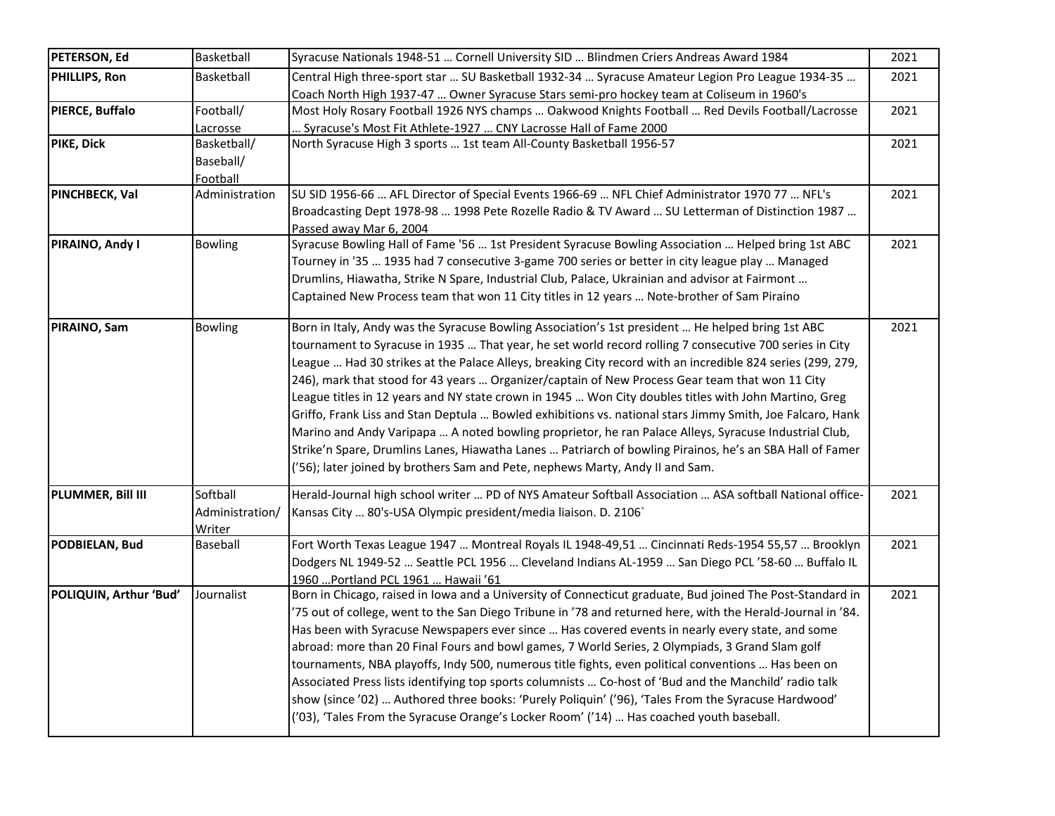| <b>PETERSON, Ed</b>    | Basketball                            | Syracuse Nationals 1948-51  Cornell University SID  Blindmen Criers Andreas Award 1984                                                                                                                                                                                                                                                                                                                                                                                                                                                                                                                                                                                                                                                                                                                                                                                                                                                                    | 2021 |
|------------------------|---------------------------------------|-----------------------------------------------------------------------------------------------------------------------------------------------------------------------------------------------------------------------------------------------------------------------------------------------------------------------------------------------------------------------------------------------------------------------------------------------------------------------------------------------------------------------------------------------------------------------------------------------------------------------------------------------------------------------------------------------------------------------------------------------------------------------------------------------------------------------------------------------------------------------------------------------------------------------------------------------------------|------|
| PHILLIPS, Ron          | Basketball                            | Central High three-sport star  SU Basketball 1932-34  Syracuse Amateur Legion Pro League 1934-35<br>Coach North High 1937-47  Owner Syracuse Stars semi-pro hockey team at Coliseum in 1960's                                                                                                                                                                                                                                                                                                                                                                                                                                                                                                                                                                                                                                                                                                                                                             | 2021 |
| PIERCE, Buffalo        | Football/<br>Lacrosse                 | Most Holy Rosary Football 1926 NYS champs  Oakwood Knights Football  Red Devils Football/Lacrosse<br>. Syracuse's Most Fit Athlete-1927  CNY Lacrosse Hall of Fame 2000                                                                                                                                                                                                                                                                                                                                                                                                                                                                                                                                                                                                                                                                                                                                                                                   | 2021 |
| PIKE, Dick             | Basketball/<br>Baseball/<br>Football  | North Syracuse High 3 sports  1st team All-County Basketball 1956-57                                                                                                                                                                                                                                                                                                                                                                                                                                                                                                                                                                                                                                                                                                                                                                                                                                                                                      | 2021 |
| PINCHBECK, Val         | Administration                        | SU SID 1956-66  AFL Director of Special Events 1966-69  NFL Chief Administrator 1970 77  NFL's<br>Broadcasting Dept 1978-98  1998 Pete Rozelle Radio & TV Award  SU Letterman of Distinction 1987<br>Passed away Mar 6, 2004                                                                                                                                                                                                                                                                                                                                                                                                                                                                                                                                                                                                                                                                                                                              | 2021 |
| PIRAINO, Andy I        | <b>Bowling</b>                        | Syracuse Bowling Hall of Fame '56  1st President Syracuse Bowling Association  Helped bring 1st ABC<br>Tourney in '35  1935 had 7 consecutive 3-game 700 series or better in city league play  Managed<br>Drumlins, Hiawatha, Strike N Spare, Industrial Club, Palace, Ukrainian and advisor at Fairmont<br>Captained New Process team that won 11 City titles in 12 years  Note-brother of Sam Piraino                                                                                                                                                                                                                                                                                                                                                                                                                                                                                                                                                   | 2021 |
| PIRAINO, Sam           | <b>Bowling</b>                        | Born in Italy, Andy was the Syracuse Bowling Association's 1st president  He helped bring 1st ABC<br>tournament to Syracuse in 1935  That year, he set world record rolling 7 consecutive 700 series in City<br>League  Had 30 strikes at the Palace Alleys, breaking City record with an incredible 824 series (299, 279,<br>246), mark that stood for 43 years  Organizer/captain of New Process Gear team that won 11 City<br>League titles in 12 years and NY state crown in 1945  Won City doubles titles with John Martino, Greg<br>Griffo, Frank Liss and Stan Deptula  Bowled exhibitions vs. national stars Jimmy Smith, Joe Falcaro, Hank<br>Marino and Andy Varipapa  A noted bowling proprietor, he ran Palace Alleys, Syracuse Industrial Club,<br>Strike'n Spare, Drumlins Lanes, Hiawatha Lanes  Patriarch of bowling Pirainos, he's an SBA Hall of Famer<br>('56); later joined by brothers Sam and Pete, nephews Marty, Andy II and Sam. | 2021 |
| PLUMMER, Bill III      | Softball<br>Administration/<br>Writer | Herald-Journal high school writer  PD of NYS Amateur Softball Association  ASA softball National office-<br>Kansas City  80's-USA Olympic president/media liaison. D. 2106`                                                                                                                                                                                                                                                                                                                                                                                                                                                                                                                                                                                                                                                                                                                                                                               | 2021 |
| PODBIELAN, Bud         | Baseball                              | Fort Worth Texas League 1947  Montreal Royals IL 1948-49,51  Cincinnati Reds-1954 55,57  Brooklyn<br>Dodgers NL 1949-52  Seattle PCL 1956  Cleveland Indians AL-1959  San Diego PCL '58-60  Buffalo IL<br>1960 Portland PCL 1961  Hawaii '61                                                                                                                                                                                                                                                                                                                                                                                                                                                                                                                                                                                                                                                                                                              | 2021 |
| POLIQUIN, Arthur 'Bud' | Journalist                            | Born in Chicago, raised in Iowa and a University of Connecticut graduate, Bud joined The Post-Standard in<br>75 out of college, went to the San Diego Tribune in '78 and returned here, with the Herald-Journal in '84.<br>Has been with Syracuse Newspapers ever since  Has covered events in nearly every state, and some<br>abroad: more than 20 Final Fours and bowl games, 7 World Series, 2 Olympiads, 3 Grand Slam golf<br>tournaments, NBA playoffs, Indy 500, numerous title fights, even political conventions  Has been on<br>Associated Press lists identifying top sports columnists  Co-host of 'Bud and the Manchild' radio talk<br>show (since '02)  Authored three books: 'Purely Poliquin' ('96), 'Tales From the Syracuse Hardwood'<br>('03), 'Tales From the Syracuse Orange's Locker Room' ('14)  Has coached youth baseball.                                                                                                        | 2021 |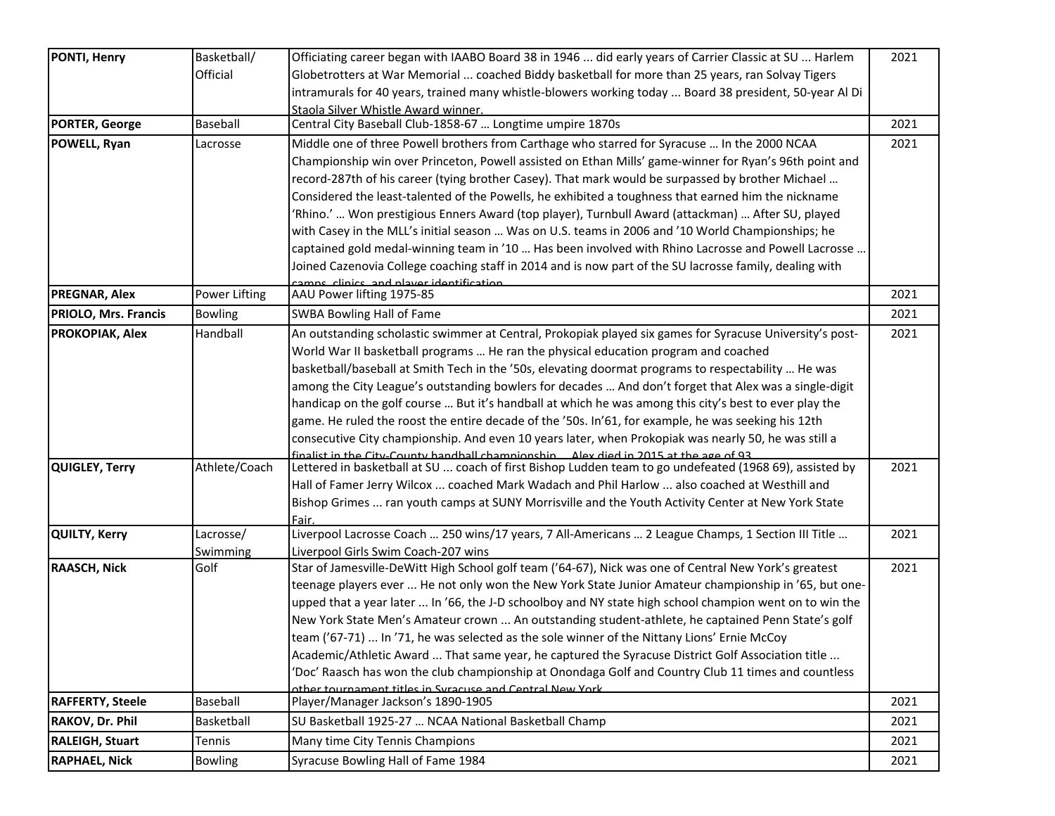| <b>PONTI, Henry</b>         | Basketball/    | Officiating career began with IAABO Board 38 in 1946  did early years of Carrier Classic at SU  Harlem                                                                                          | 2021 |
|-----------------------------|----------------|-------------------------------------------------------------------------------------------------------------------------------------------------------------------------------------------------|------|
|                             | Official       | Globetrotters at War Memorial  coached Biddy basketball for more than 25 years, ran Solvay Tigers                                                                                               |      |
|                             |                | intramurals for 40 years, trained many whistle-blowers working today  Board 38 president, 50-year Al Di                                                                                         |      |
|                             |                | Staola Silver Whistle Award winner.                                                                                                                                                             |      |
| <b>PORTER, George</b>       | Baseball       | Central City Baseball Club-1858-67  Longtime umpire 1870s                                                                                                                                       | 2021 |
| POWELL, Ryan                | Lacrosse       | Middle one of three Powell brothers from Carthage who starred for Syracuse  In the 2000 NCAA                                                                                                    | 2021 |
|                             |                | Championship win over Princeton, Powell assisted on Ethan Mills' game-winner for Ryan's 96th point and                                                                                          |      |
|                             |                | record-287th of his career (tying brother Casey). That mark would be surpassed by brother Michael                                                                                               |      |
|                             |                | Considered the least-talented of the Powells, he exhibited a toughness that earned him the nickname                                                                                             |      |
|                             |                | Rhino.'  Won prestigious Enners Award (top player), Turnbull Award (attackman)  After SU, played                                                                                                |      |
|                             |                | with Casey in the MLL's initial season  Was on U.S. teams in 2006 and '10 World Championships; he                                                                                               |      |
|                             |                | captained gold medal-winning team in '10  Has been involved with Rhino Lacrosse and Powell Lacrosse                                                                                             |      |
|                             |                | Joined Cazenovia College coaching staff in 2014 and is now part of the SU lacrosse family, dealing with                                                                                         |      |
|                             |                | camps, clinics, and player identification.                                                                                                                                                      |      |
| <b>PREGNAR, Alex</b>        | Power Lifting  | AAU Power lifting 1975-85                                                                                                                                                                       | 2021 |
| <b>PRIOLO, Mrs. Francis</b> | <b>Bowling</b> | <b>SWBA Bowling Hall of Fame</b>                                                                                                                                                                | 2021 |
| <b>PROKOPIAK, Alex</b>      | Handball       | An outstanding scholastic swimmer at Central, Prokopiak played six games for Syracuse University's post-                                                                                        | 2021 |
|                             |                | World War II basketball programs  He ran the physical education program and coached                                                                                                             |      |
|                             |                | basketball/baseball at Smith Tech in the '50s, elevating doormat programs to respectability  He was                                                                                             |      |
|                             |                | among the City League's outstanding bowlers for decades  And don't forget that Alex was a single-digit                                                                                          |      |
|                             |                | handicap on the golf course  But it's handball at which he was among this city's best to ever play the                                                                                          |      |
|                             |                | game. He ruled the roost the entire decade of the '50s. In'61, for example, he was seeking his 12th                                                                                             |      |
|                             |                | consecutive City championship. And even 10 years later, when Prokopiak was nearly 50, he was still a                                                                                            |      |
| <b>QUIGLEY, Terry</b>       | Athlete/Coach  | finalist in the City-County handball chamnionshin Alex died in 2015 at the age of 93<br>Lettered in basketball at SU  coach of first Bishop Ludden team to go undefeated (1968 69), assisted by | 2021 |
|                             |                | Hall of Famer Jerry Wilcox  coached Mark Wadach and Phil Harlow  also coached at Westhill and                                                                                                   |      |
|                             |                | Bishop Grimes  ran youth camps at SUNY Morrisville and the Youth Activity Center at New York State                                                                                              |      |
|                             |                | Fair.                                                                                                                                                                                           |      |
| <b>QUILTY, Kerry</b>        | Lacrosse/      | Liverpool Lacrosse Coach  250 wins/17 years, 7 All-Americans  2 League Champs, 1 Section III Title                                                                                              | 2021 |
|                             | Swimming       | Liverpool Girls Swim Coach-207 wins                                                                                                                                                             |      |
| <b>RAASCH, Nick</b>         | Golf           | Star of Jamesville-DeWitt High School golf team ('64-67), Nick was one of Central New York's greatest                                                                                           | 2021 |
|                             |                | teenage players ever  He not only won the New York State Junior Amateur championship in '65, but one-                                                                                           |      |
|                             |                | upped that a year later  In '66, the J-D schoolboy and NY state high school champion went on to win the                                                                                         |      |
|                             |                | New York State Men's Amateur crown  An outstanding student-athlete, he captained Penn State's golf                                                                                              |      |
|                             |                | team ('67-71)  In '71, he was selected as the sole winner of the Nittany Lions' Ernie McCoy                                                                                                     |      |
|                             |                | Academic/Athletic Award  That same year, he captured the Syracuse District Golf Association title                                                                                               |      |
|                             |                | 'Doc' Raasch has won the club championship at Onondaga Golf and Country Club 11 times and countless                                                                                             |      |
| <b>RAFFERTY, Steele</b>     | Baseball       | other tournament titles in Syracuse and Central New York<br>Player/Manager Jackson's 1890-1905                                                                                                  | 2021 |
| RAKOV, Dr. Phil             | Basketball     | SU Basketball 1925-27  NCAA National Basketball Champ                                                                                                                                           | 2021 |
| <b>RALEIGH, Stuart</b>      | Tennis         | Many time City Tennis Champions                                                                                                                                                                 | 2021 |
| <b>RAPHAEL, Nick</b>        | <b>Bowling</b> | Syracuse Bowling Hall of Fame 1984                                                                                                                                                              | 2021 |
|                             |                |                                                                                                                                                                                                 |      |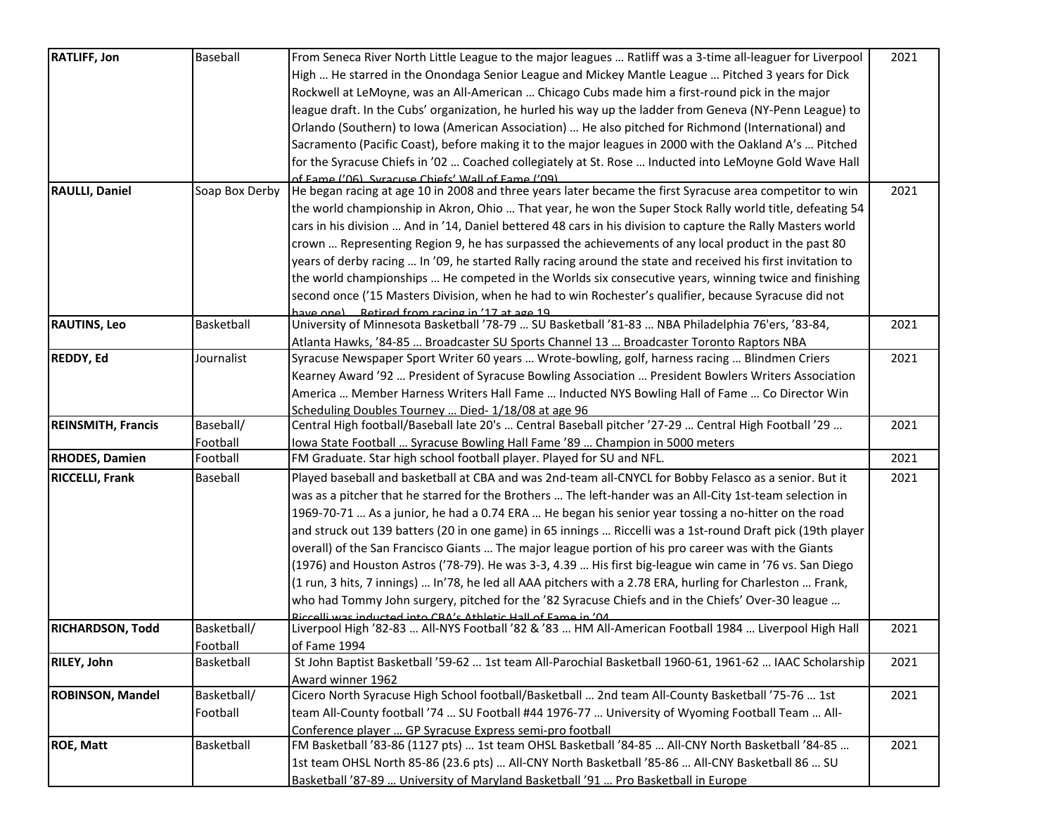| <b>RATLIFF, Jon</b>       | Baseball       | From Seneca River North Little League to the major leagues  Ratliff was a 3-time all-leaguer for Liverpool   | 2021 |
|---------------------------|----------------|--------------------------------------------------------------------------------------------------------------|------|
|                           |                | High  He starred in the Onondaga Senior League and Mickey Mantle League  Pitched 3 years for Dick            |      |
|                           |                | Rockwell at LeMoyne, was an All-American  Chicago Cubs made him a first-round pick in the major              |      |
|                           |                | league draft. In the Cubs' organization, he hurled his way up the ladder from Geneva (NY-Penn League) to     |      |
|                           |                | Orlando (Southern) to Iowa (American Association)  He also pitched for Richmond (International) and          |      |
|                           |                | Sacramento (Pacific Coast), before making it to the major leagues in 2000 with the Oakland A's  Pitched      |      |
|                           |                | for the Syracuse Chiefs in '02  Coached collegiately at St. Rose  Inducted into LeMoyne Gold Wave Hall       |      |
|                           |                | of Fame ('O6) Syracuse Chiefs' Wall of Fame ('O9)                                                            |      |
| <b>RAULLI, Daniel</b>     | Soap Box Derby | He began racing at age 10 in 2008 and three years later became the first Syracuse area competitor to win     | 2021 |
|                           |                | the world championship in Akron, Ohio  That year, he won the Super Stock Rally world title, defeating 54     |      |
|                           |                | cars in his division  And in '14, Daniel bettered 48 cars in his division to capture the Rally Masters world |      |
|                           |                | crown  Representing Region 9, he has surpassed the achievements of any local product in the past 80          |      |
|                           |                | years of derby racing  In '09, he started Rally racing around the state and received his first invitation to |      |
|                           |                | the world championships  He competed in the Worlds six consecutive years, winning twice and finishing        |      |
|                           |                | second once ('15 Masters Division, when he had to win Rochester's qualifier, because Syracuse did not        |      |
|                           |                | have one) Retired from racing in '17 at age 19                                                               |      |
| <b>RAUTINS, Leo</b>       | Basketball     | University of Minnesota Basketball '78-79  SU Basketball '81-83  NBA Philadelphia 76'ers, '83-84,            | 2021 |
|                           |                | Atlanta Hawks, '84-85  Broadcaster SU Sports Channel 13  Broadcaster Toronto Raptors NBA                     |      |
| <b>REDDY, Ed</b>          | Journalist     | Syracuse Newspaper Sport Writer 60 years  Wrote-bowling, golf, harness racing  Blindmen Criers               | 2021 |
|                           |                | Kearney Award '92  President of Syracuse Bowling Association  President Bowlers Writers Association          |      |
|                           |                | America  Member Harness Writers Hall Fame  Inducted NYS Bowling Hall of Fame  Co Director Win                |      |
|                           |                | Scheduling Doubles Tourney  Died-1/18/08 at age 96                                                           |      |
| <b>REINSMITH, Francis</b> | Baseball/      | Central High football/Baseball late 20's  Central Baseball pitcher '27-29  Central High Football '29         | 2021 |
|                           | Football       | Iowa State Football  Syracuse Bowling Hall Fame '89  Champion in 5000 meters                                 |      |
| <b>RHODES, Damien</b>     | Football       | FM Graduate. Star high school football player. Played for SU and NFL.                                        | 2021 |
| <b>RICCELLI, Frank</b>    | Baseball       | Played baseball and basketball at CBA and was 2nd-team all-CNYCL for Bobby Felasco as a senior. But it       | 2021 |
|                           |                | was as a pitcher that he starred for the Brothers  The left-hander was an All-City 1st-team selection in     |      |
|                           |                | 1969-70-71  As a junior, he had a 0.74 ERA  He began his senior year tossing a no-hitter on the road         |      |
|                           |                | and struck out 139 batters (20 in one game) in 65 innings  Riccelli was a 1st-round Draft pick (19th player  |      |
|                           |                | overall) of the San Francisco Giants  The major league portion of his pro career was with the Giants         |      |
|                           |                | (1976) and Houston Astros ('78-79). He was 3-3, 4.39  His first big-league win came in '76 vs. San Diego     |      |
|                           |                | (1 run, 3 hits, 7 innings)  In'78, he led all AAA pitchers with a 2.78 ERA, hurling for Charleston  Frank,   |      |
|                           |                | who had Tommy John surgery, pitched for the '82 Syracuse Chiefs and in the Chiefs' Over-30 league            |      |
|                           |                | Riccelli was inducted into CRA's Athletic Hall of Fame in '04                                                |      |
| <b>RICHARDSON, Todd</b>   | Basketball/    | Liverpool High '82-83  All-NYS Football '82 & '83  HM All-American Football 1984  Liverpool High Hall        | 2021 |
|                           | Football       | of Fame 1994                                                                                                 |      |
| <b>RILEY, John</b>        | Basketball     | St John Baptist Basketball '59-62  1st team All-Parochial Basketball 1960-61, 1961-62  IAAC Scholarship      | 2021 |
|                           |                | Award winner 1962                                                                                            |      |
| <b>ROBINSON, Mandel</b>   | Basketball/    | Cicero North Syracuse High School football/Basketball  2nd team All-County Basketball '75-76  1st            | 2021 |
|                           | Football       | team All-County football '74  SU Football #44 1976-77  University of Wyoming Football Team  All-             |      |
|                           |                | Conference player  GP Syracuse Express semi-pro football                                                     |      |
| <b>ROE, Matt</b>          | Basketball     | FM Basketball '83-86 (1127 pts)  1st team OHSL Basketball '84-85  All-CNY North Basketball '84-85            | 2021 |
|                           |                | 1st team OHSL North 85-86 (23.6 pts)  All-CNY North Basketball '85-86  All-CNY Basketball 86  SU             |      |
|                           |                | Basketball '87-89  University of Maryland Basketball '91  Pro Basketball in Europe                           |      |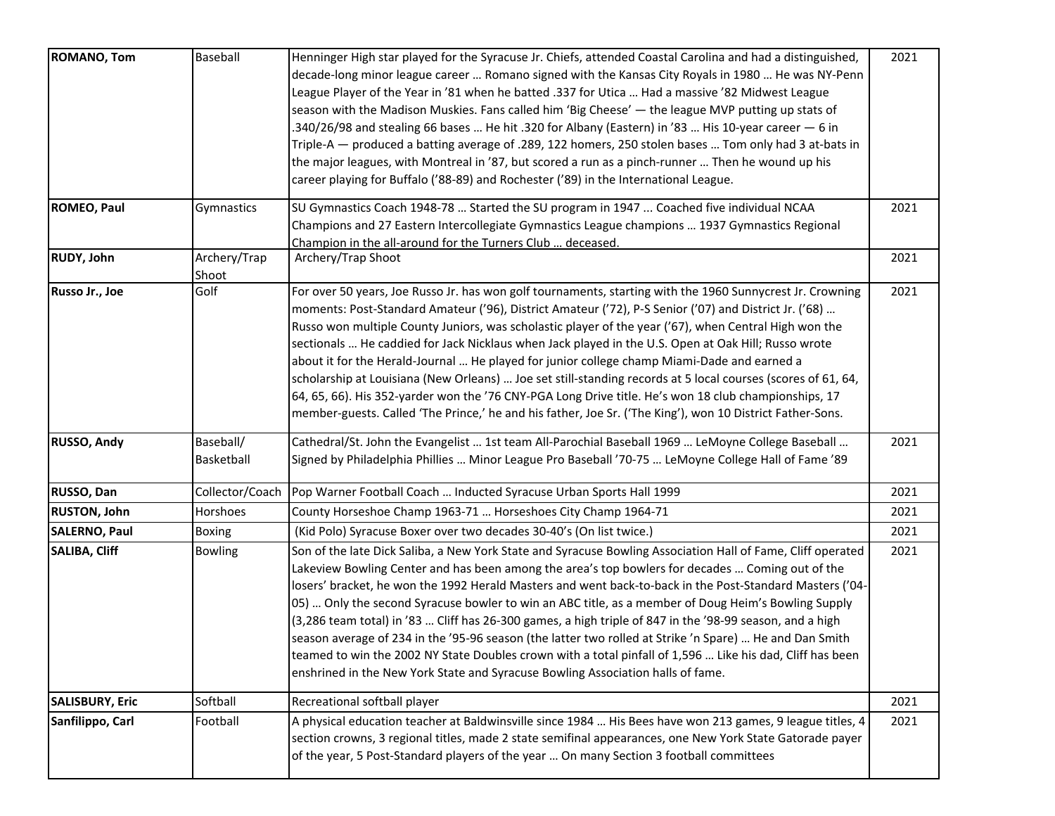| <b>ROMANO, Tom</b>     | Baseball        | Henninger High star played for the Syracuse Jr. Chiefs, attended Coastal Carolina and had a distinguished,<br>decade-long minor league career  Romano signed with the Kansas City Royals in 1980  He was NY-Penn                                                                                                                                                                                                                                                                                                                               | 2021 |
|------------------------|-----------------|------------------------------------------------------------------------------------------------------------------------------------------------------------------------------------------------------------------------------------------------------------------------------------------------------------------------------------------------------------------------------------------------------------------------------------------------------------------------------------------------------------------------------------------------|------|
|                        |                 | League Player of the Year in '81 when he batted .337 for Utica  Had a massive '82 Midwest League                                                                                                                                                                                                                                                                                                                                                                                                                                               |      |
|                        |                 | season with the Madison Muskies. Fans called him 'Big Cheese' - the league MVP putting up stats of                                                                                                                                                                                                                                                                                                                                                                                                                                             |      |
|                        |                 | .340/26/98 and stealing 66 bases  He hit .320 for Albany (Eastern) in '83  His 10-year career — 6 in                                                                                                                                                                                                                                                                                                                                                                                                                                           |      |
|                        |                 | Triple-A - produced a batting average of .289, 122 homers, 250 stolen bases  Tom only had 3 at-bats in                                                                                                                                                                                                                                                                                                                                                                                                                                         |      |
|                        |                 | the major leagues, with Montreal in '87, but scored a run as a pinch-runner  Then he wound up his                                                                                                                                                                                                                                                                                                                                                                                                                                              |      |
|                        |                 | career playing for Buffalo ('88-89) and Rochester ('89) in the International League.                                                                                                                                                                                                                                                                                                                                                                                                                                                           |      |
| <b>ROMEO, Paul</b>     | Gymnastics      | SU Gymnastics Coach 1948-78  Started the SU program in 1947  Coached five individual NCAA                                                                                                                                                                                                                                                                                                                                                                                                                                                      | 2021 |
|                        |                 | Champions and 27 Eastern Intercollegiate Gymnastics League champions  1937 Gymnastics Regional                                                                                                                                                                                                                                                                                                                                                                                                                                                 |      |
|                        |                 | Champion in the all-around for the Turners Club  deceased.                                                                                                                                                                                                                                                                                                                                                                                                                                                                                     |      |
| <b>RUDY, John</b>      | Archery/Trap    | Archery/Trap Shoot                                                                                                                                                                                                                                                                                                                                                                                                                                                                                                                             | 2021 |
|                        | Shoot           |                                                                                                                                                                                                                                                                                                                                                                                                                                                                                                                                                |      |
| Russo Jr., Joe         | Golf            | For over 50 years, Joe Russo Jr. has won golf tournaments, starting with the 1960 Sunnycrest Jr. Crowning<br>moments: Post-Standard Amateur ('96), District Amateur ('72), P-S Senior ('07) and District Jr. ('68)                                                                                                                                                                                                                                                                                                                             | 2021 |
|                        |                 | Russo won multiple County Juniors, was scholastic player of the year ('67), when Central High won the                                                                                                                                                                                                                                                                                                                                                                                                                                          |      |
|                        |                 | sectionals  He caddied for Jack Nicklaus when Jack played in the U.S. Open at Oak Hill; Russo wrote                                                                                                                                                                                                                                                                                                                                                                                                                                            |      |
|                        |                 | about it for the Herald-Journal  He played for junior college champ Miami-Dade and earned a                                                                                                                                                                                                                                                                                                                                                                                                                                                    |      |
|                        |                 | scholarship at Louisiana (New Orleans)  Joe set still-standing records at 5 local courses (scores of 61, 64,                                                                                                                                                                                                                                                                                                                                                                                                                                   |      |
|                        |                 | 64, 65, 66). His 352-yarder won the '76 CNY-PGA Long Drive title. He's won 18 club championships, 17                                                                                                                                                                                                                                                                                                                                                                                                                                           |      |
|                        |                 | member-guests. Called 'The Prince,' he and his father, Joe Sr. ('The King'), won 10 District Father-Sons.                                                                                                                                                                                                                                                                                                                                                                                                                                      |      |
| <b>RUSSO, Andy</b>     | Baseball/       | Cathedral/St. John the Evangelist  1st team All-Parochial Baseball 1969  LeMoyne College Baseball                                                                                                                                                                                                                                                                                                                                                                                                                                              | 2021 |
|                        | Basketball      | Signed by Philadelphia Phillies  Minor League Pro Baseball '70-75  LeMoyne College Hall of Fame '89                                                                                                                                                                                                                                                                                                                                                                                                                                            |      |
| RUSSO, Dan             | Collector/Coach | Pop Warner Football Coach  Inducted Syracuse Urban Sports Hall 1999                                                                                                                                                                                                                                                                                                                                                                                                                                                                            | 2021 |
| <b>RUSTON, John</b>    | Horshoes        | County Horseshoe Champ 1963-71  Horseshoes City Champ 1964-71                                                                                                                                                                                                                                                                                                                                                                                                                                                                                  | 2021 |
| <b>SALERNO, Paul</b>   | <b>Boxing</b>   | (Kid Polo) Syracuse Boxer over two decades 30-40's (On list twice.)                                                                                                                                                                                                                                                                                                                                                                                                                                                                            | 2021 |
| <b>SALIBA, Cliff</b>   | <b>Bowling</b>  | Son of the late Dick Saliba, a New York State and Syracuse Bowling Association Hall of Fame, Cliff operated<br>Lakeview Bowling Center and has been among the area's top bowlers for decades  Coming out of the<br>losers' bracket, he won the 1992 Herald Masters and went back-to-back in the Post-Standard Masters ('04-<br>05)  Only the second Syracuse bowler to win an ABC title, as a member of Doug Heim's Bowling Supply<br>(3,286 team total) in '83  Cliff has 26-300 games, a high triple of 847 in the '98-99 season, and a high | 2021 |
|                        |                 | season average of 234 in the '95-96 season (the latter two rolled at Strike 'n Spare)  He and Dan Smith                                                                                                                                                                                                                                                                                                                                                                                                                                        |      |
|                        |                 | teamed to win the 2002 NY State Doubles crown with a total pinfall of 1,596  Like his dad, Cliff has been                                                                                                                                                                                                                                                                                                                                                                                                                                      |      |
|                        |                 | enshrined in the New York State and Syracuse Bowling Association halls of fame.                                                                                                                                                                                                                                                                                                                                                                                                                                                                |      |
| <b>SALISBURY, Eric</b> | Softball        | Recreational softball player                                                                                                                                                                                                                                                                                                                                                                                                                                                                                                                   | 2021 |
| Sanfilippo, Carl       | Football        | A physical education teacher at Baldwinsville since 1984  His Bees have won 213 games, 9 league titles, 4<br>section crowns, 3 regional titles, made 2 state semifinal appearances, one New York State Gatorade payer<br>of the year, 5 Post-Standard players of the year  On many Section 3 football committees                                                                                                                                                                                                                               | 2021 |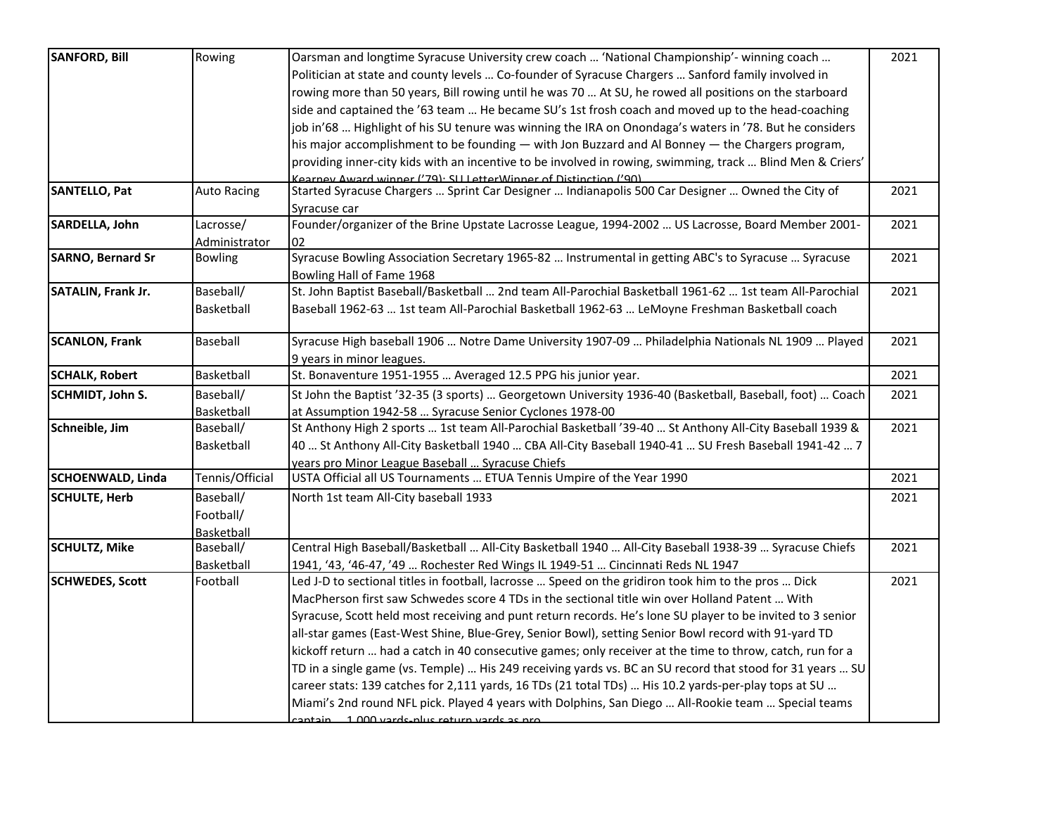| <b>SANFORD, Bill</b>      | Rowing             | Oarsman and longtime Syracuse University crew coach  'National Championship'- winning coach                | 2021 |
|---------------------------|--------------------|------------------------------------------------------------------------------------------------------------|------|
|                           |                    | Politician at state and county levels  Co-founder of Syracuse Chargers  Sanford family involved in         |      |
|                           |                    | rowing more than 50 years, Bill rowing until he was 70  At SU, he rowed all positions on the starboard     |      |
|                           |                    | side and captained the '63 team  He became SU's 1st frosh coach and moved up to the head-coaching          |      |
|                           |                    | job in'68  Highlight of his SU tenure was winning the IRA on Onondaga's waters in '78. But he considers    |      |
|                           |                    | his major accomplishment to be founding $-$ with Jon Buzzard and Al Bonney $-$ the Chargers program,       |      |
|                           |                    | providing inner-city kids with an incentive to be involved in rowing, swimming, track  Blind Men & Criers' |      |
|                           |                    | Kearney Award winner ('79): SII LetterWinner of Distinction ('90)                                          |      |
| <b>SANTELLO, Pat</b>      | <b>Auto Racing</b> | Started Syracuse Chargers  Sprint Car Designer  Indianapolis 500 Car Designer  Owned the City of           | 2021 |
|                           |                    | Syracuse car                                                                                               |      |
| SARDELLA, John            | Lacrosse/          | Founder/organizer of the Brine Upstate Lacrosse League, 1994-2002  US Lacrosse, Board Member 2001-         | 2021 |
|                           | Administrator      | 02                                                                                                         |      |
| <b>SARNO, Bernard Sr</b>  | <b>Bowling</b>     | Syracuse Bowling Association Secretary 1965-82  Instrumental in getting ABC's to Syracuse  Syracuse        | 2021 |
|                           |                    | Bowling Hall of Fame 1968                                                                                  |      |
| <b>SATALIN, Frank Jr.</b> | Baseball/          | St. John Baptist Baseball/Basketball  2nd team All-Parochial Basketball 1961-62  1st team All-Parochial    | 2021 |
|                           | Basketball         | Baseball 1962-63  1st team All-Parochial Basketball 1962-63  LeMoyne Freshman Basketball coach             |      |
|                           |                    |                                                                                                            |      |
| <b>SCANLON, Frank</b>     | Baseball           | Syracuse High baseball 1906  Notre Dame University 1907-09  Philadelphia Nationals NL 1909  Played         | 2021 |
|                           |                    | 9 years in minor leagues.                                                                                  |      |
| <b>SCHALK, Robert</b>     | Basketball         | St. Bonaventure 1951-1955  Averaged 12.5 PPG his junior year.                                              | 2021 |
| SCHMIDT, John S.          | Baseball/          | St John the Baptist '32-35 (3 sports)  Georgetown University 1936-40 (Basketball, Baseball, foot)  Coach   | 2021 |
|                           | Basketball         | at Assumption 1942-58  Syracuse Senior Cyclones 1978-00                                                    |      |
| Schneible, Jim            | Baseball/          | St Anthony High 2 sports  1st team All-Parochial Basketball '39-40  St Anthony All-City Baseball 1939 &    | 2021 |
|                           | Basketball         | 40  St Anthony All-City Basketball 1940  CBA All-City Baseball 1940-41  SU Fresh Baseball 1941-42  7       |      |
|                           |                    | years pro Minor League Baseball  Syracuse Chiefs                                                           |      |
| <b>SCHOENWALD, Linda</b>  | Tennis/Official    | USTA Official all US Tournaments  ETUA Tennis Umpire of the Year 1990                                      | 2021 |
| <b>SCHULTE, Herb</b>      | Baseball/          | North 1st team All-City baseball 1933                                                                      | 2021 |
|                           | Football/          |                                                                                                            |      |
|                           | Basketball         |                                                                                                            |      |
| <b>SCHULTZ, Mike</b>      | Baseball/          | Central High Baseball/Basketball  All-City Basketball 1940  All-City Baseball 1938-39  Syracuse Chiefs     | 2021 |
|                           | Basketball         | 1941, '43, '46-47, '49  Rochester Red Wings IL 1949-51  Cincinnati Reds NL 1947                            |      |
| <b>SCHWEDES, Scott</b>    | Football           | Led J-D to sectional titles in football, lacrosse  Speed on the gridiron took him to the pros  Dick        | 2021 |
|                           |                    | MacPherson first saw Schwedes score 4 TDs in the sectional title win over Holland Patent  With             |      |
|                           |                    | Syracuse, Scott held most receiving and punt return records. He's lone SU player to be invited to 3 senior |      |
|                           |                    | all-star games (East-West Shine, Blue-Grey, Senior Bowl), setting Senior Bowl record with 91-yard TD       |      |
|                           |                    | kickoff return  had a catch in 40 consecutive games; only receiver at the time to throw, catch, run for a  |      |
|                           |                    | TD in a single game (vs. Temple)  His 249 receiving yards vs. BC an SU record that stood for 31 years  SU  |      |
|                           |                    | career stats: 139 catches for 2,111 yards, 16 TDs (21 total TDs)  His 10.2 yards-per-play tops at SU       |      |
|                           |                    | Miami's 2nd round NFL pick. Played 4 years with Dolphins, San Diego  All-Rookie team  Special teams        |      |
|                           |                    | cantain 1 000 vards nlus return vards as nro                                                               |      |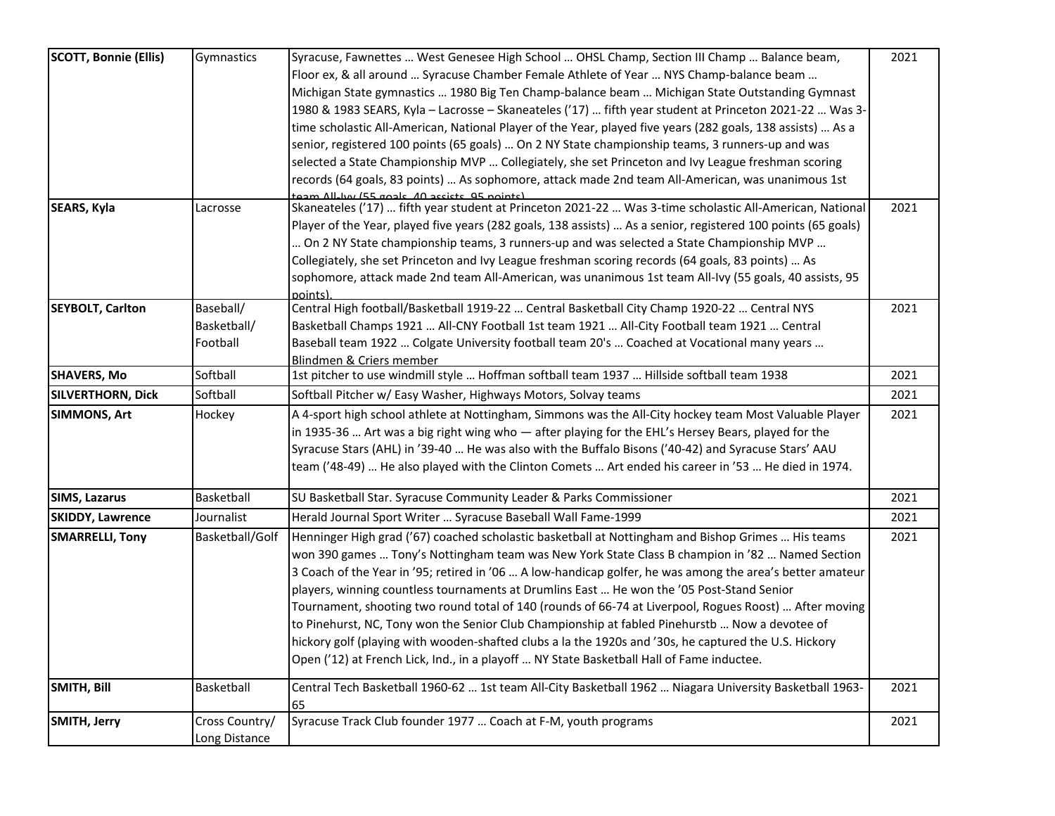| <b>SCOTT, Bonnie (Ellis)</b> | Gymnastics      | Syracuse, Fawnettes  West Genesee High School  OHSL Champ, Section III Champ  Balance beam,                            | 2021 |
|------------------------------|-----------------|------------------------------------------------------------------------------------------------------------------------|------|
|                              |                 | Floor ex, & all around  Syracuse Chamber Female Athlete of Year  NYS Champ-balance beam                                |      |
|                              |                 | Michigan State gymnastics  1980 Big Ten Champ-balance beam  Michigan State Outstanding Gymnast                         |      |
|                              |                 | 1980 & 1983 SEARS, Kyla - Lacrosse - Skaneateles ('17)  fifth year student at Princeton 2021-22  Was 3-                |      |
|                              |                 | time scholastic All-American, National Player of the Year, played five years (282 goals, 138 assists)  As a            |      |
|                              |                 | senior, registered 100 points (65 goals)  On 2 NY State championship teams, 3 runners-up and was                       |      |
|                              |                 | selected a State Championship MVP  Collegiately, she set Princeton and Ivy League freshman scoring                     |      |
|                              |                 | records (64 goals, 83 points)  As sophomore, attack made 2nd team All-American, was unanimous 1st                      |      |
|                              |                 | team All-har (55 goals, 40 assists, 95 noints)                                                                         |      |
| <b>SEARS, Kyla</b>           | Lacrosse        | Skaneateles ('17)  fifth year student at Princeton 2021-22  Was 3-time scholastic All-American, National               | 2021 |
|                              |                 | Player of the Year, played five years (282 goals, 138 assists)  As a senior, registered 100 points (65 goals)          |      |
|                              |                 | On 2 NY State championship teams, 3 runners-up and was selected a State Championship MVP                               |      |
|                              |                 | Collegiately, she set Princeton and Ivy League freshman scoring records (64 goals, 83 points)  As                      |      |
|                              |                 | sophomore, attack made 2nd team All-American, was unanimous 1st team All-Ivy (55 goals, 40 assists, 95                 |      |
|                              |                 | points)                                                                                                                |      |
| <b>SEYBOLT, Carlton</b>      | Baseball/       | Central High football/Basketball 1919-22  Central Basketball City Champ 1920-22  Central NYS                           | 2021 |
|                              | Basketball/     | Basketball Champs 1921  All-CNY Football 1st team 1921  All-City Football team 1921  Central                           |      |
|                              | Football        | Baseball team 1922  Colgate University football team 20's  Coached at Vocational many years                            |      |
| <b>SHAVERS, Mo</b>           | Softball        | Blindmen & Criers member<br>1st pitcher to use windmill style  Hoffman softball team 1937  Hillside softball team 1938 | 2021 |
|                              |                 |                                                                                                                        |      |
| <b>SILVERTHORN, Dick</b>     | Softball        | Softball Pitcher w/ Easy Washer, Highways Motors, Solvay teams                                                         | 2021 |
| <b>SIMMONS, Art</b>          | Hockey          | A 4-sport high school athlete at Nottingham, Simmons was the All-City hockey team Most Valuable Player                 | 2021 |
|                              |                 | in 1935-36  Art was a big right wing who - after playing for the EHL's Hersey Bears, played for the                    |      |
|                              |                 | Syracuse Stars (AHL) in '39-40  He was also with the Buffalo Bisons ('40-42) and Syracuse Stars' AAU                   |      |
|                              |                 | team ('48-49)  He also played with the Clinton Comets  Art ended his career in '53  He died in 1974.                   |      |
| <b>SIMS, Lazarus</b>         | Basketball      | SU Basketball Star. Syracuse Community Leader & Parks Commissioner                                                     | 2021 |
| <b>SKIDDY, Lawrence</b>      | Journalist      | Herald Journal Sport Writer  Syracuse Baseball Wall Fame-1999                                                          | 2021 |
| <b>SMARRELLI, Tony</b>       | Basketball/Golf | Henninger High grad ('67) coached scholastic basketball at Nottingham and Bishop Grimes  His teams                     | 2021 |
|                              |                 | won 390 games  Tony's Nottingham team was New York State Class B champion in '82  Named Section                        |      |
|                              |                 | 3 Coach of the Year in '95; retired in '06  A low-handicap golfer, he was among the area's better amateur              |      |
|                              |                 | players, winning countless tournaments at Drumlins East  He won the '05 Post-Stand Senior                              |      |
|                              |                 | Tournament, shooting two round total of 140 (rounds of 66-74 at Liverpool, Rogues Roost)  After moving                 |      |
|                              |                 | to Pinehurst, NC, Tony won the Senior Club Championship at fabled Pinehurstb  Now a devotee of                         |      |
|                              |                 | hickory golf (playing with wooden-shafted clubs a la the 1920s and '30s, he captured the U.S. Hickory                  |      |
|                              |                 | Open ('12) at French Lick, Ind., in a playoff  NY State Basketball Hall of Fame inductee.                              |      |
| SMITH, Bill                  | Basketball      | Central Tech Basketball 1960-62  1st team All-City Basketball 1962  Niagara University Basketball 1963-                | 2021 |
|                              |                 | 65                                                                                                                     |      |
| SMITH, Jerry                 | Cross Country/  | Syracuse Track Club founder 1977  Coach at F-M, youth programs                                                         | 2021 |
|                              | Long Distance   |                                                                                                                        |      |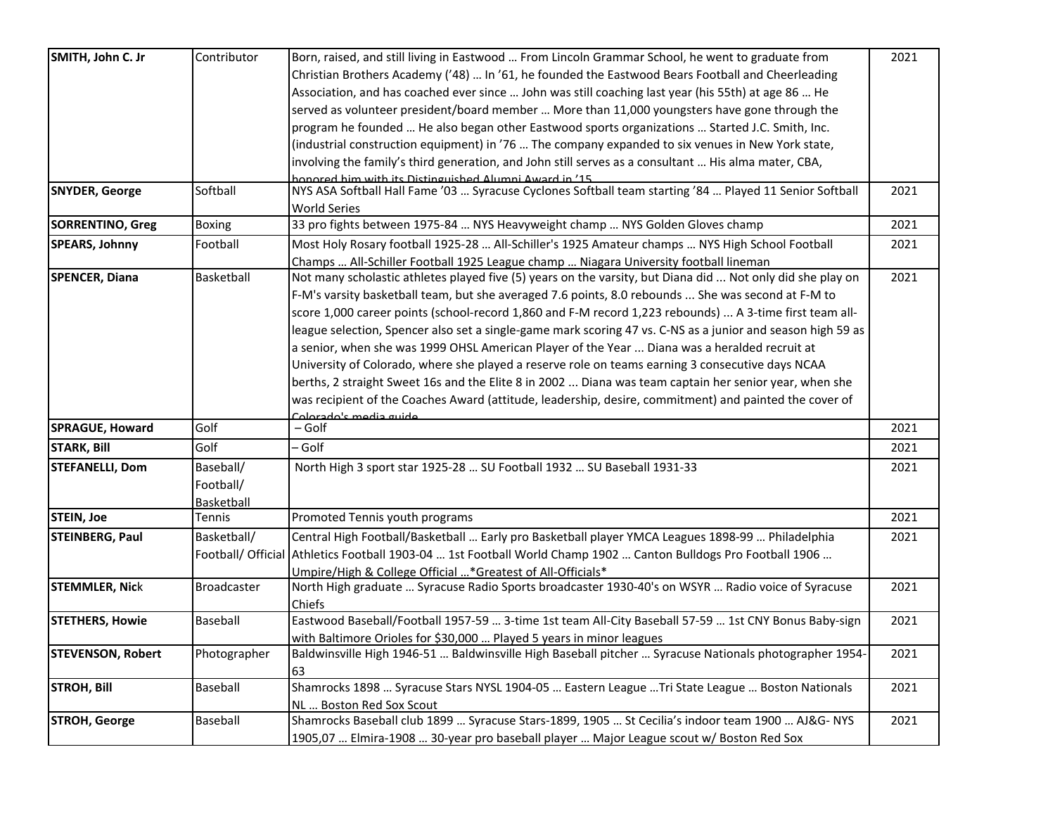| SMITH, John C. Jr        | Contributor        | Born, raised, and still living in Eastwood  From Lincoln Grammar School, he went to graduate from           | 2021 |
|--------------------------|--------------------|-------------------------------------------------------------------------------------------------------------|------|
|                          |                    | Christian Brothers Academy ('48)  In '61, he founded the Eastwood Bears Football and Cheerleading           |      |
|                          |                    | Association, and has coached ever since  John was still coaching last year (his 55th) at age 86  He         |      |
|                          |                    | served as volunteer president/board member  More than 11,000 youngsters have gone through the               |      |
|                          |                    | program he founded  He also began other Eastwood sports organizations  Started J.C. Smith, Inc.             |      |
|                          |                    | (industrial construction equipment) in '76  The company expanded to six venues in New York state,           |      |
|                          |                    | involving the family's third generation, and John still serves as a consultant  His alma mater, CBA,        |      |
|                          |                    | annored him with its Distinguished Alumni Award in '15                                                      |      |
| <b>SNYDER, George</b>    | Softball           | NYS ASA Softball Hall Fame '03  Syracuse Cyclones Softball team starting '84  Played 11 Senior Softball     | 2021 |
|                          |                    | World Series                                                                                                |      |
| <b>SORRENTINO, Greg</b>  | <b>Boxing</b>      | 33 pro fights between 1975-84  NYS Heavyweight champ  NYS Golden Gloves champ                               | 2021 |
| <b>SPEARS, Johnny</b>    | Football           | Most Holy Rosary football 1925-28  All-Schiller's 1925 Amateur champs  NYS High School Football             | 2021 |
|                          |                    | Champs  All-Schiller Football 1925 League champ  Niagara University football lineman                        |      |
| <b>SPENCER, Diana</b>    | Basketball         | Not many scholastic athletes played five (5) years on the varsity, but Diana did  Not only did she play on  | 2021 |
|                          |                    | F-M's varsity basketball team, but she averaged 7.6 points, 8.0 rebounds  She was second at F-M to          |      |
|                          |                    | score 1,000 career points (school-record 1,860 and F-M record 1,223 rebounds)  A 3-time first team all-     |      |
|                          |                    | league selection, Spencer also set a single-game mark scoring 47 vs. C-NS as a junior and season high 59 as |      |
|                          |                    | a senior, when she was 1999 OHSL American Player of the Year  Diana was a heralded recruit at               |      |
|                          |                    | University of Colorado, where she played a reserve role on teams earning 3 consecutive days NCAA            |      |
|                          |                    | berths, 2 straight Sweet 16s and the Elite 8 in 2002  Diana was team captain her senior year, when she      |      |
|                          |                    | was recipient of the Coaches Award (attitude, leadership, desire, commitment) and painted the cover of      |      |
|                          |                    | Colorado's media quide                                                                                      |      |
| SPRAGUE, Howard          | Golf               | – Golf                                                                                                      | 2021 |
| <b>STARK, Bill</b>       | Golf               | - Golf                                                                                                      | 2021 |
| <b>STEFANELLI, Dom</b>   | Baseball/          | North High 3 sport star 1925-28  SU Football 1932  SU Baseball 1931-33                                      | 2021 |
|                          | Football/          |                                                                                                             |      |
|                          | Basketball         |                                                                                                             |      |
| <b>STEIN, Joe</b>        | Tennis             | Promoted Tennis youth programs                                                                              | 2021 |
| <b>STEINBERG, Paul</b>   | Basketball/        | Central High Football/Basketball  Early pro Basketball player YMCA Leagues 1898-99  Philadelphia            | 2021 |
|                          | Football/ Official | Athletics Football 1903-04  1st Football World Champ 1902  Canton Bulldogs Pro Football 1906                |      |
|                          |                    | Umpire/High & College Official * Greatest of All-Officials*                                                 |      |
| <b>STEMMLER, Nick</b>    | <b>Broadcaster</b> | North High graduate  Syracuse Radio Sports broadcaster 1930-40's on WSYR  Radio voice of Syracuse           | 2021 |
|                          |                    | Chiefs                                                                                                      |      |
| <b>STETHERS, Howie</b>   | Baseball           | Eastwood Baseball/Football 1957-59  3-time 1st team All-City Baseball 57-59  1st CNY Bonus Baby-sign        | 2021 |
|                          |                    | with Baltimore Orioles for \$30,000  Played 5 years in minor leagues                                        |      |
| <b>STEVENSON, Robert</b> | Photographer       | Baldwinsville High 1946-51  Baldwinsville High Baseball pitcher  Syracuse Nationals photographer 1954-      | 2021 |
|                          |                    | 63                                                                                                          |      |
| <b>STROH, Bill</b>       | Baseball           | Shamrocks 1898  Syracuse Stars NYSL 1904-05  Eastern League  Tri State League  Boston Nationals             | 2021 |
|                          |                    | NL  Boston Red Sox Scout                                                                                    |      |
| <b>STROH, George</b>     | Baseball           | Shamrocks Baseball club 1899  Syracuse Stars-1899, 1905  St Cecilia's indoor team 1900  AJ&G- NYS           | 2021 |
|                          |                    | 1905,07  Elmira-1908  30-year pro baseball player  Major League scout w/ Boston Red Sox                     |      |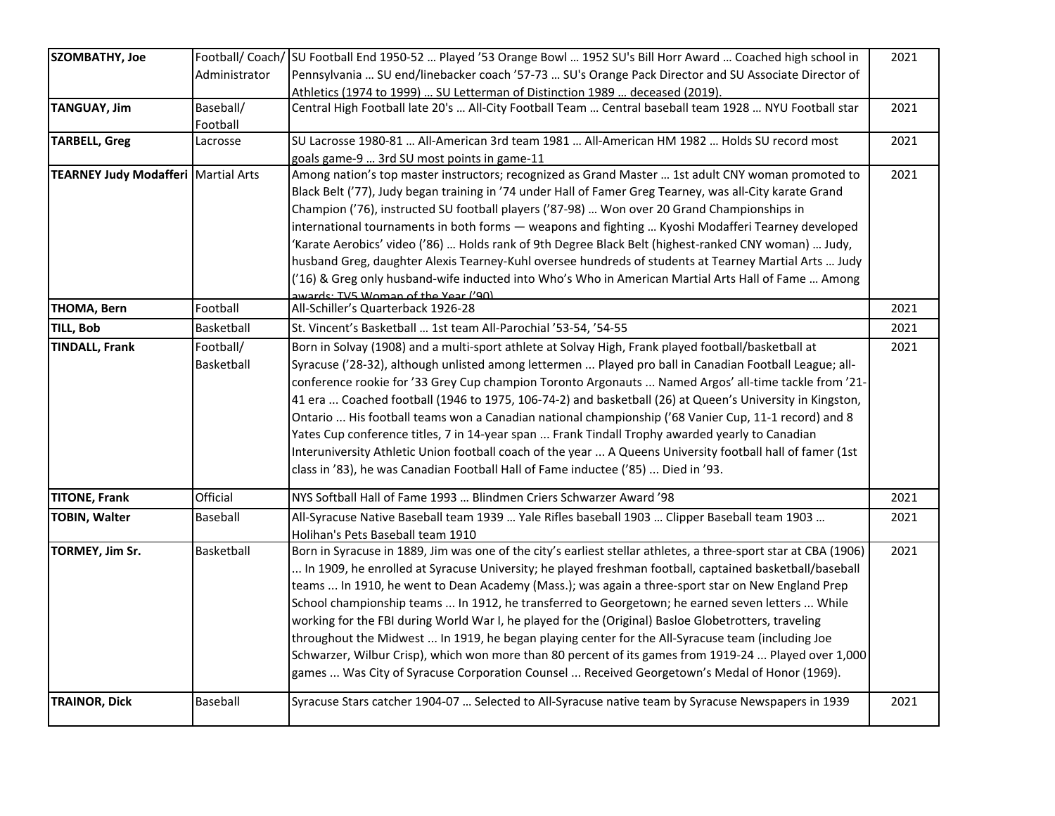| <b>SZOMBATHY, Joe</b>                        |               | Football/ Coach/ SU Football End 1950-52  Played '53 Orange Bowl  1952 SU's Bill Horr Award  Coached high school in | 2021 |
|----------------------------------------------|---------------|---------------------------------------------------------------------------------------------------------------------|------|
|                                              | Administrator | Pennsylvania  SU end/linebacker coach '57-73  SU's Orange Pack Director and SU Associate Director of                |      |
|                                              |               | Athletics (1974 to 1999)  SU Letterman of Distinction 1989  deceased (2019).                                        |      |
| <b>TANGUAY, Jim</b>                          | Baseball/     | Central High Football late 20's  All-City Football Team  Central baseball team 1928  NYU Football star              | 2021 |
|                                              | Football      |                                                                                                                     |      |
| <b>TARBELL, Greg</b>                         | Lacrosse      | SU Lacrosse 1980-81  All-American 3rd team 1981  All-American HM 1982  Holds SU record most                         | 2021 |
|                                              |               | goals game-9  3rd SU most points in game-11                                                                         |      |
| <b>TEARNEY Judy Modafferi   Martial Arts</b> |               | Among nation's top master instructors; recognized as Grand Master  1st adult CNY woman promoted to                  | 2021 |
|                                              |               | Black Belt ('77), Judy began training in '74 under Hall of Famer Greg Tearney, was all-City karate Grand            |      |
|                                              |               | Champion ('76), instructed SU football players ('87-98)  Won over 20 Grand Championships in                         |      |
|                                              |               | international tournaments in both forms - weapons and fighting  Kyoshi Modafferi Tearney developed                  |      |
|                                              |               | (Karate Aerobics' video ('86)  Holds rank of 9th Degree Black Belt (highest-ranked CNY woman)  Judy,                |      |
|                                              |               | husband Greg, daughter Alexis Tearney-Kuhl oversee hundreds of students at Tearney Martial Arts  Judy               |      |
|                                              |               | ('16) & Greg only husband-wife inducted into Who's Who in American Martial Arts Hall of Fame  Among                 |      |
|                                              |               | awards: TV5 Woman of the Year ('90)                                                                                 |      |
| <b>THOMA, Bern</b>                           | Football      | All-Schiller's Quarterback 1926-28                                                                                  | 2021 |
| <b>TILL, Bob</b>                             | Basketball    | St. Vincent's Basketball  1st team All-Parochial '53-54, '54-55                                                     | 2021 |
| <b>TINDALL, Frank</b>                        | Football/     | Born in Solvay (1908) and a multi-sport athlete at Solvay High, Frank played football/basketball at                 | 2021 |
|                                              | Basketball    | Syracuse ('28-32), although unlisted among lettermen  Played pro ball in Canadian Football League; all-             |      |
|                                              |               | conference rookie for '33 Grey Cup champion Toronto Argonauts  Named Argos' all-time tackle from '21-               |      |
|                                              |               | 41 era  Coached football (1946 to 1975, 106-74-2) and basketball (26) at Queen's University in Kingston,            |      |
|                                              |               | Ontario  His football teams won a Canadian national championship ('68 Vanier Cup, 11-1 record) and 8                |      |
|                                              |               | Yates Cup conference titles, 7 in 14-year span  Frank Tindall Trophy awarded yearly to Canadian                     |      |
|                                              |               | Interuniversity Athletic Union football coach of the year  A Queens University football hall of famer (1st          |      |
|                                              |               | class in '83), he was Canadian Football Hall of Fame inductee ('85)  Died in '93.                                   |      |
| <b>TITONE, Frank</b>                         | Official      | NYS Softball Hall of Fame 1993  Blindmen Criers Schwarzer Award '98                                                 | 2021 |
| <b>TOBIN, Walter</b>                         | Baseball      | All-Syracuse Native Baseball team 1939  Yale Rifles baseball 1903  Clipper Baseball team 1903                       | 2021 |
|                                              |               | Holihan's Pets Baseball team 1910                                                                                   |      |
| TORMEY, Jim Sr.                              | Basketball    | Born in Syracuse in 1889, Jim was one of the city's earliest stellar athletes, a three-sport star at CBA (1906)     | 2021 |
|                                              |               | In 1909, he enrolled at Syracuse University; he played freshman football, captained basketball/baseball             |      |
|                                              |               | teams  In 1910, he went to Dean Academy (Mass.); was again a three-sport star on New England Prep                   |      |
|                                              |               | School championship teams  In 1912, he transferred to Georgetown; he earned seven letters  While                    |      |
|                                              |               | working for the FBI during World War I, he played for the (Original) Basloe Globetrotters, traveling                |      |
|                                              |               | throughout the Midwest  In 1919, he began playing center for the All-Syracuse team (including Joe                   |      |
|                                              |               | Schwarzer, Wilbur Crisp), which won more than 80 percent of its games from 1919-24  Played over 1,000               |      |
|                                              |               | games  Was City of Syracuse Corporation Counsel  Received Georgetown's Medal of Honor (1969).                       |      |
| <b>TRAINOR, Dick</b>                         | Baseball      | Syracuse Stars catcher 1904-07  Selected to All-Syracuse native team by Syracuse Newspapers in 1939                 | 2021 |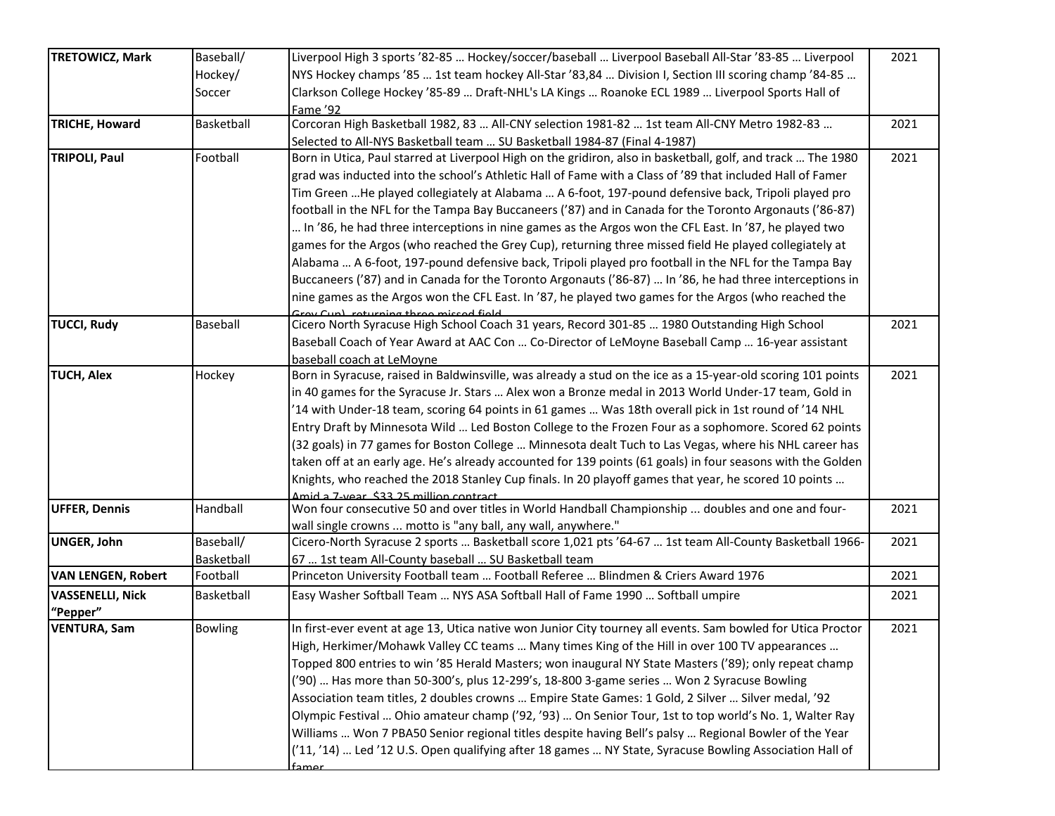| <b>TRETOWICZ, Mark</b>              | Baseball/              | Liverpool High 3 sports '82-85  Hockey/soccer/baseball  Liverpool Baseball All-Star '83-85  Liverpool                                          | 2021 |
|-------------------------------------|------------------------|------------------------------------------------------------------------------------------------------------------------------------------------|------|
|                                     | Hockey/                | NYS Hockey champs '85  1st team hockey All-Star '83,84  Division I, Section III scoring champ '84-85                                           |      |
|                                     | Soccer                 | Clarkson College Hockey '85-89  Draft-NHL's LA Kings  Roanoke ECL 1989  Liverpool Sports Hall of                                               |      |
|                                     |                        | Fame '92                                                                                                                                       |      |
| <b>TRICHE, Howard</b>               | Basketball             | Corcoran High Basketball 1982, 83  All-CNY selection 1981-82  1st team All-CNY Metro 1982-83                                                   | 2021 |
|                                     |                        | Selected to All-NYS Basketball team  SU Basketball 1984-87 (Final 4-1987)                                                                      |      |
| <b>TRIPOLI, Paul</b>                | Football               | Born in Utica, Paul starred at Liverpool High on the gridiron, also in basketball, golf, and track  The 1980                                   | 2021 |
|                                     |                        | grad was inducted into the school's Athletic Hall of Fame with a Class of '89 that included Hall of Famer                                      |      |
|                                     |                        | Tim Green He played collegiately at Alabama  A 6-foot, 197-pound defensive back, Tripoli played pro                                            |      |
|                                     |                        | football in the NFL for the Tampa Bay Buccaneers ('87) and in Canada for the Toronto Argonauts ('86-87)                                        |      |
|                                     |                        | In '86, he had three interceptions in nine games as the Argos won the CFL East. In '87, he played two                                          |      |
|                                     |                        | games for the Argos (who reached the Grey Cup), returning three missed field He played collegiately at                                         |      |
|                                     |                        | Alabama  A 6-foot, 197-pound defensive back, Tripoli played pro football in the NFL for the Tampa Bay                                          |      |
|                                     |                        | Buccaneers ('87) and in Canada for the Toronto Argonauts ('86-87)  In '86, he had three interceptions in                                       |      |
|                                     |                        | nine games as the Argos won the CFL East. In '87, he played two games for the Argos (who reached the<br>Frou Cup) returning three missed field |      |
| <b>TUCCI, Rudy</b>                  | Baseball               | Cicero North Syracuse High School Coach 31 years, Record 301-85  1980 Outstanding High School                                                  | 2021 |
|                                     |                        | Baseball Coach of Year Award at AAC Con  Co-Director of LeMoyne Baseball Camp  16-year assistant                                               |      |
|                                     |                        | baseball coach at LeMoyne                                                                                                                      |      |
| <b>TUCH, Alex</b>                   | Hockey                 | Born in Syracuse, raised in Baldwinsville, was already a stud on the ice as a 15-year-old scoring 101 points                                   | 2021 |
|                                     |                        | in 40 games for the Syracuse Jr. Stars  Alex won a Bronze medal in 2013 World Under-17 team, Gold in                                           |      |
|                                     |                        | 14 with Under-18 team, scoring 64 points in 61 games  Was 18th overall pick in 1st round of '14 NHL'                                           |      |
|                                     |                        | Entry Draft by Minnesota Wild  Led Boston College to the Frozen Four as a sophomore. Scored 62 points                                          |      |
|                                     |                        | (32 goals) in 77 games for Boston College  Minnesota dealt Tuch to Las Vegas, where his NHL career has                                         |      |
|                                     |                        | taken off at an early age. He's already accounted for 139 points (61 goals) in four seasons with the Golden                                    |      |
|                                     |                        | Knights, who reached the 2018 Stanley Cup finals. In 20 playoff games that year, he scored 10 points                                           |      |
|                                     |                        | Amid a 7-year, \$33,25 million contract                                                                                                        |      |
| <b>UFFER, Dennis</b>                | Handball               | Won four consecutive 50 and over titles in World Handball Championship  doubles and one and four-                                              | 2021 |
|                                     |                        | wall single crowns  motto is "any ball, any wall, anywhere."                                                                                   |      |
| <b>UNGER, John</b>                  | Baseball/              | Cicero-North Syracuse 2 sports  Basketball score 1,021 pts '64-67  1st team All-County Basketball 1966-                                        | 2021 |
| <b>VAN LENGEN, Robert</b>           | Basketball<br>Football | 67  1st team All-County baseball  SU Basketball team                                                                                           | 2021 |
|                                     |                        | Princeton University Football team  Football Referee  Blindmen & Criers Award 1976                                                             |      |
| <b>VASSENELLI, Nick</b><br>"Pepper" | Basketball             | Easy Washer Softball Team  NYS ASA Softball Hall of Fame 1990  Softball umpire                                                                 | 2021 |
| <b>VENTURA, Sam</b>                 | <b>Bowling</b>         | In first-ever event at age 13, Utica native won Junior City tourney all events. Sam bowled for Utica Proctor                                   | 2021 |
|                                     |                        | High, Herkimer/Mohawk Valley CC teams  Many times King of the Hill in over 100 TV appearances                                                  |      |
|                                     |                        | Topped 800 entries to win '85 Herald Masters; won inaugural NY State Masters ('89); only repeat champ                                          |      |
|                                     |                        | ('90)  Has more than 50-300's, plus 12-299's, 18-800 3-game series  Won 2 Syracuse Bowling                                                     |      |
|                                     |                        | Association team titles, 2 doubles crowns  Empire State Games: 1 Gold, 2 Silver  Silver medal, '92                                             |      |
|                                     |                        | Olympic Festival  Ohio amateur champ ('92, '93)  On Senior Tour, 1st to top world's No. 1, Walter Ray                                          |      |
|                                     |                        | Williams  Won 7 PBA50 Senior regional titles despite having Bell's palsy  Regional Bowler of the Year                                          |      |
|                                     |                        | ('11, '14)  Led '12 U.S. Open qualifying after 18 games  NY State, Syracuse Bowling Association Hall of                                        |      |
|                                     |                        | famer                                                                                                                                          |      |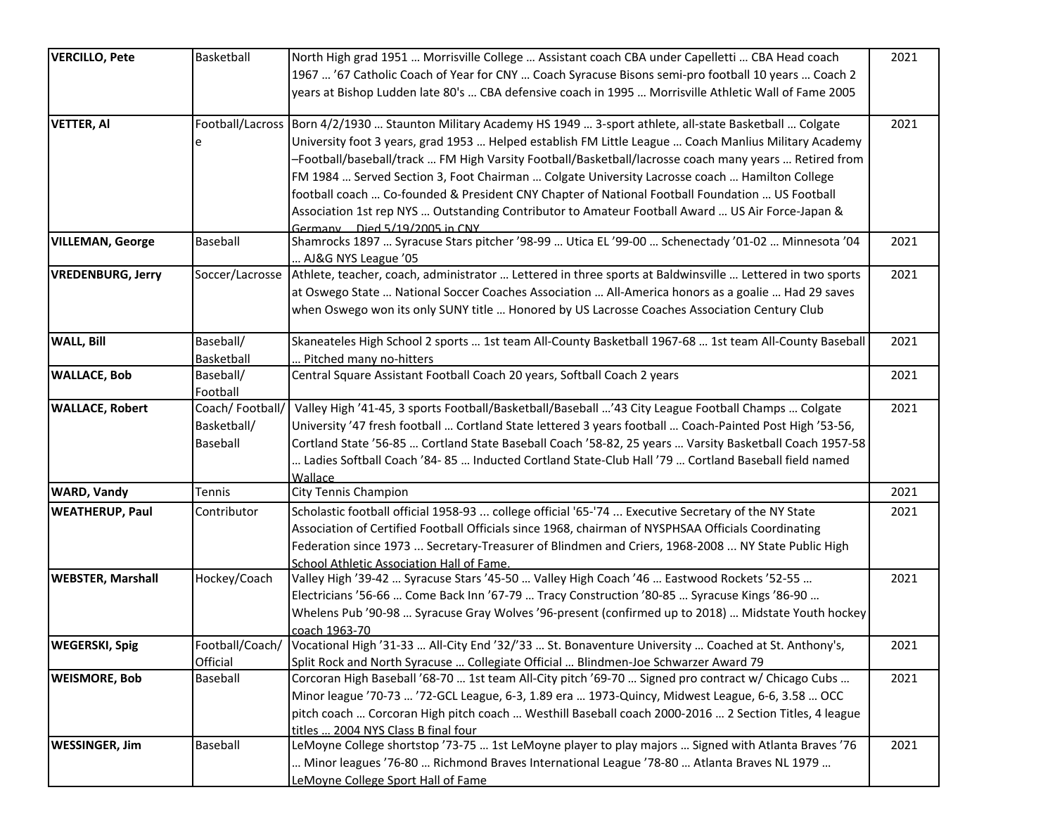| <b>VERCILLO, Pete</b>    | Basketball      | North High grad 1951  Morrisville College  Assistant coach CBA under Capelletti  CBA Head coach                           | 2021 |
|--------------------------|-----------------|---------------------------------------------------------------------------------------------------------------------------|------|
|                          |                 | 1967  '67 Catholic Coach of Year for CNY  Coach Syracuse Bisons semi-pro football 10 years  Coach 2                       |      |
|                          |                 | years at Bishop Ludden late 80's  CBA defensive coach in 1995  Morrisville Athletic Wall of Fame 2005                     |      |
|                          |                 |                                                                                                                           |      |
| <b>VETTER, AI</b>        |                 | Football/Lacross  Born 4/2/1930  Staunton Military Academy HS 1949  3-sport athlete, all-state Basketball  Colgate        | 2021 |
|                          |                 | University foot 3 years, grad 1953  Helped establish FM Little League  Coach Manlius Military Academy                     |      |
|                          |                 | Football/baseball/track  FM High Varsity Football/Basketball/lacrosse coach many years  Retired from                      |      |
|                          |                 | FM 1984  Served Section 3, Foot Chairman  Colgate University Lacrosse coach  Hamilton College                             |      |
|                          |                 | football coach  Co-founded & President CNY Chapter of National Football Foundation  US Football                           |      |
|                          |                 | Association 1st rep NYS  Outstanding Contributor to Amateur Football Award  US Air Force-Japan &                          |      |
|                          |                 | Germany Died 5/19/2005 in CNY                                                                                             |      |
| <b>VILLEMAN, George</b>  | Baseball        | Shamrocks 1897  Syracuse Stars pitcher '98-99  Utica EL '99-00  Schenectady '01-02  Minnesota '04                         | 2021 |
|                          |                 | AJ&G NYS League '05                                                                                                       |      |
| <b>VREDENBURG, Jerry</b> |                 | Soccer/Lacrosse Athlete, teacher, coach, administrator  Lettered in three sports at Baldwinsville  Lettered in two sports | 2021 |
|                          |                 | at Oswego State  National Soccer Coaches Association  All-America honors as a goalie  Had 29 saves                        |      |
|                          |                 | when Oswego won its only SUNY title  Honored by US Lacrosse Coaches Association Century Club                              |      |
|                          |                 |                                                                                                                           |      |
| <b>WALL, Bill</b>        | Baseball/       | Skaneateles High School 2 sports  1st team All-County Basketball 1967-68  1st team All-County Baseball                    | 2021 |
|                          | Basketball      | Pitched many no-hitters                                                                                                   |      |
| <b>WALLACE, Bob</b>      | Baseball/       | Central Square Assistant Football Coach 20 years, Softball Coach 2 years                                                  | 2021 |
|                          | Football        |                                                                                                                           |      |
| <b>WALLACE, Robert</b>   | Coach/Football/ | Valley High '41-45, 3 sports Football/Basketball/Baseball '43 City League Football Champs  Colgate                        | 2021 |
|                          | Basketball/     | University '47 fresh football  Cortland State lettered 3 years football  Coach-Painted Post High '53-56,                  |      |
|                          | <b>Baseball</b> | Cortland State '56-85  Cortland State Baseball Coach '58-82, 25 years  Varsity Basketball Coach 1957-58                   |      |
|                          |                 | Ladies Softball Coach '84- 85  Inducted Cortland State-Club Hall '79  Cortland Baseball field named                       |      |
|                          |                 | Wallace                                                                                                                   |      |
| <b>WARD, Vandy</b>       | Tennis          | City Tennis Champion                                                                                                      | 2021 |
| <b>WEATHERUP, Paul</b>   | Contributor     | Scholastic football official 1958-93  college official '65-'74  Executive Secretary of the NY State                       | 2021 |
|                          |                 | Association of Certified Football Officials since 1968, chairman of NYSPHSAA Officials Coordinating                       |      |
|                          |                 | Federation since 1973  Secretary-Treasurer of Blindmen and Criers, 1968-2008  NY State Public High                        |      |
|                          |                 | School Athletic Association Hall of Fame.                                                                                 |      |
| <b>WEBSTER, Marshall</b> | Hockey/Coach    | Valley High '39-42  Syracuse Stars '45-50  Valley High Coach '46  Eastwood Rockets '52-55                                 | 2021 |
|                          |                 | Electricians '56-66  Come Back Inn '67-79  Tracy Construction '80-85  Syracuse Kings '86-90                               |      |
|                          |                 | Whelens Pub '90-98  Syracuse Gray Wolves '96-present (confirmed up to 2018)  Midstate Youth hockey                        |      |
|                          |                 | coach 1963-70                                                                                                             |      |
| <b>WEGERSKI, Spig</b>    |                 | Football/Coach/ Vocational High '31-33  All-City End '32/'33  St. Bonaventure University  Coached at St. Anthony's,       | 2021 |
|                          | Official        | Split Rock and North Syracuse  Collegiate Official  Blindmen-Joe Schwarzer Award 79                                       |      |
| <b>WEISMORE, Bob</b>     | Baseball        | Corcoran High Baseball '68-70  1st team All-City pitch '69-70  Signed pro contract w/ Chicago Cubs                        | 2021 |
|                          |                 | Minor league '70-73  '72-GCL League, 6-3, 1.89 era  1973-Quincy, Midwest League, 6-6, 3.58  OCC                           |      |
|                          |                 | pitch coach  Corcoran High pitch coach  Westhill Baseball coach 2000-2016  2 Section Titles, 4 league                     |      |
|                          |                 | titles  2004 NYS Class B final four                                                                                       |      |
| <b>WESSINGER, Jim</b>    | Baseball        | LeMoyne College shortstop '73-75  1st LeMoyne player to play majors  Signed with Atlanta Braves '76                       | 2021 |
|                          |                 | Minor leagues '76-80  Richmond Braves International League '78-80  Atlanta Braves NL 1979                                 |      |
|                          |                 | LeMoyne College Sport Hall of Fame                                                                                        |      |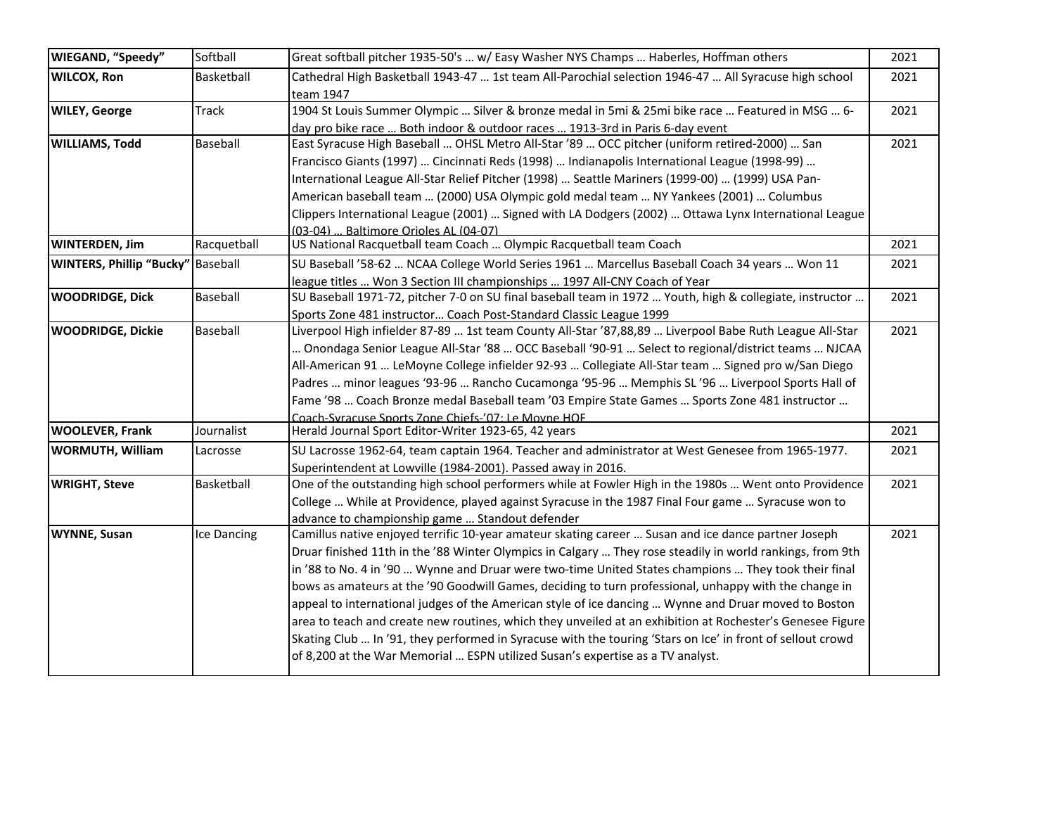| WIEGAND, "Speedy"                        | Softball     | Great softball pitcher 1935-50's  w/ Easy Washer NYS Champs  Haberles, Hoffman others                              | 2021 |
|------------------------------------------|--------------|--------------------------------------------------------------------------------------------------------------------|------|
| <b>WILCOX, Ron</b>                       | Basketball   | Cathedral High Basketball 1943-47  1st team All-Parochial selection 1946-47  All Syracuse high school<br>team 1947 | 2021 |
| <b>WILEY, George</b>                     | <b>Track</b> | 1904 St Louis Summer Olympic  Silver & bronze medal in 5mi & 25mi bike race  Featured in MSG  6-                   | 2021 |
|                                          |              | day pro bike race  Both indoor & outdoor races  1913-3rd in Paris 6-day event                                      |      |
| <b>WILLIAMS, Todd</b>                    | Baseball     | East Syracuse High Baseball  OHSL Metro All-Star '89  OCC pitcher (uniform retired-2000)  San                      | 2021 |
|                                          |              | Francisco Giants (1997)  Cincinnati Reds (1998)  Indianapolis International League (1998-99)                       |      |
|                                          |              | International League All-Star Relief Pitcher (1998)  Seattle Mariners (1999-00)  (1999) USA Pan-                   |      |
|                                          |              | American baseball team  (2000) USA Olympic gold medal team  NY Yankees (2001)  Columbus                            |      |
|                                          |              | Clippers International League (2001)  Signed with LA Dodgers (2002)  Ottawa Lynx International League              |      |
|                                          |              | 03-04)  Baltimore Orioles AL (04-07)                                                                               |      |
| <b>WINTERDEN, Jim</b>                    | Racquetball  | US National Racquetball team Coach  Olympic Racquetball team Coach                                                 | 2021 |
| <b>WINTERS, Phillip "Bucky"</b> Baseball |              | SU Baseball '58-62  NCAA College World Series 1961  Marcellus Baseball Coach 34 years  Won 11                      | 2021 |
|                                          |              | league titles  Won 3 Section III championships  1997 All-CNY Coach of Year                                         |      |
| <b>WOODRIDGE, Dick</b>                   | Baseball     | SU Baseball 1971-72, pitcher 7-0 on SU final baseball team in 1972  Youth, high & collegiate, instructor           | 2021 |
|                                          |              | Sports Zone 481 instructor Coach Post-Standard Classic League 1999                                                 |      |
| <b>WOODRIDGE, Dickie</b>                 | Baseball     | Liverpool High infielder 87-89  1st team County All-Star '87,88,89  Liverpool Babe Ruth League All-Star            | 2021 |
|                                          |              | Doondaga Senior League All-Star '88  OCC Baseball '90-91  Select to regional/district teams  NJCAA                 |      |
|                                          |              | All-American 91  LeMoyne College infielder 92-93  Collegiate All-Star team  Signed pro w/San Diego                 |      |
|                                          |              | Padres  minor leagues '93-96  Rancho Cucamonga '95-96  Memphis SL '96  Liverpool Sports Hall of                    |      |
|                                          |              | Fame '98  Coach Bronze medal Baseball team '03 Empire State Games  Sports Zone 481 instructor                      |      |
|                                          |              | Coach-Syracuse Sports Zone Chiefs-'07: Le Moyne HOF                                                                |      |
| <b>WOOLEVER, Frank</b>                   | Journalist   | Herald Journal Sport Editor-Writer 1923-65, 42 years                                                               | 2021 |
| <b>WORMUTH, William</b>                  | Lacrosse     | SU Lacrosse 1962-64, team captain 1964. Teacher and administrator at West Genesee from 1965-1977.                  | 2021 |
|                                          |              | Superintendent at Lowville (1984-2001). Passed away in 2016.                                                       |      |
| <b>WRIGHT, Steve</b>                     | Basketball   | One of the outstanding high school performers while at Fowler High in the 1980s  Went onto Providence              | 2021 |
|                                          |              | College  While at Providence, played against Syracuse in the 1987 Final Four game  Syracuse won to                 |      |
|                                          |              | advance to championship game  Standout defender                                                                    |      |
| <b>WYNNE, Susan</b>                      | Ice Dancing  | Camillus native enjoyed terrific 10-year amateur skating career  Susan and ice dance partner Joseph                | 2021 |
|                                          |              | Druar finished 11th in the '88 Winter Olympics in Calgary  They rose steadily in world rankings, from 9th          |      |
|                                          |              | in '88 to No. 4 in '90  Wynne and Druar were two-time United States champions  They took their final               |      |
|                                          |              | bows as amateurs at the '90 Goodwill Games, deciding to turn professional, unhappy with the change in              |      |
|                                          |              | appeal to international judges of the American style of ice dancing  Wynne and Druar moved to Boston               |      |
|                                          |              | area to teach and create new routines, which they unveiled at an exhibition at Rochester's Genesee Figure          |      |
|                                          |              | Skating Club  In '91, they performed in Syracuse with the touring 'Stars on Ice' in front of sellout crowd         |      |
|                                          |              | of 8,200 at the War Memorial  ESPN utilized Susan's expertise as a TV analyst.                                     |      |
|                                          |              |                                                                                                                    |      |